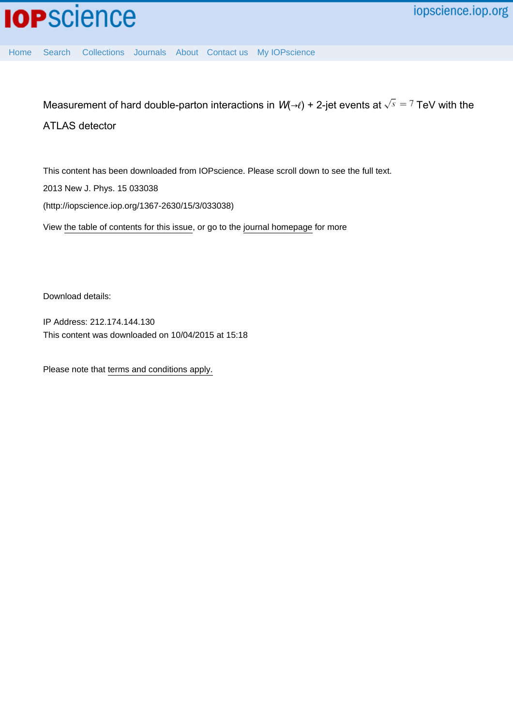Measurement of hard double-parton interactions in  $W(\rightarrow \ell)$  + 2-jet events at  $\sqrt{s} = 7$  TeV with the ATLAS detector

This content has been downloaded from IOPscience. Please scroll down to see the full text. View [the table of contents for this issue](http://iopscience.iop.org/1367-2630/15/3), or go to the [journal homepage](http://iopscience.iop.org/1367-2630) for more 2013 New J. Phys. 15 033038 (http://iopscience.iop.org/1367-2630/15/3/033038)

Download details:

IP Address: 212.174.144.130 This content was downloaded on 10/04/2015 at 15:18

Please note that [terms and conditions apply.](iopscience.iop.org/page/terms)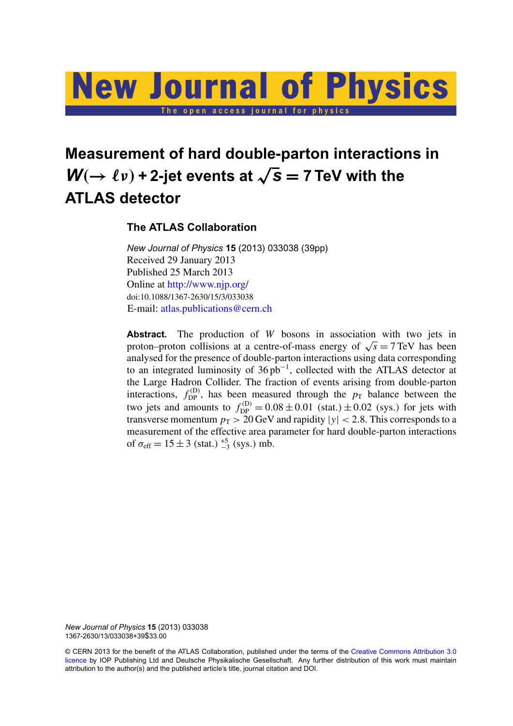# **New Journal of Physics** The open access journal for physics

## **Measurement of hard double-parton interactions in**  $W(\rightarrow \ell \nu)$  + 2-jet events at  $\sqrt{s} = 7$  TeV with the **ATLAS detector**

## **The ATLAS Collaboration**

*New Journal of Physics* **15** (2013) 033038 (39pp) Received 29 January 2013 Published 25 March 2013 Online at <http://www.njp.org/> doi:10.1088/1367-2630/15/3/033038 E-mail: [atlas.publications@cern.ch](mailto:atlas.publications@cern.ch)

**Abstract.** The production of *W* bosons in association with two jets in **Abstract.** The production of *W* bosons in association with two jets in proton–proton collisions at a centre-of-mass energy of  $\sqrt{s} = 7 \text{ TeV}$  has been analysed for the presence of double-parton interactions using data corresponding to an integrated luminosity of 36 pb<sup>−</sup><sup>1</sup> , collected with the ATLAS detector at the Large Hadron Collider. The fraction of events arising from double-parton interactions,  $f_{\text{DP}}^{(D)}$ , has been measured through the  $p_{\text{T}}$  balance between the two jets and amounts to  $f_{\text{DP}}^{(D)} = 0.08 \pm 0.01$  (stat.)  $\pm 0.02$  (sys.) for jets with transverse momentum  $p_T > 20$  GeV and rapidity  $|y| < 2.8$ . This corresponds to a measurement of the effective area parameter for hard double-parton interactions of  $\sigma_{\text{eff}} = 15 \pm 3$  (stat.)  $^{+5}_{-3}$  (sys.) mb.

*New Journal of Physics* **15** (2013) 033038 1367-2630/13/033038+39\$33.00

© CERN 2013 for the benefit of the ATLAS Collaboration, published under the terms of the [Creative Commons Attribution 3.0](http://creativecommons.org/licenses/by/3.0) [licence](http://creativecommons.org/licenses/by/3.0) by IOP Publishing Ltd and Deutsche Physikalische Gesellschaft. Any further distribution of this work must maintain attribution to the author(s) and the published article's title, journal citation and DOI.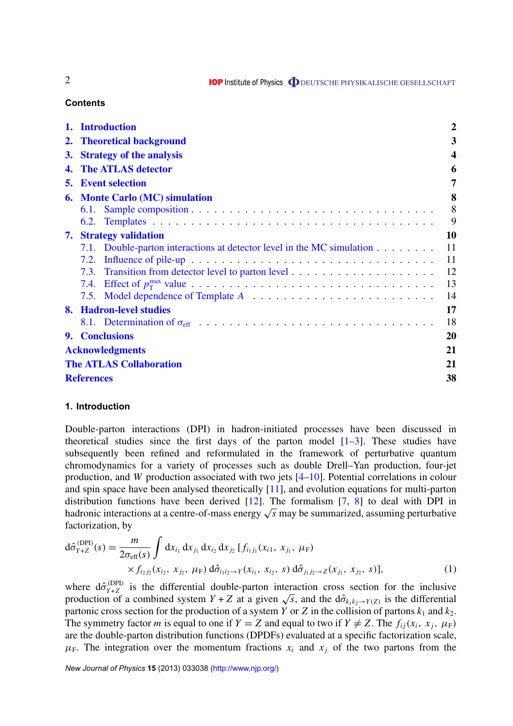**IOP** Institute of Physics **ODEUTSCHE PHYSIKALISCHE GESELLSCHAFT** 

#### **Contents**

|                        | 1. Introduction                                                        | $\overline{2}$ |  |
|------------------------|------------------------------------------------------------------------|----------------|--|
|                        | 2. Theoretical background                                              | 3              |  |
|                        | 3. Strategy of the analysis                                            | 4              |  |
|                        | 4. The ATLAS detector                                                  | 6              |  |
|                        | <b>5.</b> Event selection                                              | 7              |  |
|                        | <b>6. Monte Carlo (MC) simulation</b>                                  | 8              |  |
|                        |                                                                        | 8              |  |
|                        |                                                                        | 9              |  |
|                        | <b>7.</b> Strategy validation                                          | 10             |  |
|                        | 7.1. Double-parton interactions at detector level in the MC simulation | 11             |  |
|                        |                                                                        | 11             |  |
|                        |                                                                        | 12             |  |
|                        |                                                                        | 13             |  |
|                        |                                                                        | 14             |  |
|                        | 8. Hadron-level studies                                                | 17             |  |
|                        |                                                                        | 18             |  |
|                        | 9. Conclusions                                                         | 20             |  |
| <b>Acknowledgments</b> |                                                                        |                |  |
|                        | <b>The ATLAS Collaboration</b>                                         |                |  |
|                        | <b>References</b>                                                      |                |  |

#### **1. Introduction**

Double-parton interactions (DPI) in hadron-initiated processes have been discussed in theoretical studies since the first days of the parton model  $[1-3]$ . These studies have subsequently been refined and reformulated in the framework of perturbative quantum chromodynamics for a variety of processes such as double Drell–Yan production, four-jet production, and *W* production associated with two jets [\[4–10\]](#page-38-0). Potential correlations in colour and spin space have been analysed theoretically [\[11\]](#page-38-0), and evolution equations for multi-parton distribution functions have been derived  $[12]$ . The formalism  $[7, 8]$  $[7, 8]$  $[7, 8]$  to deal with DPI in distribution functions have been derived [12]. The formalism [7, 8] to deal with DPI in hadronic interactions at a centre-of-mass energy  $\sqrt{s}$  may be summarized, assuming perturbative factorization, by

$$
d\hat{\sigma}_{Y+Z}^{(DPI)}(s) = \frac{m}{2\sigma_{eff}(s)} \int dx_{i_1} dx_{j_1} dx_{i_2} dx_{j_2} [f_{i_1j_1}(x_{i_1}, x_{j_1}, \mu_F) \times f_{i_2j_2}(x_{i_2}, x_{j_2}, \mu_F) d\hat{\sigma}_{i_1i_2 \to Y}(x_{i_1}, x_{i_2}, s) d\hat{\sigma}_{j_1j_2 \to Z}(x_{j_1}, x_{j_2}, s)],
$$
\n(1)

where  $d\hat{\sigma}_{Y+Z}^{(DPI)}$ where  $d\hat{\sigma}_{Y+Z}^{(DP)}$  is the differential double-parton interaction cross section for the inclusive production of a combined system  $Y + Z$  at a given  $\sqrt{s}$ , and the  $d\hat{\sigma}_{k_1k_2 \to Y(Z)}$  is the differential partonic cross section for the production of a system *Y* or *Z* in the collision of partons  $k_1$  and  $k_2$ . The symmetry factor *m* is equal to one if  $Y = Z$  and equal to two if  $Y \neq Z$ . The  $f_{ij}(x_i, x_j, \mu_F)$ are the double-parton distribution functions (DPDFs) evaluated at a specific factorization scale,  $\mu_F$ . The integration over the momentum fractions  $x_i$  and  $x_j$  of the two partons from the

*New Journal of Physics* **15** (2013) 033038 [\(http://www.njp.org/\)](http://www.njp.org/)

<span id="page-2-0"></span>2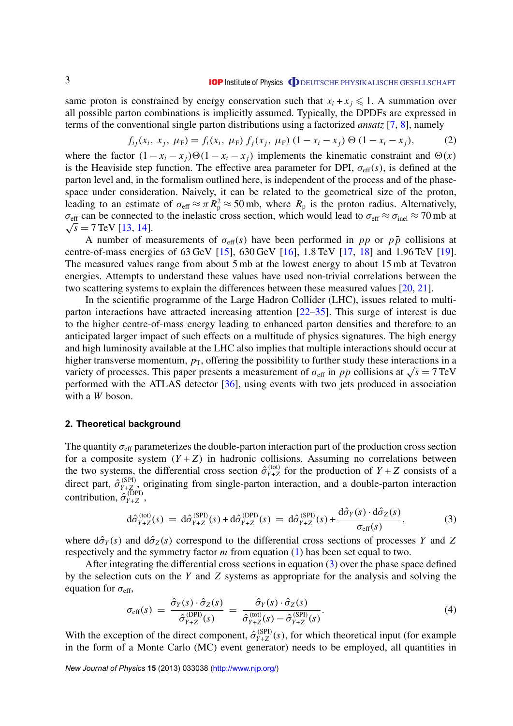<span id="page-3-0"></span>same proton is constrained by energy conservation such that  $x_i + x_j \leq 1$ . A summation over all possible parton combinations is implicitly assumed. Typically, the DPDFs are expressed in terms of the conventional single parton distributions using a factorized *ansatz* [\[7,](#page-38-0) [8\]](#page-38-0), namely

$$
f_{ij}(x_i, x_j, \mu_F) = f_i(x_i, \mu_F) f_j(x_j, \mu_F) (1 - x_i - x_j) \Theta (1 - x_i - x_j), \tag{2}
$$

where the factor  $(1 - x_i - x_j) \Theta(1 - x_i - x_j)$  implements the kinematic constraint and  $\Theta(x)$ is the Heaviside step function. The effective area parameter for DPI,  $\sigma_{\text{eff}}(s)$ , is defined at the parton level and, in the formalism outlined here, is independent of the process and of the phasespace under consideration. Naively, it can be related to the geometrical size of the proton, leading to an estimate of  $\sigma_{\text{eff}} \approx \pi R_p^2 \approx 50 \text{ mb}$ , where  $R_p$  is the proton radius. Alternatively,  $\sigma_{\text{eff}}$  can be connected to the inelastic cross section, which would lead to  $\sigma_{\text{eff}} \approx \sigma_{\text{inel}} \approx 70 \text{ mb}$  at  $\sqrt{s}$  = 7 TeV [\[13,](#page-39-0) [14\]](#page-39-0).

A number of measurements of  $\sigma_{\text{eff}}(s)$  have been performed in *pp* or  $p\bar{p}$  collisions at centre-of-mass energies of 63 GeV [\[15\]](#page-39-0), 630 GeV [\[16\]](#page-39-0), 1.8 TeV [\[17,](#page-39-0) [18\]](#page-39-0) and 1.96 TeV [\[19\]](#page-39-0). The measured values range from about 5 mb at the lowest energy to about 15 mb at Tevatron energies. Attempts to understand these values have used non-trivial correlations between the two scattering systems to explain the differences between these measured values [\[20,](#page-39-0) [21\]](#page-39-0).

In the scientific programme of the Large Hadron Collider (LHC), issues related to multiparton interactions have attracted increasing attention [\[22–35\]](#page-39-0). This surge of interest is due to the higher centre-of-mass energy leading to enhanced parton densities and therefore to an anticipated larger impact of such effects on a multitude of physics signatures. The high energy and high luminosity available at the LHC also implies that multiple interactions should occur at higher transverse momentum,  $p<sub>T</sub>$ , offering the possibility to further study these interactions in a higher transverse momentum,  $p_T$ , offering the possibility to further study these interactions in a variety of processes. This paper presents a measurement of  $\sigma_{\text{eff}}$  in *pp* collisions at  $\sqrt{s} = 7 \text{ TeV}$ performed with the ATLAS detector [\[36\]](#page-39-0), using events with two jets produced in association with a *W* boson.

#### **2. Theoretical background**

The quantity  $\sigma_{\text{eff}}$  parameterizes the double-parton interaction part of the production cross section for a composite system  $(Y + Z)$  in hadronic collisions. Assuming no correlations between the two systems, the differential cross section  $\hat{\sigma}_{Y+Z}^{(\text{tot})}$  $Y_{Y+Z}^{(tot)}$  for the production of  $Y + Z$  consists of a direct part,  $\hat{\sigma}_{Y+Z}^{(SPI)}$  $Y_{Y+Z}^{(SP1)}$ , originating from single-parton interaction, and a double-parton interaction contribution,  $\hat{\sigma}_{Y+Z}^{(\text{DPI})}$ *Y*+*Z* ,

$$
d\hat{\sigma}_{Y+Z}^{(\text{tot})}(s) = d\hat{\sigma}_{Y+Z}^{(\text{SPI})}(s) + d\hat{\sigma}_{Y+Z}^{(\text{DPI})}(s) = d\hat{\sigma}_{Y+Z}^{(\text{SPI})}(s) + \frac{d\hat{\sigma}_Y(s) \cdot d\hat{\sigma}_Z(s)}{\sigma_{\text{eff}}(s)},
$$
(3)

where  $d\hat{\sigma}_Y(s)$  and  $d\hat{\sigma}_Z(s)$  correspond to the differential cross sections of processes *Y* and *Z* respectively and the symmetry factor *m* from equation [\(1\)](#page-2-0) has been set equal to two.

After integrating the differential cross sections in equation (3) over the phase space defined by the selection cuts on the *Y* and *Z* systems as appropriate for the analysis and solving the equation for  $\sigma_{\text{eff}}$ ,

$$
\sigma_{\text{eff}}(s) = \frac{\hat{\sigma}_Y(s) \cdot \hat{\sigma}_Z(s)}{\hat{\sigma}_{Y+Z}^{(\text{DPI})}(s)} = \frac{\hat{\sigma}_Y(s) \cdot \hat{\sigma}_Z(s)}{\hat{\sigma}_{Y+Z}^{(\text{tot})}(s) - \hat{\sigma}_{Y+Z}^{(\text{SPI})}(s)}.
$$
\n(4)

With the exception of the direct component,  $\hat{\sigma}_{Y+Z}^{(SPI)}$  $Y_{Y+Z}^{(SP1)}(s)$ , for which theoretical input (for example in the form of a Monte Carlo (MC) event generator) needs to be employed, all quantities in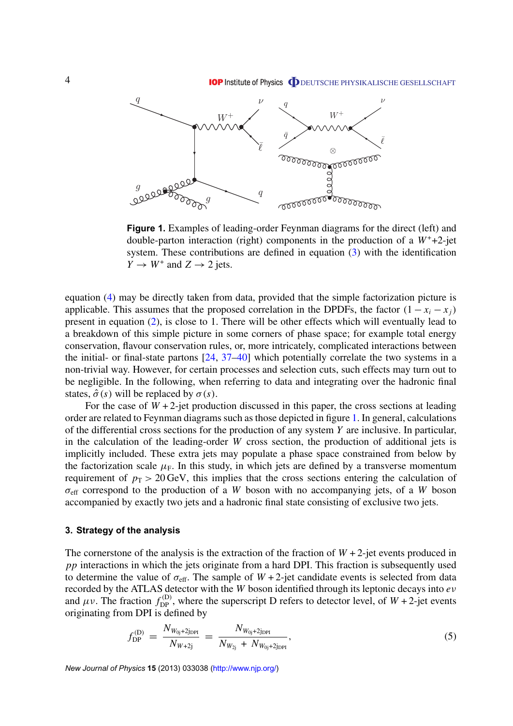<span id="page-4-0"></span>

**Figure 1.** Examples of leading-order Feynman diagrams for the direct (left) and double-parton interaction (right) components in the production of a  $W^+ + 2$ -jet system. These contributions are defined in equation [\(3\)](#page-3-0) with the identification  $\overline{Y} \to W^+$  and  $Z \to 2$  jets.

equation [\(4\)](#page-3-0) may be directly taken from data, provided that the simple factorization picture is applicable. This assumes that the proposed correlation in the DPDFs, the factor  $(1 - x_i - x_i)$ present in equation [\(2\)](#page-3-0), is close to 1. There will be other effects which will eventually lead to a breakdown of this simple picture in some corners of phase space; for example total energy conservation, flavour conservation rules, or, more intricately, complicated interactions between the initial- or final-state partons [\[24,](#page-39-0) [37–40\]](#page-39-0) which potentially correlate the two systems in a non-trivial way. However, for certain processes and selection cuts, such effects may turn out to be negligible. In the following, when referring to data and integrating over the hadronic final states,  $\hat{\sigma}(s)$  will be replaced by  $\sigma(s)$ .

For the case of  $W + 2$ -jet production discussed in this paper, the cross sections at leading order are related to Feynman diagrams such as those depicted in figure 1. In general, calculations of the differential cross sections for the production of any system *Y* are inclusive. In particular, in the calculation of the leading-order *W* cross section, the production of additional jets is implicitly included. These extra jets may populate a phase space constrained from below by the factorization scale  $\mu_F$ . In this study, in which jets are defined by a transverse momentum requirement of  $p_T > 20$  GeV, this implies that the cross sections entering the calculation of  $\sigma_{\text{eff}}$  correspond to the production of a *W* boson with no accompanying jets, of a *W* boson accompanied by exactly two jets and a hadronic final state consisting of exclusive two jets.

#### **3. Strategy of the analysis**

The cornerstone of the analysis is the extraction of the fraction of  $W + 2$ -jet events produced in *pp* interactions in which the jets originate from a hard DPI. This fraction is subsequently used to determine the value of  $\sigma_{\text{eff}}$ . The sample of  $W + 2$ -jet candidate events is selected from data recorded by the ATLAS detector with the *W* boson identified through its leptonic decays into *e*ν and  $\mu \nu$ . The fraction  $f_{\text{DP}}^{(D)}$ , where the superscript D refers to detector level, of  $W + 2$ -jet events originating from DPI is defined by

$$
f_{\rm DP}^{(\rm D)} = \frac{N_{W_{0j}+2j_{\rm DPI}}}{N_{W+2j}} = \frac{N_{W_{0j}+2j_{\rm DPI}}}{N_{W_{2j}}+N_{W_{0j}+2j_{\rm DPI}}},\tag{5}
$$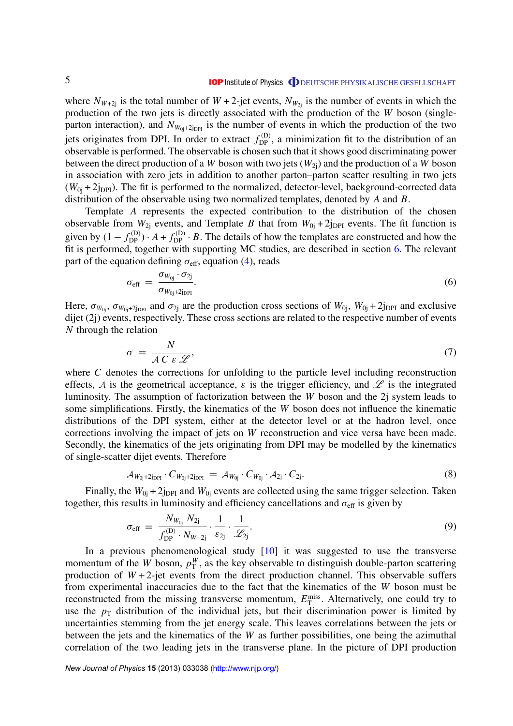<span id="page-5-0"></span>where  $N_{W+2j}$  is the total number of  $W + 2$ -jet events,  $N_{W_{2j}}$  is the number of events in which the production of the two jets is directly associated with the production of the *W* boson (singleparton interaction), and  $N_{W_{0i}+2_{\text{IDPI}}}$  is the number of events in which the production of the two jets originates from DPI. In order to extract  $f_{DP}^{(D)}$ , a minimization fit to the distribution of an observable is performed. The observable is chosen such that it shows good discriminating power between the direct production of a *W* boson with two jets  $(W_{2i})$  and the production of a *W* boson in association with zero jets in addition to another parton–parton scatter resulting in two jets  $(W_{0i} + 2_{1DPI})$ . The fit is performed to the normalized, detector-level, background-corrected data distribution of the observable using two normalized templates, denoted by *A* and *B*.

Template *A* represents the expected contribution to the distribution of the chosen observable from  $W_{2j}$  events, and Template *B* that from  $W_{0j} + 2j_{DPI}$  events. The fit function is given by  $(1 - f_{DP}^{(D)}) \cdot A + f_{DP}^{(D)} \cdot B$ . The details of how the templates are constructed and how the fit is performed, together with supporting MC studies, are described in section [6.](#page-8-0) The relevant part of the equation defining  $\sigma_{\text{eff}}$ , equation [\(4\)](#page-3-0), reads

$$
\sigma_{\rm eff} = \frac{\sigma_{W_{0j}} \cdot \sigma_{2j}}{\sigma_{W_{0j}+2j_{\rm DPI}}}.\tag{6}
$$

Here,  $\sigma_{W_{0i}}, \sigma_{W_{0i}+2j_{\text{DPI}}}$  and  $\sigma_{2i}$  are the production cross sections of  $W_{0i}$ ,  $W_{0i} + 2j_{\text{DPI}}$  and exclusive dijet (2j) events, respectively. These cross sections are related to the respective number of events *N* through the relation

$$
\sigma = \frac{N}{A C \varepsilon \mathcal{L}},\tag{7}
$$

where *C* denotes the corrections for unfolding to the particle level including reconstruction effects, A is the geometrical acceptance,  $\varepsilon$  is the trigger efficiency, and  $\mathscr L$  is the integrated luminosity. The assumption of factorization between the *W* boson and the 2j system leads to some simplifications. Firstly, the kinematics of the *W* boson does not influence the kinematic distributions of the DPI system, either at the detector level or at the hadron level, once corrections involving the impact of jets on *W* reconstruction and vice versa have been made. Secondly, the kinematics of the jets originating from DPI may be modelled by the kinematics of single-scatter dijet events. Therefore

$$
A_{W_{0j}+2j_{\text{DPI}}} \cdot C_{W_{0j}+2j_{\text{DPI}}} = A_{W_{0j}} \cdot C_{W_{0j}} \cdot A_{2j} \cdot C_{2j}.
$$
\n(8)

Finally, the  $W_{0i} + 2j_{\text{DPI}}$  and  $W_{0i}$  events are collected using the same trigger selection. Taken together, this results in luminosity and efficiency cancellations and  $\sigma_{\text{eff}}$  is given by

$$
\sigma_{\rm eff} = \frac{N_{W_{0j}} N_{2j}}{f_{\rm DP}^{(\rm D)} \cdot N_{W+2j}} \cdot \frac{1}{\varepsilon_{2j}} \cdot \frac{1}{\mathscr{L}_{2j}}.
$$
\n(9)

In a previous phenomenological study [\[10\]](#page-38-0) it was suggested to use the transverse momentum of the *W* boson,  $p_T^W$ , as the key observable to distinguish double-parton scattering production of  $W + 2$ -jet events from the direct production channel. This observable suffers from experimental inaccuracies due to the fact that the kinematics of the *W* boson must be reconstructed from the missing transverse momentum,  $E_{\text{T}}^{\text{miss}}$ . Alternatively, one could try to use the  $p_T$  distribution of the individual jets, but their discrimination power is limited by uncertainties stemming from the jet energy scale. This leaves correlations between the jets or between the jets and the kinematics of the *W* as further possibilities, one being the azimuthal correlation of the two leading jets in the transverse plane. In the picture of DPI production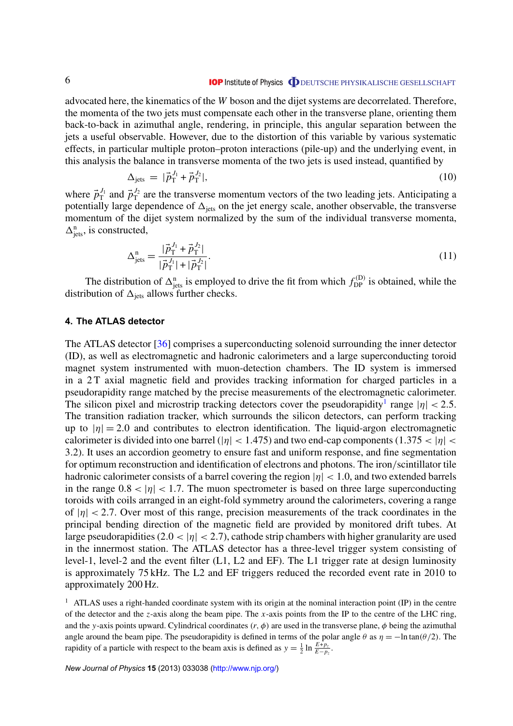<span id="page-6-0"></span>advocated here, the kinematics of the *W* boson and the dijet systems are decorrelated. Therefore, the momenta of the two jets must compensate each other in the transverse plane, orienting them back-to-back in azimuthal angle, rendering, in principle, this angular separation between the jets a useful observable. However, due to the distortion of this variable by various systematic effects, in particular multiple proton–proton interactions (pile-up) and the underlying event, in this analysis the balance in transverse momenta of the two jets is used instead, quantified by

$$
\Delta_{\text{jets}} = |\vec{p}_{\text{T}}^{J_1} + \vec{p}_{\text{T}}^{J_2}|,\tag{10}
$$

where  $\vec{p}_T^{J_1}$  and  $\vec{p}_T^{J_2}$  are the transverse momentum vectors of the two leading jets. Anticipating a potentially large dependence of  $\Delta_{\text{jets}}$  on the jet energy scale, another observable, the transverse momentum of the dijet system normalized by the sum of the individual transverse momenta,  $\Delta_{\text{jets}}^n$ , is constructed,

$$
\Delta_{\text{jets}}^{\text{n}} = \frac{|\vec{p}_\text{T}^{J_1} + \vec{p}_\text{T}^{J_2}|}{|\vec{p}_\text{T}^{J_1}| + |\vec{p}_\text{T}^{J_2}|}.\tag{11}
$$

The distribution of  $\Delta^n_{\text{jets}}$  is employed to drive the fit from which  $f_{\text{DP}}^{(D)}$  is obtained, while the distribution of  $\Delta_{\text{jets}}$  allows further checks.

#### **4. The ATLAS detector**

The ATLAS detector [\[36\]](#page-39-0) comprises a superconducting solenoid surrounding the inner detector (ID), as well as electromagnetic and hadronic calorimeters and a large superconducting toroid magnet system instrumented with muon-detection chambers. The ID system is immersed in a 2 T axial magnetic field and provides tracking information for charged particles in a pseudorapidity range matched by the precise measurements of the electromagnetic calorimeter. The silicon pixel and microstrip tracking detectors cover the pseudorapidity<sup>1</sup> range  $|\eta| < 2.5$ . The transition radiation tracker, which surrounds the silicon detectors, can perform tracking up to  $|\eta| = 2.0$  and contributes to electron identification. The liquid-argon electromagnetic calorimeter is divided into one barrel ( $|\eta|$  < 1.475) and two end-cap components (1.375 <  $|\eta|$  < 3.2). It uses an accordion geometry to ensure fast and uniform response, and fine segmentation for optimum reconstruction and identification of electrons and photons. The iron/scintillator tile hadronic calorimeter consists of a barrel covering the region  $|\eta| < 1.0$ , and two extended barrels in the range  $0.8 < |\eta| < 1.7$ . The muon spectrometer is based on three large superconducting toroids with coils arranged in an eight-fold symmetry around the calorimeters, covering a range of  $|\eta| < 2.7$ . Over most of this range, precision measurements of the track coordinates in the principal bending direction of the magnetic field are provided by monitored drift tubes. At large pseudorapidities (2.0  $<$  | $\eta$ |  $<$  2.7), cathode strip chambers with higher granularity are used in the innermost station. The ATLAS detector has a three-level trigger system consisting of level-1, level-2 and the event filter (L1, L2 and EF). The L1 trigger rate at design luminosity is approximately 75 kHz. The L2 and EF triggers reduced the recorded event rate in 2010 to approximately 200 Hz.

<sup>1</sup> ATLAS uses a right-handed coordinate system with its origin at the nominal interaction point (IP) in the centre of the detector and the *z*-axis along the beam pipe. The *x*-axis points from the IP to the centre of the LHC ring, and the *y*-axis points upward. Cylindrical coordinates  $(r, \phi)$  are used in the transverse plane,  $\phi$  being the azimuthal angle around the beam pipe. The pseudorapidity is defined in terms of the polar angle  $\theta$  as  $\eta = -\ln \tan(\theta/2)$ . The rapidity of a particle with respect to the beam axis is defined as  $y = \frac{1}{2} \ln \frac{E + p_z}{E - p_z}$ .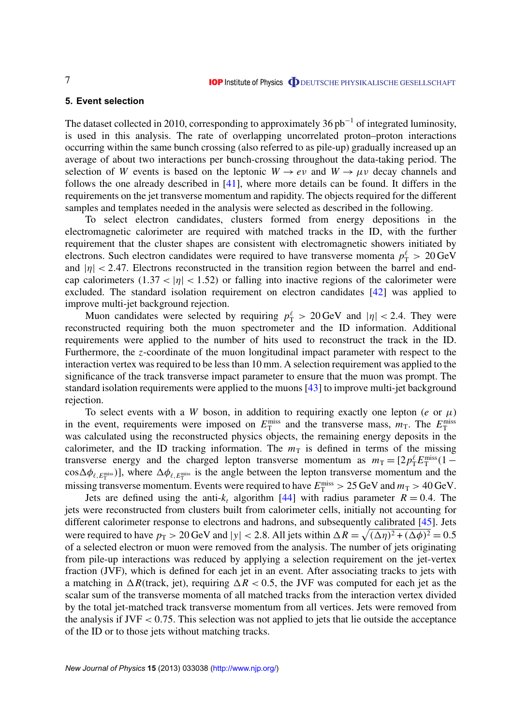#### <span id="page-7-0"></span>**5. Event selection**

The dataset collected in 2010, corresponding to approximately 36  $pb^{-1}$  of integrated luminosity, is used in this analysis. The rate of overlapping uncorrelated proton–proton interactions occurring within the same bunch crossing (also referred to as pile-up) gradually increased up an average of about two interactions per bunch-crossing throughout the data-taking period. The selection of *W* events is based on the leptonic  $W \to e \nu$  and  $W \to \mu \nu$  decay channels and follows the one already described in [\[41\]](#page-39-0), where more details can be found. It differs in the requirements on the jet transverse momentum and rapidity. The objects required for the different samples and templates needed in the analysis were selected as described in the following.

To select electron candidates, clusters formed from energy depositions in the electromagnetic calorimeter are required with matched tracks in the ID, with the further requirement that the cluster shapes are consistent with electromagnetic showers initiated by electrons. Such electron candidates were required to have transverse momenta  $p_T^{\ell} > 20 \,\text{GeV}$ and  $|\eta|$  < 2.47. Electrons reconstructed in the transition region between the barrel and endcap calorimeters  $(1.37 < |\eta| < 1.52)$  or falling into inactive regions of the calorimeter were excluded. The standard isolation requirement on electron candidates [\[42\]](#page-39-0) was applied to improve multi-jet background rejection.

Muon candidates were selected by requiring  $p_T^{\ell} > 20 \,\text{GeV}$  and  $|\eta| < 2.4$ . They were reconstructed requiring both the muon spectrometer and the ID information. Additional requirements were applied to the number of hits used to reconstruct the track in the ID. Furthermore, the *z*-coordinate of the muon longitudinal impact parameter with respect to the interaction vertex was required to be less than 10 mm. A selection requirement was applied to the significance of the track transverse impact parameter to ensure that the muon was prompt. The standard isolation requirements were applied to the muons [\[43\]](#page-39-0) to improve multi-jet background rejection.

To select events with a *W* boson, in addition to requiring exactly one lepton (*e* or  $\mu$ ) in the event, requirements were imposed on  $E_{\rm T}^{\rm miss}$  and the transverse mass,  $m_{\rm T}$ . The  $E_{\rm T}^{\rm miss}$ was calculated using the reconstructed physics objects, the remaining energy deposits in the calorimeter, and the ID tracking information. The  $m<sub>T</sub>$  is defined in terms of the missing transverse energy and the charged lepton transverse momentum as  $m_T = [2p_T^{\ell} E_T^{\text{miss}}(1$  $cos\Delta\phi_{\ell,E_T^{\text{miss}}}]$ , where  $\Delta\phi_{\ell,E_T^{\text{miss}}}$  is the angle between the lepton transverse momentum and the missing transverse momentum. Events were required to have  $E_{\rm T}^{\rm miss} > 25$  GeV and  $m_{\rm T} > 40$  GeV.

Jets are defined using the anti- $k_t$  algorithm [\[44\]](#page-39-0) with radius parameter  $R = 0.4$ . The jets were reconstructed from clusters built from calorimeter cells, initially not accounting for different calorimeter response to electrons and hadrons, and subsequently calibrated [\[45\]](#page-39-0). Jets were required to have  $p_T > 20$  GeV and  $|y| < 2.8$ . All jets within  $\Delta R = \sqrt{(\Delta \eta)^2 + (\Delta \phi)^2} = 0.5$ of a selected electron or muon were removed from the analysis. The number of jets originating from pile-up interactions was reduced by applying a selection requirement on the jet-vertex fraction (JVF), which is defined for each jet in an event. After associating tracks to jets with a matching in  $\Delta R$ (track, jet), requiring  $\Delta R < 0.5$ , the JVF was computed for each jet as the scalar sum of the transverse momenta of all matched tracks from the interaction vertex divided by the total jet-matched track transverse momentum from all vertices. Jets were removed from the analysis if  $JVF < 0.75$ . This selection was not applied to jets that lie outside the acceptance of the ID or to those jets without matching tracks.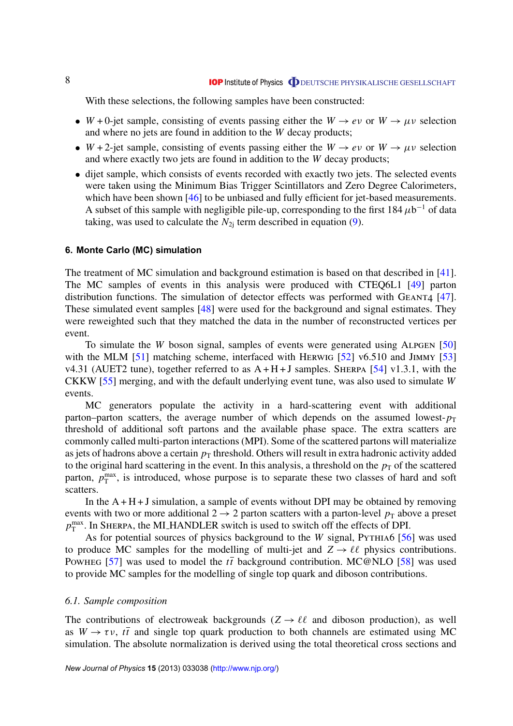<span id="page-8-0"></span>With these selections, the following samples have been constructed:

- *W* + 0-jet sample, consisting of events passing either the *W*  $\rightarrow$  *ev* or *W*  $\rightarrow \mu \nu$  selection and where no jets are found in addition to the *W* decay products;
- *W* + 2-jet sample, consisting of events passing either the *W*  $\rightarrow$  *ev* or *W*  $\rightarrow \mu \nu$  selection and where exactly two jets are found in addition to the *W* decay products;
- dijet sample, which consists of events recorded with exactly two jets. The selected events were taken using the Minimum Bias Trigger Scintillators and Zero Degree Calorimeters, which have been shown [\[46\]](#page-39-0) to be unbiased and fully efficient for jet-based measurements. A subset of this sample with negligible pile-up, corresponding to the first  $184 \mu b^{-1}$  of data taking, was used to calculate the  $N_{2i}$  term described in equation [\(9\)](#page-5-0).

#### **6. Monte Carlo (MC) simulation**

The treatment of MC simulation and background estimation is based on that described in [\[41\]](#page-39-0). The MC samples of events in this analysis were produced with CTEQ6L1 [\[49\]](#page-39-0) parton distribution functions. The simulation of detector effects was performed with  $G_{EANT4}$  [\[47\]](#page-39-0). These simulated event samples [\[48\]](#page-39-0) were used for the background and signal estimates. They were reweighted such that they matched the data in the number of reconstructed vertices per event.

To simulate the *W* boson signal, samples of events were generated using ALPGEN [\[50\]](#page-39-0) with the MLM [\[51\]](#page-39-0) matching scheme, interfaced with HERWIG [\[52\]](#page-39-0) v6.510 and JIMMY [\[53\]](#page-39-0) v4.31 (AUET2 tune), together referred to as  $A + H + J$  samples. SHERPA [\[54\]](#page-39-0) v1.3.1, with the CKKW [\[55\]](#page-39-0) merging, and with the default underlying event tune, was also used to simulate *W* events.

MC generators populate the activity in a hard-scattering event with additional parton–parton scatters, the average number of which depends on the assumed lowest- $p_T$ threshold of additional soft partons and the available phase space. The extra scatters are commonly called multi-parton interactions (MPI). Some of the scattered partons will materialize as jets of hadrons above a certain  $p<sub>T</sub>$  threshold. Others will result in extra hadronic activity added to the original hard scattering in the event. In this analysis, a threshold on the  $p<sub>T</sub>$  of the scattered parton,  $p_T^{\text{max}}$ , is introduced, whose purpose is to separate these two classes of hard and soft scatters.

In the  $A + H + J$  simulation, a sample of events without DPI may be obtained by removing events with two or more additional  $2 \rightarrow 2$  parton scatters with a parton-level  $p_T$  above a preset  $p_T^{\text{max}}$ . In SHERPA, the MLHANDLER switch is used to switch off the effects of DPI.

As for potential sources of physics background to the *W* signal, PYTHIA6 [\[56\]](#page-39-0) was used to produce MC samples for the modelling of multi-jet and  $Z \rightarrow \ell \ell$  physics contributions. Powheg [\[57\]](#page-39-0) was used to model the  $t\bar{t}$  background contribution. MC@NLO [\[58\]](#page-39-0) was used to provide MC samples for the modelling of single top quark and diboson contributions.

#### *6.1. Sample composition*

The contributions of electroweak backgrounds ( $Z \rightarrow \ell \ell$  and diboson production), as well as  $W \to \tau \nu$ ,  $t\bar{t}$  and single top quark production to both channels are estimated using MC simulation. The absolute normalization is derived using the total theoretical cross sections and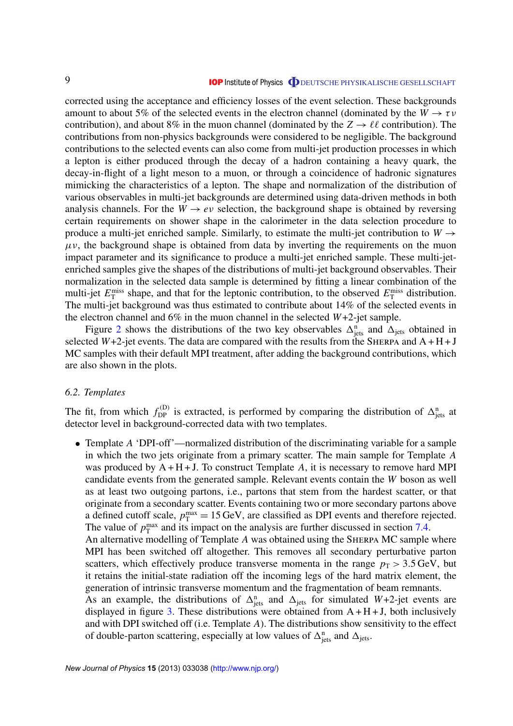<span id="page-9-0"></span>corrected using the acceptance and efficiency losses of the event selection. These backgrounds amount to about 5% of the selected events in the electron channel (dominated by the  $W \to \tau \nu$ contribution), and about 8% in the muon channel (dominated by the  $Z \to \ell \ell$  contribution). The contributions from non-physics backgrounds were considered to be negligible. The background contributions to the selected events can also come from multi-jet production processes in which a lepton is either produced through the decay of a hadron containing a heavy quark, the decay-in-flight of a light meson to a muon, or through a coincidence of hadronic signatures mimicking the characteristics of a lepton. The shape and normalization of the distribution of various observables in multi-jet backgrounds are determined using data-driven methods in both analysis channels. For the  $W \rightarrow e\nu$  selection, the background shape is obtained by reversing certain requirements on shower shape in the calorimeter in the data selection procedure to produce a multi-jet enriched sample. Similarly, to estimate the multi-jet contribution to  $W \rightarrow$  $\mu$ v, the background shape is obtained from data by inverting the requirements on the muon impact parameter and its significance to produce a multi-jet enriched sample. These multi-jetenriched samples give the shapes of the distributions of multi-jet background observables. Their normalization in the selected data sample is determined by fitting a linear combination of the multi-jet  $E_{\text{T}}^{\text{miss}}$  shape, and that for the leptonic contribution, to the observed  $E_{\text{T}}^{\text{miss}}$  distribution. The multi-jet background was thus estimated to contribute about 14% of the selected events in the electron channel and 6% in the muon channel in the selected *W*+2-jet sample.

Figure [2](#page-10-0) shows the distributions of the two key observables  $\Delta_{\text{jets}}^n$  and  $\Delta_{\text{jets}}$  obtained in selected  $W+2$ -jet events. The data are compared with the results from the SHERPA and  $A + H + J$ MC samples with their default MPI treatment, after adding the background contributions, which are also shown in the plots.

#### *6.2. Templates*

The fit, from which  $f_{DP}^{(D)}$  is extracted, is performed by comparing the distribution of  $\Delta_{\text{jets}}^n$  at detector level in background-corrected data with two templates.

• Template *A* 'DPI-off'—normalized distribution of the discriminating variable for a sample in which the two jets originate from a primary scatter. The main sample for Template *A* was produced by  $A + H + J$ . To construct Template A, it is necessary to remove hard MPI candidate events from the generated sample. Relevant events contain the *W* boson as well as at least two outgoing partons, i.e., partons that stem from the hardest scatter, or that originate from a secondary scatter. Events containing two or more secondary partons above a defined cutoff scale,  $p_T^{\text{max}} = 15 \text{ GeV}$ , are classified as DPI events and therefore rejected. The value of  $p_T^{\text{max}}$  and its impact on the analysis are further discussed in section [7.4.](#page-13-0) An alternative modelling of Template A was obtained using the SHERPA MC sample where

MPI has been switched off altogether. This removes all secondary perturbative parton scatters, which effectively produce transverse momenta in the range  $p<sub>T</sub> > 3.5$  GeV, but it retains the initial-state radiation off the incoming legs of the hard matrix element, the generation of intrinsic transverse momentum and the fragmentation of beam remnants.

As an example, the distributions of  $\Delta_{\text{jets}}^n$  and  $\Delta_{\text{jets}}$  for simulated *W*+2-jet events are displayed in figure [3.](#page-11-0) These distributions were obtained from  $A + H + J$ , both inclusively and with DPI switched off (i.e. Template *A*). The distributions show sensitivity to the effect of double-parton scattering, especially at low values of  $\Delta_{\text{jets}}^n$  and  $\Delta_{\text{jets}}$ .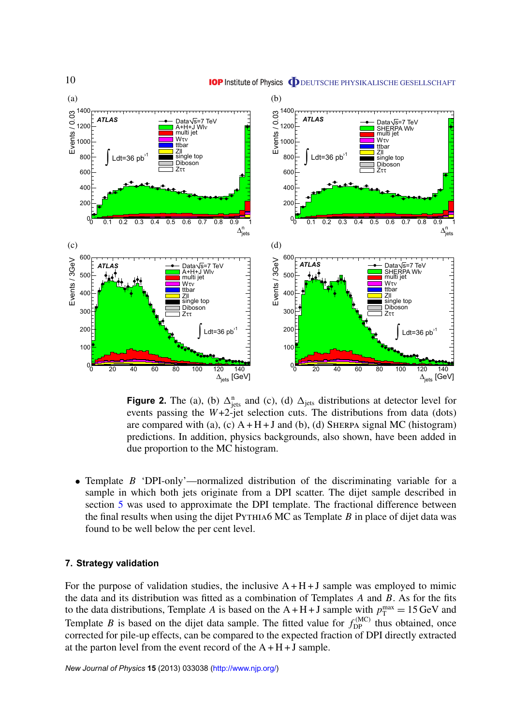<span id="page-10-0"></span>

**Figure 2.** The (a), (b)  $\Delta_{\text{jets}}^n$  and (c), (d)  $\Delta_{\text{jets}}$  distributions at detector level for events passing the  $W+2$ -jet selection cuts. The distributions from data (dots) are compared with (a), (c)  $A + H + J$  and (b), (d) SHERPA signal MC (histogram) predictions. In addition, physics backgrounds, also shown, have been added in due proportion to the MC histogram.

• Template *B* 'DPI-only'—normalized distribution of the discriminating variable for a sample in which both jets originate from a DPI scatter. The dijet sample described in section [5](#page-6-0) was used to approximate the DPI template. The fractional difference between the final results when using the dijet Pythia6 MC as Template *B* in place of dijet data was found to be well below the per cent level.

#### **7. Strategy validation**

For the purpose of validation studies, the inclusive  $A + H + J$  sample was employed to mimic the data and its distribution was fitted as a combination of Templates *A* and *B*. As for the fits to the data distributions, Template *A* is based on the  $A + H + J$  sample with  $p_T^{\text{max}} = 15 \text{ GeV}$  and Template *B* is based on the dijet data sample. The fitted value for  $f_{DP}^{(MC)}$  thus obtained, once corrected for pile-up effects, can be compared to the expected fraction of DPI directly extracted at the parton level from the event record of the  $A + H + J$  sample.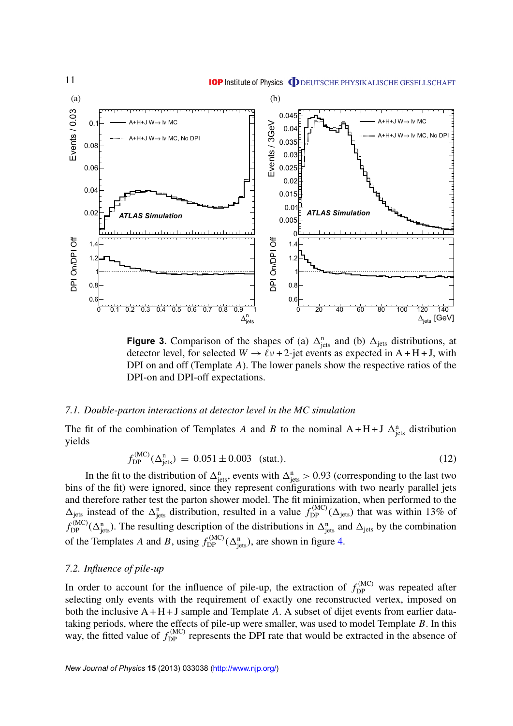<span id="page-11-0"></span>

**Figure 3.** Comparison of the shapes of (a)  $\Delta_{\text{jets}}^n$  and (b)  $\Delta_{\text{jets}}$  distributions, at detector level, for selected  $W \rightarrow \ell v + 2$ -jet events as expected in A + H + J, with DPI on and off (Template *A*). The lower panels show the respective ratios of the DPI-on and DPI-off expectations.

#### *7.1. Double-parton interactions at detector level in the MC simulation*

The fit of the combination of Templates *A* and *B* to the nominal  $A + H + J \Delta_{\text{jets}}^n$  distribution yields

$$
f_{\rm DP}^{\rm (MC)}(\Delta_{\rm jets}^{\rm n}) = 0.051 \pm 0.003 \quad \text{(stat.)} \tag{12}
$$

In the fit to the distribution of  $\Delta^n_{\text{jets}}$ , events with  $\Delta^n_{\text{jets}} > 0.93$  (corresponding to the last two bins of the fit) were ignored, since they represent configurations with two nearly parallel jets and therefore rather test the parton shower model. The fit minimization, when performed to the  $\Delta_{\text{jets}}$  instead of the  $\Delta_{\text{jets}}^n$  distribution, resulted in a value  $f_{\text{DP}}^{(\text{MC})}(\Delta_{\text{jets}})$  that was within 13% of  $f_{\text{DP}}^{(\text{MC})}(\Delta_{\text{jets}}^n)$ . The resulting description of the distributions in  $\Delta_{\text{jets}}^n$  and  $\Delta_{\text{jets}}$  by the combination of the Templates *A* and *B*, using  $f_{DP}^{(MC)}(\Delta_{\text{jets}}^n)$ , are shown in figure [4.](#page-12-0)

#### *7.2. Influence of pile-up*

In order to account for the influence of pile-up, the extraction of  $f_{\text{DP}}^{(\text{MC})}$  was repeated after selecting only events with the requirement of exactly one reconstructed vertex, imposed on both the inclusive A + H + J sample and Template *A*. A subset of dijet events from earlier datataking periods, where the effects of pile-up were smaller, was used to model Template *B*. In this way, the fitted value of  $f_{\text{DP}}^{(\text{MC})}$  represents the DPI rate that would be extracted in the absence of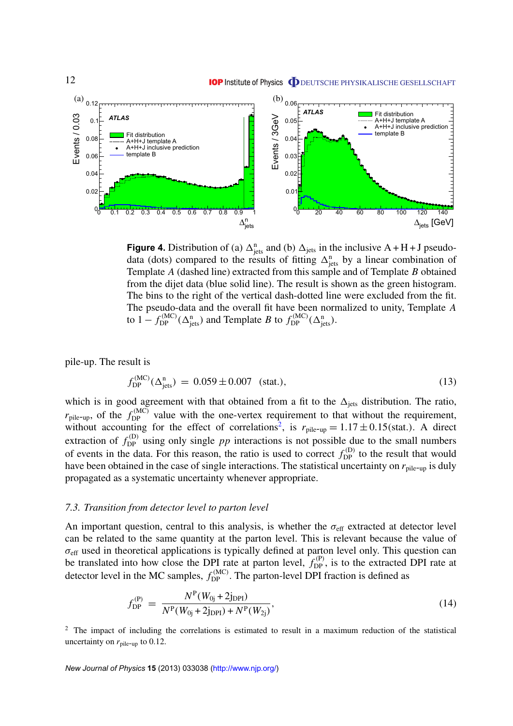<span id="page-12-0"></span>

**Figure 4.** Distribution of (a)  $\Delta_{\text{jets}}^n$  and (b)  $\Delta_{\text{jets}}$  in the inclusive A + H + J pseudodata (dots) compared to the results of fitting  $\Delta_{\text{jets}}^n$  by a linear combination of Template *A* (dashed line) extracted from this sample and of Template *B* obtained from the dijet data (blue solid line). The result is shown as the green histogram. The bins to the right of the vertical dash-dotted line were excluded from the fit. The pseudo-data and the overall fit have been normalized to unity, Template *A* to  $1 - f_{\text{DP}}^{(\text{MC})}(\Delta_{\text{jets}}^{\text{n}})$  and Template *B* to  $f_{\text{DP}}^{(\text{MC})}(\Delta_{\text{jets}}^{\text{n}})$ .

pile-up. The result is

$$
f_{\rm DP}^{(\rm MC)}(\Delta_{\rm jets}^{\rm n}) = 0.059 \pm 0.007 \quad \text{(stat.)},\tag{13}
$$

which is in good agreement with that obtained from a fit to the  $\Delta_{\text{jets}}$  distribution. The ratio,  $r_{\text{pile-up}}$ , of the  $f_{\text{DP}}^{(\text{MC})}$  value with the one-vertex requirement to that without the requirement, without accounting for the effect of correlations<sup>2</sup>, is  $r_{\text{pile-up}} = 1.17 \pm 0.15 \text{(stat.)}$ . A direct extraction of  $f_{\text{DP}}^{(D)}$  using only single *pp* interactions is not possible due to the small numbers of events in the data. For this reason, the ratio is used to correct  $f_{\text{DP}}^{(D)}$  to the result that would have been obtained in the case of single interactions. The statistical uncertainty on  $r_{\text{pile-up}}$  is duly propagated as a systematic uncertainty whenever appropriate.

#### *7.3. Transition from detector level to parton level*

An important question, central to this analysis, is whether the  $\sigma_{\text{eff}}$  extracted at detector level can be related to the same quantity at the parton level. This is relevant because the value of  $\sigma_{\text{eff}}$  used in theoretical applications is typically defined at parton level only. This question can be translated into how close the DPI rate at parton level,  $f_{DP}^{(P)}$ , is to the extracted DPI rate at detector level in the MC samples,  $f_{\text{DP}}^{(\text{MC})}$ . The parton-level DPI fraction is defined as

$$
f_{\rm DP}^{(P)} = \frac{N^{\rm P}(W_{0j} + 2j_{\rm DPI})}{N^{\rm P}(W_{0j} + 2j_{\rm DPI}) + N^{\rm P}(W_{2j})},\tag{14}
$$

<sup>2</sup> The impact of including the correlations is estimated to result in a maximum reduction of the statistical uncertainty on  $r_{\text{pile-up}}$  to 0.12.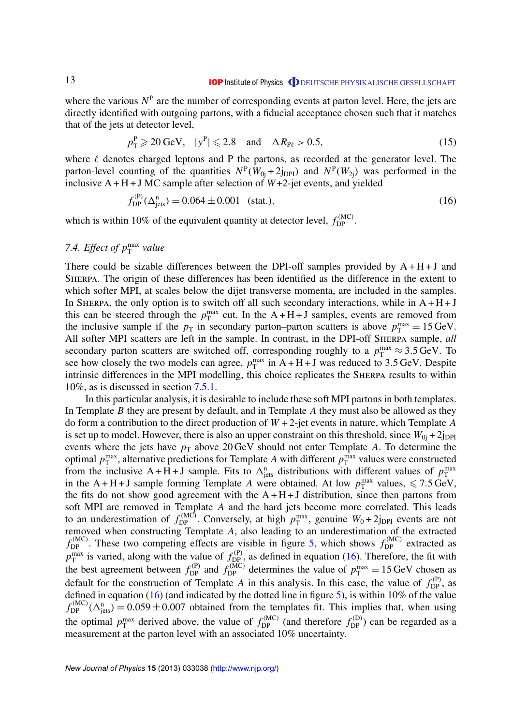#### **IOP** Institute of Physics **ODEUTSCHE PHYSIKALISCHE GESELLSCHAFT**

<span id="page-13-0"></span>where the various  $N<sup>P</sup>$  are the number of corresponding events at parton level. Here, the jets are directly identified with outgoing partons, with a fiducial acceptance chosen such that it matches that of the jets at detector level,

$$
p_T^P \geq 20 \text{ GeV}, \quad |y^P| \leq 2.8 \quad \text{and} \quad \Delta R_{P\ell} > 0.5,\tag{15}
$$

where  $\ell$  denotes charged leptons and P the partons, as recorded at the generator level. The parton-level counting of the quantities  $N^P(W_{0j} + 2j_{DPI})$  and  $N^P(W_{2j})$  was performed in the inclusive  $A + H + J$  MC sample after selection of  $W + 2$ -jet events, and yielded

$$
f_{\rm DP}^{(P)}(\Delta_{\rm jets}^{\rm n}) = 0.064 \pm 0.001 \quad \text{(stat.)},\tag{16}
$$

which is within 10% of the equivalent quantity at detector level,  $f_{\text{DP}}^{(\text{MC})}$ .

## 7.4. *Effect of*  $p_T^{\text{max}}$  value

There could be sizable differences between the DPI-off samples provided by  $A + H + J$  and Sherpa. The origin of these differences has been identified as the difference in the extent to which softer MPI, at scales below the dijet transverse momenta, are included in the samples. In SHERPA, the only option is to switch off all such secondary interactions, while in  $A + H + J$ this can be steered through the  $p_T^{\text{max}}$  cut. In the A + H + J samples, events are removed from the inclusive sample if the  $p_T$  in secondary parton–parton scatters is above  $p_T^{\text{max}} = 15 \text{ GeV}$ . All softer MPI scatters are left in the sample. In contrast, in the DPI-off Sherpa sample, *all* secondary parton scatters are switched off, corresponding roughly to a  $p_T^{\text{max}} \approx 3.5 \,\text{GeV}$ . To see how closely the two models can agree,  $p_T^{\text{max}}$  in A + H + J was reduced to 3.5 GeV. Despite intrinsic differences in the MPI modelling, this choice replicates the Sherpa results to within 10%, as is discussed in section [7.5.1.](#page-14-0)

In this particular analysis, it is desirable to include these soft MPI partons in both templates. In Template *B* they are present by default, and in Template *A* they must also be allowed as they do form a contribution to the direct production of *W* + 2-jet events in nature, which Template *A* is set up to model. However, there is also an upper constraint on this threshold, since  $W_{0i} + 2j_{\text{DPI}}$ events where the jets have  $p_T$  above 20 GeV should not enter Template *A*. To determine the optimal  $p_T^{\text{max}}$ , alternative predictions for Template *A* with different  $p_T^{\text{max}}$  values were constructed from the inclusive A + H + J sample. Fits to  $\Delta_{\text{jets}}^n$  distributions with different values of  $p_T^{\text{max}}$ in the A + H + J sample forming Template *A* were obtained. At low  $p_T^{\text{max}}$  values,  $\le 7.5 \text{ GeV}$ , the fits do not show good agreement with the  $A + H + J$  distribution, since then partons from soft MPI are removed in Template *A* and the hard jets become more correlated. This leads to an underestimation of  $f_{DP}^{(MC)}$ . Conversely, at high  $p_T^{\text{max}}$ , genuine  $W_0 + 2j_{DPI}$  events are not removed when constructing Template *A*, also leading to an underestimation of the extracted  $f_{\text{DP}}^{(\text{MC})}$ . These two competing effects are visible in figure [5,](#page-14-0) which shows  $f_{\text{DP}}^{(\text{MC})}$  extracted as  $p_T^{\text{max}}$  is varied, along with the value of  $f_{DP}^{(P)}$ , as defined in equation (16). Therefore, the fit with the best agreement between  $f_{DP}^{(P)}$  and  $f_{DP}^{(MC)}$  determines the value of  $p_T^{max} = 15 \text{ GeV}$  chosen as default for the construction of Template *A* in this analysis. In this case, the value of  $f_{\text{DP}}^{(P)}$ , as defined in equation (16) (and indicated by the dotted line in figure [5\)](#page-14-0), is within 10% of the value  $f_{\text{DP}}^{(\text{MC})}(\Delta_{\text{jets}}^n) = 0.059 \pm 0.007$  obtained from the templates fit. This implies that, when using the optimal  $p_T^{\text{max}}$  derived above, the value of  $f_{DP}^{(MC)}$  (and therefore  $f_{DP}^{(D)}$ ) can be regarded as a measurement at the parton level with an associated 10% uncertainty.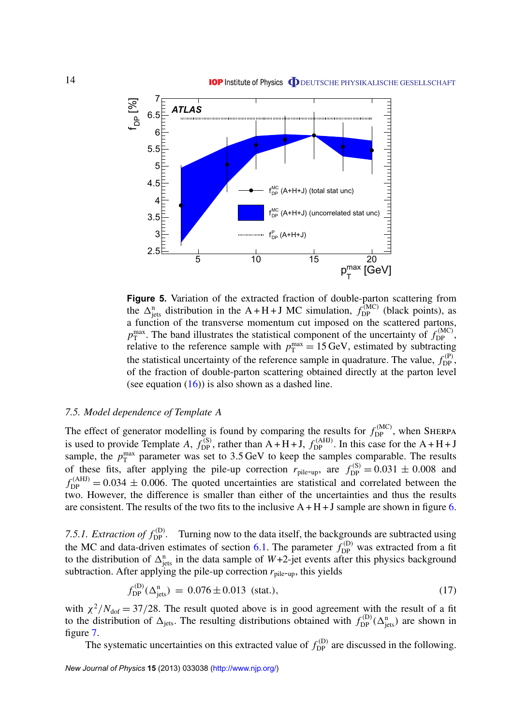<span id="page-14-0"></span>

**Figure 5.** Variation of the extracted fraction of double-parton scattering from the  $\Delta_{\text{jets}}^n$  distribution in the A + H + J MC simulation,  $f_{\text{DP}}^{(MC)}$  (black points), as a function of the transverse momentum cut imposed on the scattered partons,  $p_T^{\text{max}}$ . The band illustrates the statistical component of the uncertainty of  $f_{\text{DP}}^{(\text{MC})}$ ,  $p_T$ . The band must alless the statistical component of the uncertainty of  $f_{\text{DP}}$ , relative to the reference sample with  $p_T^{\text{max}} = 15 \text{ GeV}$ , estimated by subtracting the statistical uncertainty of the reference sample in quadrature. The value,  $f_{\text{DP}}^{(P)}$ , of the fraction of double-parton scattering obtained directly at the parton level (see equation  $(16)$ ) is also shown as a dashed line.

## *7.5. Model dependence of Template A*

The effect of generator modelling is found by comparing the results for  $f_{\text{DP}}^{(\text{MC})}$ , when SHERPA is used to provide Template *A*,  $f_{DP}^{(S)}$ , rather than A + H + J,  $f_{DP}^{(AHJ)}$ . In this case for the A + H + J sample, the  $p_T^{\text{max}}$  parameter was set to 3.5 GeV to keep the samples comparable. The results of these fits, after applying the pile-up correction  $r_{\text{pile-up}}$ , are  $f_{\text{DP}}^{(S)} = 0.031 \pm 0.008$  and  $f_{\text{DP}}^{(AHJ)} = 0.034 \pm 0.006$ . The quoted uncertainties are statistical and correlated between the two. However, the difference is smaller than either of the uncertainties and thus the results are consistent. The results of the two fits to the inclusive  $A + H + J$  sample are shown in figure [6.](#page-15-0)

7.5.1. Extraction of  $f_{\text{DP}}^{(D)}$ . Turning now to the data itself, the backgrounds are subtracted using the MC and data-driven estimates of section [6.1.](#page-8-0) The parameter  $f_{DP}^{(D)}$  was extracted from a fit to the distribution of  $\Delta^n_{\text{jets}}$  in the data sample of *W*+2-jet events after this physics background subtraction. After applying the pile-up correction  $r_{\text{pile-up}}$ , this yields

$$
f_{\rm DP}^{(D)}(\Delta_{\rm jets}^{\rm n}) = 0.076 \pm 0.013 \text{ (stat.),}
$$
 (17)

with  $\chi^2/N_{\text{dof}} = 37/28$ . The result quoted above is in good agreement with the result of a fit to the distribution of  $\Delta_{\text{jets}}$ . The resulting distributions obtained with  $f_{\text{DP}}^{(D)}(\Delta_{\text{jets}}^n)$  are shown in figure [7.](#page-15-0)

The systematic uncertainties on this extracted value of  $f_{\text{DP}}^{(D)}$  are discussed in the following.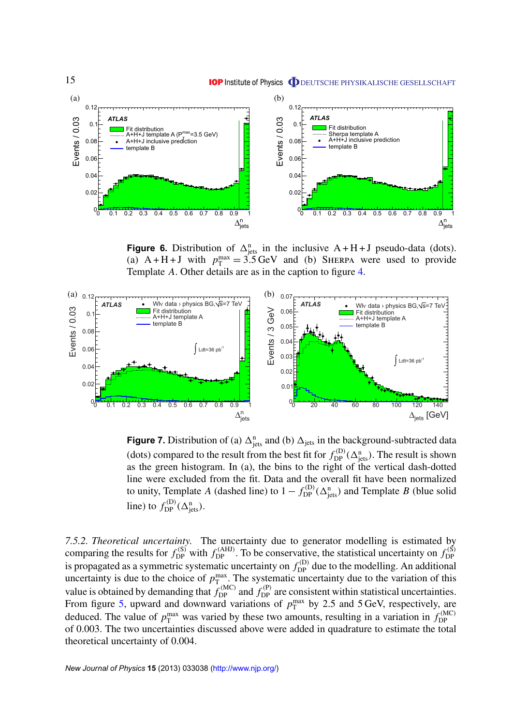<span id="page-15-0"></span>

**Figure 6.** Distribution of  $\Delta_{\text{jets}}^n$  in the inclusive  $A + H + J$  pseudo-data (dots). (a)  $A + H + J$  with  $p_T^{\text{max}} = 3.5 \text{ GeV}$  and (b) SHERPA were used to provide Template *A*. Other details are as in the caption to figure [4.](#page-12-0)



**Figure 7.** Distribution of (a)  $\Delta_{\text{jets}}^n$  and (b)  $\Delta_{\text{jets}}$  in the background-subtracted data (dots) compared to the result from the best fit for  $f_{DP}^{(D)}(\Delta_{\text{jets}}^n)$ . The result is shown as the green histogram. In (a), the bins to the right of the vertical dash-dotted line were excluded from the fit. Data and the overall fit have been normalized to unity, Template *A* (dashed line) to  $1 - f_{DP}^{(D)}(\Delta_{\text{jets}}^n)$  and Template *B* (blue solid line) to  $f_{\text{DP}}^{(D)}(\Delta_{\text{jets}}^n)$ .

*7.5.2. Theoretical uncertainty.* The uncertainty due to generator modelling is estimated by comparing the results for  $f_{DP}^{(S)}$  with  $f_{DP}^{(AHJ)}$ . To be conservative, the statistical uncertainty on  $f_{DP}^{(S)}$ DP is propagated as a symmetric systematic uncertainty on  $f_{DP}^{(D)}$  due to the modelling. An additional uncertainty is due to the choice of  $p_T^{\text{max}}$ . The systematic uncertainty due to the variation of this value is obtained by demanding that  $f_{DP}^{(MC)}$  and  $f_{DP}^{(P)}$  are consistent within statistical uncertainties. From figure [5,](#page-14-0) upward and downward variations of  $p_T^{\text{max}}$  by 2.5 and 5 GeV, respectively, are deduced. The value of  $p_T^{\text{max}}$  was varied by these two amounts, resulting in a variation in  $f_{\text{DP}}^{(\text{MC})}$ DP of 0.003. The two uncertainties discussed above were added in quadrature to estimate the total theoretical uncertainty of 0.004.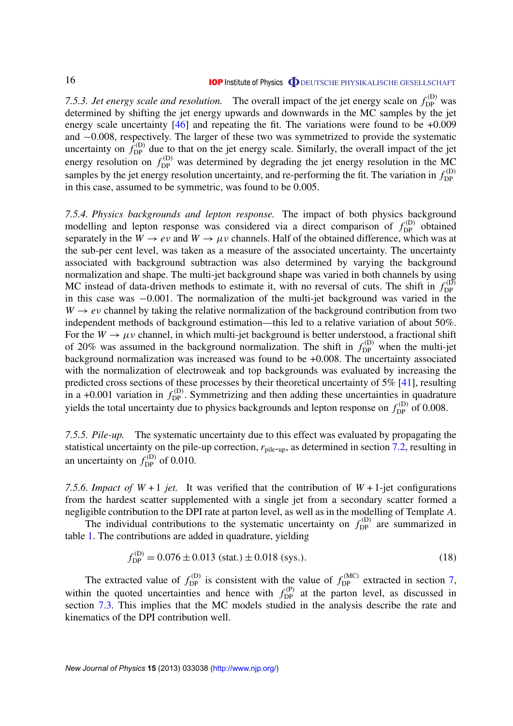7.5.3. *Jet energy scale and resolution*. The overall impact of the jet energy scale on  $f_{\text{DP}}^{(D)}$  was determined by shifting the jet energy upwards and downwards in the MC samples by the jet energy scale uncertainty [\[46\]](#page-39-0) and repeating the fit. The variations were found to be +0.009 and −0.008, respectively. The larger of these two was symmetrized to provide the systematic uncertainty on  $\hat{f}_{\text{DP}}^{(D)}$  due to that on the jet energy scale. Similarly, the overall impact of the jet energy resolution on  $f_{\text{DP}}^{(D)}$  was determined by degrading the jet energy resolution in the MC samples by the jet energy resolution uncertainty, and re-performing the fit. The variation in  $f_{\text{DP}}^{(D)}$ DP in this case, assumed to be symmetric, was found to be 0.005.

*7.5.4. Physics backgrounds and lepton response.* The impact of both physics background modelling and lepton response was considered via a direct comparison of  $f_{\text{DP}}^{(D)}$  obtained separately in the  $W \to e\nu$  and  $W \to \mu\nu$  channels. Half of the obtained difference, which was at the sub-per cent level, was taken as a measure of the associated uncertainty. The uncertainty associated with background subtraction was also determined by varying the background normalization and shape. The multi-jet background shape was varied in both channels by using MC instead of data-driven methods to estimate it, with no reversal of cuts. The shift in  $f_{\text{DP}}^{(D)}$ DP in this case was −0.001. The normalization of the multi-jet background was varied in the  $W \rightarrow e\nu$  channel by taking the relative normalization of the background contribution from two independent methods of background estimation—this led to a relative variation of about 50%. For the  $W \to \mu \nu$  channel, in which multi-jet background is better understood, a fractional shift of 20% was assumed in the background normalization. The shift in  $f_{\text{DP}}^{(D)}$  when the multi-jet background normalization was increased was found to be +0.008. The uncertainty associated with the normalization of electroweak and top backgrounds was evaluated by increasing the predicted cross sections of these processes by their theoretical uncertainty of 5% [\[41\]](#page-39-0), resulting in a +0.001 variation in  $f_{\text{DP}}^{(D)}$ . Symmetrizing and then adding these uncertainties in quadrature yields the total uncertainty due to physics backgrounds and lepton response on  $f_{\text{DP}}^{(\text{D})}$  of 0.008.

*7.5.5. Pile-up.* The systematic uncertainty due to this effect was evaluated by propagating the statistical uncertainty on the pile-up correction,  $r_{\text{pile-up}}$ , as determined in section [7.2,](#page-11-0) resulting in an uncertainty on  $f_{\text{DP}}^{(D)}$  of 0.010.

7.5.6. *Impact of W* + 1 *jet.* It was verified that the contribution of *W* + 1-jet configurations from the hardest scatter supplemented with a single jet from a secondary scatter formed a negligible contribution to the DPI rate at parton level, as well as in the modelling of Template *A*.

The individual contributions to the systematic uncertainty on  $f_{\text{DP}}^{(D)}$  are summarized in table [1.](#page-17-0) The contributions are added in quadrature, yielding

$$
f_{\rm DP}^{(D)} = 0.076 \pm 0.013 \text{ (stat.)} \pm 0.018 \text{ (sys.)} \tag{18}
$$

The extracted value of  $f_{\text{DP}}^{(D)}$  is consistent with the value of  $f_{\text{DP}}^{(MC)}$  extracted in section [7,](#page-10-0) within the quoted uncertainties and hence with  $f_{\text{DP}}^{(P)}$  at the parton level, as discussed in section [7.3.](#page-12-0) This implies that the MC models studied in the analysis describe the rate and kinematics of the DPI contribution well.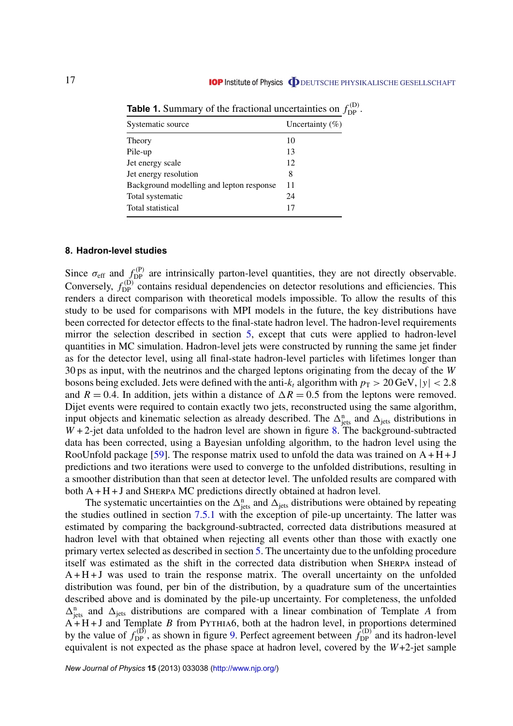| Uncertainty $(\%)$ |
|--------------------|
| 10                 |
| 13                 |
| 12                 |
| 8                  |
| 11                 |
| 24                 |
| 17                 |
|                    |

<span id="page-17-0"></span>**Table 1.** Summary of the fractional uncertainties on  $f_{\text{DP}}^{(\text{D})}$ .

#### **8. Hadron-level studies**

Since  $\sigma_{\rm eff}$  and  $f_{\rm DP}^{(P)}$  are intrinsically parton-level quantities, they are not directly observable. Conversely,  $f_{\text{DP}}^{(\text{D})}$  contains residual dependencies on detector resolutions and efficiencies. This renders a direct comparison with theoretical models impossible. To allow the results of this study to be used for comparisons with MPI models in the future, the key distributions have been corrected for detector effects to the final-state hadron level. The hadron-level requirements mirror the selection described in section [5,](#page-6-0) except that cuts were applied to hadron-level quantities in MC simulation. Hadron-level jets were constructed by running the same jet finder as for the detector level, using all final-state hadron-level particles with lifetimes longer than 30 ps as input, with the neutrinos and the charged leptons originating from the decay of the *W* bosons being excluded. Jets were defined with the anti- $k_t$  algorithm with  $p_T > 20 \,\text{GeV}, |y| < 2.8$ and  $R = 0.4$ . In addition, jets within a distance of  $\Delta R = 0.5$  from the leptons were removed. Dijet events were required to contain exactly two jets, reconstructed using the same algorithm, input objects and kinematic selection as already described. The  $\Delta_{\text{jets}}^n$  and  $\Delta_{\text{jets}}$  distributions in *W* + 2-jet data unfolded to the hadron level are shown in figure [8.](#page-18-0) The background-subtracted data has been corrected, using a Bayesian unfolding algorithm, to the hadron level using the RooUnfold package [\[59\]](#page-39-0). The response matrix used to unfold the data was trained on  $A + H + J$ predictions and two iterations were used to converge to the unfolded distributions, resulting in a smoother distribution than that seen at detector level. The unfolded results are compared with both  $A + H + J$  and SHERPA MC predictions directly obtained at hadron level.

The systematic uncertainties on the  $\Delta_{\text{jets}}^n$  and  $\Delta_{\text{jets}}$  distributions were obtained by repeating the studies outlined in section [7.5.1](#page-14-0) with the exception of pile-up uncertainty. The latter was estimated by comparing the background-subtracted, corrected data distributions measured at hadron level with that obtained when rejecting all events other than those with exactly one primary vertex selected as described in section [5.](#page-6-0) The uncertainty due to the unfolding procedure itself was estimated as the shift in the corrected data distribution when Sherpa instead of  $A + H + J$  was used to train the response matrix. The overall uncertainty on the unfolded distribution was found, per bin of the distribution, by a quadrature sum of the uncertainties described above and is dominated by the pile-up uncertainty. For completeness, the unfolded  $\Delta_{\text{jets}}^n$  and  $\Delta_{\text{jets}}$  distributions are compared with a linear combination of Template *A* from  $A + H + J$  and Template *B* from PYTHIA6, both at the hadron level, in proportions determined by the value of  $f_{DP}^{(D)}$ , as shown in figure [9.](#page-19-0) Perfect agreement between  $\hat{f}_{DP}^{(D)}$  and its hadron-level equivalent is not expected as the phase space at hadron level, covered by the *W*+2-jet sample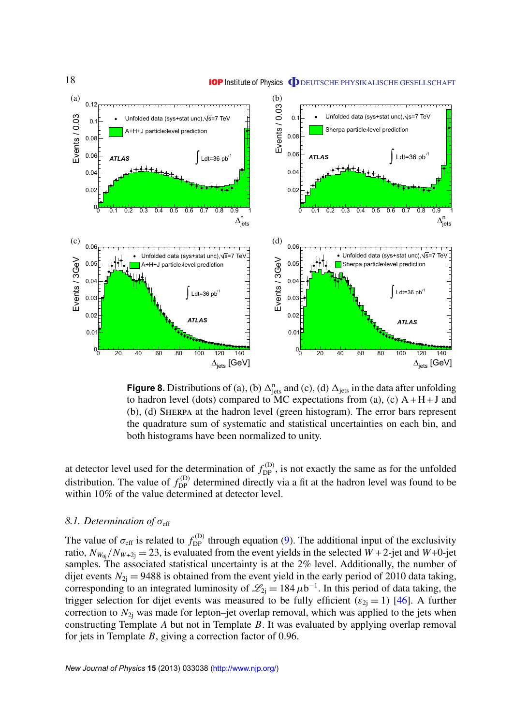<span id="page-18-0"></span>

**Figure 8.** Distributions of (a), (b)  $\Delta_{\text{jets}}^n$  and (c), (d)  $\Delta_{\text{jets}}$  in the data after unfolding to hadron level (dots) compared to MC expectations from (a), (c)  $A + H + J$  and (b), (d) Sherpa at the hadron level (green histogram). The error bars represent the quadrature sum of systematic and statistical uncertainties on each bin, and both histograms have been normalized to unity.

at detector level used for the determination of  $f_{DP}^{(D)}$ , is not exactly the same as for the unfolded distribution. The value of  $f_{\text{DP}}^{(D)}$  determined directly via a fit at the hadron level was found to be within 10% of the value determined at detector level.

#### *8.1. Determination of* σ<sub>eff</sub>

The value of  $\sigma_{\rm eff}$  is related to  $f_{\rm DP}^{(D)}$  through equation [\(9\)](#page-5-0). The additional input of the exclusivity ratio,  $N_{W_{0i}}/N_{W+2i} = 23$ , is evaluated from the event yields in the selected  $W + 2$ -jet and  $W + 0$ -jet samples. The associated statistical uncertainty is at the 2% level. Additionally, the number of dijet events  $N_{2i} = 9488$  is obtained from the event yield in the early period of 2010 data taking, corresponding to an integrated luminosity of  $\mathcal{L}_{2j} = 184 \,\mu b^{-1}$ . In this period of data taking, the trigger selection for dijet events was measured to be fully efficient ( $\varepsilon_{2i} = 1$ ) [\[46\]](#page-39-0). A further correction to  $N_{2i}$  was made for lepton–jet overlap removal, which was applied to the jets when constructing Template *A* but not in Template *B*. It was evaluated by applying overlap removal for jets in Template *B*, giving a correction factor of 0.96.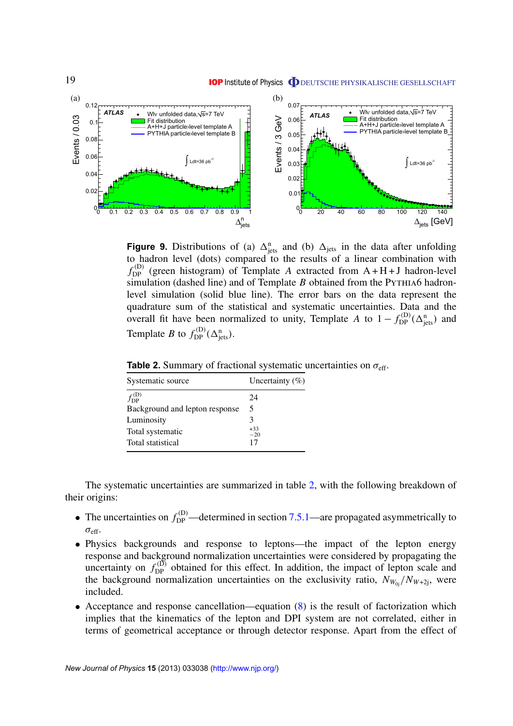<span id="page-19-0"></span>

**Figure 9.** Distributions of (a)  $\Delta_{\text{jets}}^n$  and (b)  $\Delta_{\text{jets}}^n$  in the data after unfolding to hadron level (dots) compared to the results of a linear combination with  $f_{\text{DP}}^{(\text{D})}$  (green histogram) of Template *A* extracted from A + H + J hadron-level simulation (dashed line) and of Template *B* obtained from the PYTHIA6 hadronlevel simulation (solid blue line). The error bars on the data represent the quadrature sum of the statistical and systematic uncertainties. Data and the overall fit have been normalized to unity, Template *A* to  $1 - f_{\text{DP}}^{(D)}(\Delta_{\text{jets}}^n)$  and Template *B* to  $f_{DP}^{(D)}(\Delta_{jets}^n)$ .

| Systematic source              | Uncertainty $(\% )$ |  |
|--------------------------------|---------------------|--|
| $f_{\rm DP}^{(\rm D)}$         | 24                  |  |
| Background and lepton response | 5                   |  |
| Luminosity                     | 3                   |  |
| Total systematic               | $+33$<br>$-20$      |  |
| Total statistical              | 17                  |  |
|                                |                     |  |

**Table 2.** Summary of fractional systematic uncertainties on  $\sigma_{\text{eff}}$ .

The systematic uncertainties are summarized in table 2, with the following breakdown of their origins:

- The uncertainties on  $f_{\text{DP}}^{(D)}$ —determined in section [7.5.1—](#page-14-0)are propagated asymmetrically to  $\sigma_{\text{eff}}$ .
- Physics backgrounds and response to leptons—the impact of the lepton energy response and background normalization uncertainties were considered by propagating the uncertainty on  $f_{\text{DP}}^{(D)}$  obtained for this effect. In addition, the impact of lepton scale and the background normalization uncertainties on the exclusivity ratio,  $N_{W_{0i}}/N_{W+2i}$ , were included.
- Acceptance and response cancellation—equation [\(8\)](#page-5-0) is the result of factorization which implies that the kinematics of the lepton and DPI system are not correlated, either in terms of geometrical acceptance or through detector response. Apart from the effect of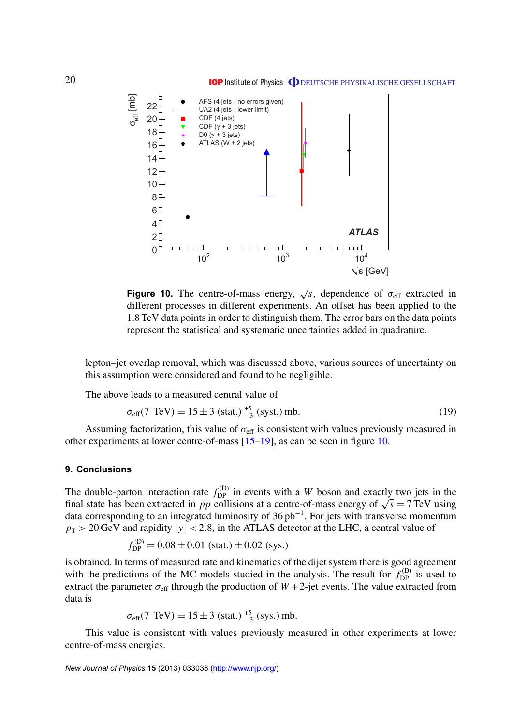<span id="page-20-0"></span>

**Figure 10.** The centre-of-mass energy,  $\sqrt{s}$ , dependence of  $\sigma_{\text{eff}}$  extracted in different processes in different experiments. An offset has been applied to the 1.8 TeV data points in order to distinguish them. The error bars on the data points represent the statistical and systematic uncertainties added in quadrature.

lepton–jet overlap removal, which was discussed above, various sources of uncertainty on this assumption were considered and found to be negligible.

The above leads to a measured central value of

$$
\sigma_{\rm eff}(7 \text{ TeV}) = 15 \pm 3 \text{ (stat.)}^{+5}_{-3} \text{ (syst.) mb.}
$$
 (19)

Assuming factorization, this value of  $\sigma_{\rm eff}$  is consistent with values previously measured in other experiments at lower centre-of-mass [\[15–19\]](#page-39-0), as can be seen in figure 10.

#### **9. Conclusions**

The double-parton interaction rate  $f_{DP}^{(D)}$  in events with a *W* boson and exactly two jets in the The double-parton interaction rate  $f_{DP}^{(p)}$  in events with a *W* boson and exactly two jets in the final state has been extracted in *pp* collisions at a centre-of-mass energy of  $\sqrt{s} = 7 \text{ TeV}$  using data corresponding to an integrated luminosity of 36 pb<sup>−</sup><sup>1</sup> . For jets with transverse momentum  $p_T > 20$  GeV and rapidity  $|y| < 2.8$ , in the ATLAS detector at the LHC, a central value of

$$
f_{\rm DP}^{(D)} = 0.08 \pm 0.01 \text{ (stat.)} \pm 0.02 \text{ (sys.)}
$$

is obtained. In terms of measured rate and kinematics of the dijet system there is good agreement with the predictions of the MC models studied in the analysis. The result for  $f_{\text{DP}}^{(D)}$  is used to extract the parameter  $\sigma_{\text{eff}}$  through the production of  $W + 2$ -jet events. The value extracted from data is

$$
\sigma_{\text{eff}}(7 \text{ TeV}) = 15 \pm 3 \text{ (stat.)}^{+5}_{-3} \text{ (sys.) mb.}
$$

This value is consistent with values previously measured in other experiments at lower centre-of-mass energies.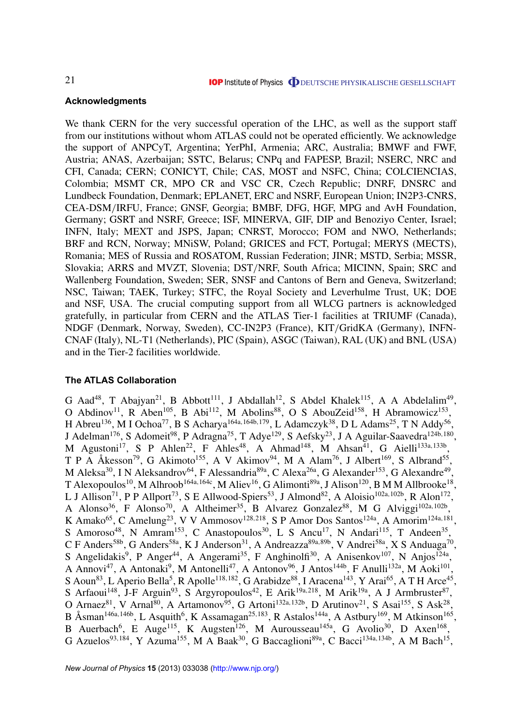## <span id="page-21-0"></span>**Acknowledgments**

We thank CERN for the very successful operation of the LHC, as well as the support staff from our institutions without whom ATLAS could not be operated efficiently. We acknowledge the support of ANPCyT, Argentina; YerPhI, Armenia; ARC, Australia; BMWF and FWF, Austria; ANAS, Azerbaijan; SSTC, Belarus; CNPq and FAPESP, Brazil; NSERC, NRC and CFI, Canada; CERN; CONICYT, Chile; CAS, MOST and NSFC, China; COLCIENCIAS, Colombia; MSMT CR, MPO CR and VSC CR, Czech Republic; DNRF, DNSRC and Lundbeck Foundation, Denmark; EPLANET, ERC and NSRF, European Union; IN2P3-CNRS, CEA-DSM/IRFU, France; GNSF, Georgia; BMBF, DFG, HGF, MPG and AvH Foundation, Germany; GSRT and NSRF, Greece; ISF, MINERVA, GIF, DIP and Benoziyo Center, Israel; INFN, Italy; MEXT and JSPS, Japan; CNRST, Morocco; FOM and NWO, Netherlands; BRF and RCN, Norway; MNiSW, Poland; GRICES and FCT, Portugal; MERYS (MECTS), Romania; MES of Russia and ROSATOM, Russian Federation; JINR; MSTD, Serbia; MSSR, Slovakia; ARRS and MVZT, Slovenia; DST/NRF, South Africa; MICINN, Spain; SRC and Wallenberg Foundation, Sweden; SER, SNSF and Cantons of Bern and Geneva, Switzerland; NSC, Taiwan; TAEK, Turkey; STFC, the Royal Society and Leverhulme Trust, UK; DOE and NSF, USA. The crucial computing support from all WLCG partners is acknowledged gratefully, in particular from CERN and the ATLAS Tier-1 facilities at TRIUMF (Canada), NDGF (Denmark, Norway, Sweden), CC-IN2P3 (France), KIT/GridKA (Germany), INFN-CNAF (Italy), NL-T1 (Netherlands), PIC (Spain), ASGC (Taiwan), RAL (UK) and BNL (USA) and in the Tier-2 facilities worldwide.

## **The ATLAS Collaboration**

G Aad<sup>48</sup>, T Abajyan<sup>21</sup>, B Abbott<sup>111</sup>, J Abdallah<sup>12</sup>, S Abdel Khalek<sup>115</sup>, A A Abdelalim<sup>49</sup>, O Abdinov<sup>11</sup>, R Aben<sup>105</sup>, B Abi<sup>112</sup>, M Abolins<sup>88</sup>, O S AbouZeid<sup>158</sup>, H Abramowicz<sup>153</sup>, H Abreu<sup>136</sup>, M I Ochoa<sup>77</sup>, B S Acharya<sup>164a, 164b, 179</sup>, L Adamczyk<sup>38</sup>, D L Adams<sup>25</sup>, T N Addy<sup>56</sup>, J Adelman<sup>176</sup>, S Adomeit<sup>98</sup>, P Adragna<sup>75</sup>, T Adye<sup>129</sup>, S Aefsky<sup>23</sup>, J A Aguilar-Saavedra<sup>124b,180</sup>, M Agustoni<sup>17</sup>, S P Ahlen<sup>22</sup>, F Ahles<sup>48</sup>, A Ahmad<sup>148</sup>, M Ahsan<sup>41</sup>, G Aielli<sup>133a,133b</sup>, T P A Åkesson<sup>79</sup>, G Akimoto<sup>155</sup>, A V Akimov<sup>94</sup>, M A Alam<sup>76</sup>, J Albert<sup>169</sup>, S Albrand<sup>55</sup>, M Aleksa<sup>30</sup>, I N Aleksandrov<sup>64</sup>, F Alessandria<sup>89a</sup>, C Alexa<sup>26a</sup>, G Alexander<sup>153</sup>, G Alexandre<sup>49</sup>, T Alexopoulos $^{10}$ , M Alhroob $^{164$ a, $164$ c, M Aliev $^{16}$ , G Alimonti $^{89$ a, J Alison $^{120}$ , B M M Allbrooke $^{18}$ , L J Allison<sup>71</sup>, P P Allport<sup>73</sup>, S E Allwood-Spiers<sup>53</sup>, J Almond<sup>82</sup>, A Aloisio<sup>102a,102b</sup>, R Alon<sup>172</sup>, A Alonso<sup>36</sup>, F Alonso<sup>70</sup>, A Altheimer<sup>35</sup>, B Alvarez Gonzalez<sup>88</sup>, M G Alviggi<sup>102a,102b</sup>, K Amako<sup>65</sup>, C Amelung<sup>23</sup>, V V Ammosov<sup>128,218</sup>, S P Amor Dos Santos<sup>124a</sup>, A Amorim<sup>124a,181</sup>, S Amoroso<sup>48</sup>, N Amram<sup>153</sup>, C Anastopoulos<sup>30</sup>, L S Ancu<sup>17</sup>, N Andari<sup>115</sup>, T Andeen<sup>35</sup>, C F Anders<sup>58b</sup>, G Anders<sup>58a</sup>, K J Anderson<sup>31</sup>, A Andreazza<sup>89a,89b</sup>, V Andrei<sup>58a</sup>, X S Anduaga<sup>70</sup>, S Angelidakis<sup>9</sup>, P Anger<sup>44</sup>, A Angerami<sup>35</sup>, F Anghinolfi<sup>30</sup>, A Anisenkov<sup>107</sup>, N Anjos<sup>124a</sup>, A Annovi<sup>47</sup>, A Antonaki<sup>9</sup>, M Antonelli<sup>47</sup>, A Antonov<sup>96</sup>, J Antos<sup>144b</sup>, F Anulli<sup>132a</sup>, M Aoki<sup>101</sup>, S Aoun<sup>83</sup>, L Aperio Bella<sup>5</sup>, R Apolle<sup>118,182</sup>, G Arabidze<sup>88</sup>, I Aracena<sup>143</sup>, Y Arai<sup>65</sup>, A T H Arce<sup>45</sup>, S Arfaoui<sup>148</sup>, J-F Arguin<sup>93</sup>, S Argyropoulos<sup>42</sup>, E Arik<sup>19a,218</sup>, M Arik<sup>19a</sup>, A J Armbruster<sup>87</sup>, O Arnaez<sup>81</sup>, V Arnal<sup>80</sup>, A Artamonov<sup>95</sup>, G Artoni<sup>132a, 132b</sup>, D Arutinov<sup>21</sup>, S Asai<sup>155</sup>, S Ask<sup>28</sup>, B Åsman<sup>146a,146b</sup>, L Asquith<sup>6</sup>, K Assamagan<sup>25,183</sup>, R Astalos<sup>144a</sup>, A Astbury<sup>169</sup>, M Atkinson<sup>165</sup>, B Auerbach<sup>6</sup>, E Auge<sup>115</sup>, K Augsten<sup>126</sup>, M Aurousseau<sup>145a</sup>, G Avolio<sup>30</sup>, D Axen<sup>168</sup>, G Azuelos<sup>93,184</sup>, Y Azuma<sup>155</sup>, M A Baak<sup>30</sup>, G Baccaglioni<sup>89a</sup>, C Bacci<sup>134a,134b</sup>, A M Bach<sup>15</sup>,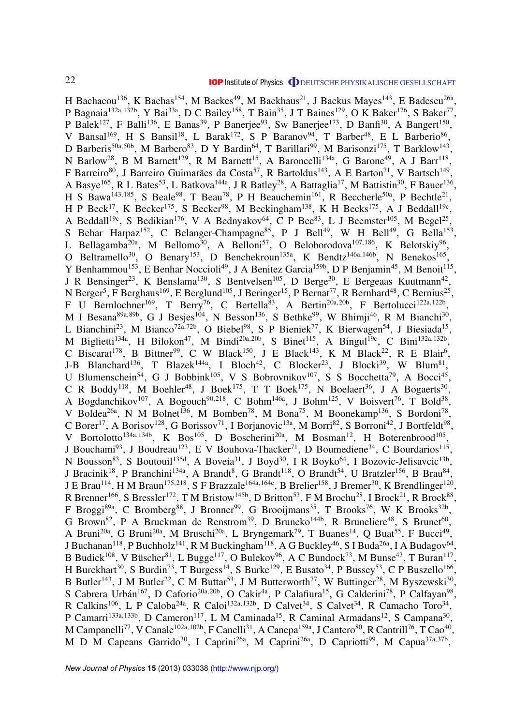H Bachacou<sup>136</sup>, K Bachas<sup>154</sup>, M Backes<sup>49</sup>, M Backhaus<sup>21</sup>, J Backus Mayes<sup>143</sup>, E Badescu<sup>26a</sup>, P Bagnaia<sup>132a, 132b</sup>, Y Bai<sup>33a</sup>, D C Bailey<sup>158</sup>, T Bain<sup>35</sup>, J T Baines<sup>129</sup>, O K Baker<sup>176</sup>, S Baker<sup>77</sup>, P Balek<sup>127</sup>, F Balli<sup>136</sup>, E Banas<sup>39</sup>, P Banerjee<sup>93</sup>, Sw Banerjee<sup>173</sup>, D Banfi<sup>30</sup>, A Bangert<sup>150</sup>, V Bansal<sup>169</sup>, H S Bansil<sup>18</sup>, L Barak<sup>172</sup>, S P Baranov<sup>94</sup>, T Barber<sup>48</sup>, E L Barberio<sup>86</sup>, D Barberis<sup>50a, 50b</sup>, M Barbero<sup>83</sup>, D Y Bardin<sup>64</sup>, T Barillari<sup>99</sup>, M Barisonzi<sup>175</sup>, T Barklow<sup>143</sup>, N Barlow<sup>28</sup>, B M Barnett<sup>129</sup>, R M Barnett<sup>15</sup>, A Baroncelli<sup>134a</sup>, G Barone<sup>49</sup>, A J Barr<sup>118</sup>, F Barreiro<sup>80</sup>, J Barreiro Guimarães da Costa<sup>57</sup>, R Bartoldus<sup>143</sup>, A E Barton<sup>71</sup>, V Bartsch<sup>149</sup>, A Basye<sup>165</sup>, R L Bates<sup>53</sup>, L Batkova<sup>144a</sup>, J R Batley<sup>28</sup>, A Battaglia<sup>17</sup>, M Battistin<sup>30</sup>, F Bauer<sup>136</sup>, H S Bawa<sup>143,185</sup>, S Beale<sup>98</sup>, T Beau<sup>78</sup>, P H Beauchemin<sup>161</sup>, R Beccherle<sup>50a</sup>, P Bechtle<sup>21</sup>, H P Beck<sup>17</sup>, K Becker<sup>175</sup>, S Becker<sup>98</sup>, M Beckingham<sup>138</sup>, K H Becks<sup>175</sup>, A J Beddall<sup>19c</sup>, A Beddall<sup>19c</sup>, S Bedikian<sup>176</sup>, V A Bednyakov<sup>64</sup>, C P Bee<sup>83</sup>, L J Beemster<sup>105</sup>, M Begel<sup>25</sup>, S Behar Harpaz<sup>152</sup>, C Belanger-Champagne<sup>85</sup>, P J Bell<sup>49</sup>, W H Bell<sup>49</sup>, G Bella<sup>153</sup>, L Bellagamba<sup>20a</sup>, M Bellomo<sup>30</sup>, A Belloni<sup>57</sup>, O Beloborodova<sup>107,186</sup>, K Belotskiy<sup>96</sup>, O Beltramello<sup>30</sup>, O Benary<sup>153</sup>, D Benchekroun<sup>135a</sup>, K Bendtz<sup>146a,146b</sup>, N Benekos<sup>165</sup>, Y Benhammou<sup>153</sup>, E Benhar Noccioli<sup>49</sup>, J A Benitez Garcia<sup>159b</sup>, D P Benjamin<sup>45</sup>, M Benoit<sup>115</sup>, J R Bensinger<sup>23</sup>, K Benslama<sup>130</sup>, S Bentvelsen<sup>105</sup>, D Berge<sup>30</sup>, E Bergeaas Kuutmann<sup>42</sup>, N Berger<sup>5</sup>, F Berghaus<sup>169</sup>, E Berglund<sup>105</sup>, J Beringer<sup>15</sup>, P Bernat<sup>77</sup>, R Bernhard<sup>48</sup>, C Bernius<sup>25</sup>, F U Bernlochner<sup>169</sup>, T Berry<sup>76</sup>, C Bertella<sup>83</sup>, A Bertin<sup>20a, 20b</sup>, F Bertolucci<sup>122a, 122b</sup>, M I Besana<sup>89a, 89b</sup>, G J Besjes<sup>104</sup>, N Besson<sup>136</sup>, S Bethke<sup>99</sup>, W Bhimji<sup>46</sup>, R M Bianchi<sup>30</sup>, L Bianchini<sup>23</sup>, M Bianco<sup>72a,72b</sup>, O Biebel<sup>98</sup>, S P Bieniek<sup>77</sup>, K Bierwagen<sup>54</sup>, J Biesiada<sup>15</sup>, M Biglietti<sup>134a</sup>, H Bilokon<sup>47</sup>, M Bindi<sup>20a,20b</sup>, S Binet<sup>115</sup>, A Bingul<sup>19c</sup>, C Bini<sup>132a,132b</sup>, C Biscarat<sup>178</sup>, B Bittner<sup>99</sup>, C W Black<sup>150</sup>, J E Black<sup>143</sup>, K M Black<sup>22</sup>, R E Blair<sup>6</sup>, J-B Blanchard<sup>136</sup>, T Blazek<sup>144a</sup>, I Bloch<sup>42</sup>, C Blocker<sup>23</sup>, J Blocki<sup>39</sup>, W Blum<sup>81</sup>, U Blumenschein<sup>54</sup>, G J Bobbink<sup>105</sup>, V S Bobrovnikov<sup>107</sup>, S S Bocchetta<sup>79</sup>, A Bocci<sup>45</sup>, C R Boddy<sup>118</sup>, M Boehler<sup>48</sup>, J Boek<sup>175</sup>, T T Boek<sup>175</sup>, N Boelaert<sup>36</sup>, J A Bogaerts<sup>30</sup>, A Bogdanchikov<sup>107</sup>, A Bogouch<sup>90,218</sup>, C Bohm<sup>146a</sup>, J Bohm<sup>125</sup>, V Boisvert<sup>76</sup>, T Bold<sup>38</sup>, V Boldea<sup>26a</sup>, N M Bolnet<sup>136</sup>, M Bomben<sup>78</sup>, M Bona<sup>75</sup>, M Boonekamp<sup>136</sup>, S Bordoni<sup>78</sup>, C Borer<sup>17</sup>, A Borisov<sup>128</sup>, G Borissov<sup>71</sup>, I Borjanovic<sup>13a</sup>, M Borri<sup>82</sup>, S Borroni<sup>42</sup>, J Bortfeldt<sup>98</sup>, V Bortolotto<sup>134a,134b</sup>, K Bos<sup>105</sup>, D Boscherini<sup>20a</sup>, M Bosman<sup>12</sup>, H Boterenbrood<sup>105</sup>, J Bouchami<sup>93</sup>, J Boudreau<sup>123</sup>, E V Bouhova-Thacker<sup>71</sup>, D Boumediene<sup>34</sup>, C Bourdarios<sup>115</sup>, N Bousson<sup>83</sup>, S Boutouil<sup>135d</sup>, A Boveia<sup>31</sup>, J Boyd<sup>30</sup>, I R Boyko<sup>64</sup>, I Bozovic-Jelisavcic<sup>13b</sup>, J Bracinik<sup>18</sup>, P Branchini<sup>134a</sup>, A Brandt<sup>8</sup>, G Brandt<sup>118</sup>, O Brandt<sup>54</sup>, U Bratzler<sup>156</sup>, B Brau<sup>84</sup>, J E Brau<sup>114</sup>, H M Braun<sup>175,218</sup>, S F Brazzale<sup>164a,164c</sup>, B Brelier<sup>158</sup>, J Bremer<sup>30</sup>, K Brendlinger<sup>120</sup>, R Brenner<sup>166</sup>, S Bressler<sup>172</sup>, T M Bristow<sup>145b</sup>, D Britton<sup>53</sup>, F M Brochu<sup>28</sup>, I Brock<sup>21</sup>, R Brock<sup>88</sup>, F Broggi<sup>89a</sup>, C Bromberg<sup>88</sup>, J Bronner<sup>99</sup>, G Brooijmans<sup>35</sup>, T Brooks<sup>76</sup>, W K Brooks<sup>32b</sup>, G Brown<sup>82</sup>, P A Bruckman de Renstrom<sup>39</sup>, D Bruncko<sup>144b</sup>, R Bruneliere<sup>48</sup>, S Brunet<sup>60</sup>, A Bruni<sup>20a</sup>, G Bruni<sup>20a</sup>, M Bruschi<sup>20a</sup>, L Bryngemark<sup>79</sup>, T Buanes<sup>14</sup>, Q Buat<sup>55</sup>, F Bucci<sup>49</sup>, J Buchanan<sup>118</sup>, P Buchholz<sup>141</sup>, R M Buckingham<sup>118</sup>, A G Buckley<sup>46</sup>, S I Buda<sup>26a</sup>, I A Budagov<sup>64</sup>, B Budick<sup>108</sup>, V Büscher<sup>81</sup>, L Bugge<sup>117</sup>, O Bulekov<sup>96</sup>, A C Bundock<sup>73</sup>, M Bunse<sup>43</sup>, T Buran<sup>117</sup>, H Burckhart<sup>30</sup>, S Burdin<sup>73</sup>, T Burgess<sup>14</sup>, S Burke<sup>129</sup>, E Busato<sup>34</sup>, P Bussey<sup>53</sup>, C P Buszello<sup>166</sup>, B Butler<sup>143</sup>, J M Butler<sup>22</sup>, C M Buttar<sup>53</sup>, J M Butterworth<sup>77</sup>, W Buttinger<sup>28</sup>, M Byszewski<sup>30</sup>, S Cabrera Urbán<sup>167</sup>, D Caforio<sup>20a, 20b</sup>, O Cakir<sup>4a</sup>, P Calafiura<sup>15</sup>, G Calderini<sup>78</sup>, P Calfayan<sup>98</sup>, R Calkins<sup>106</sup>, L P Caloba<sup>24a</sup>, R Caloi<sup>132a,132b</sup>, D Calvet<sup>34</sup>, S Calvet<sup>34</sup>, R Camacho Toro<sup>34</sup>, P Camarri<sup>133a,133b</sup>, D Cameron<sup>117</sup>, L M Caminada<sup>15</sup>, R Caminal Armadans<sup>12</sup>, S Campana<sup>30</sup>, M Campanelli<sup>77</sup>, V Canale<sup>102a,102b</sup>, F Canelli<sup>31</sup>, A Canepa<sup>159a</sup>, J Cantero<sup>80</sup>, R Cantrill<sup>76</sup>, T Cao<sup>40</sup>, M D M Capeans Garrido<sup>30</sup>, I Caprini<sup>26a</sup>, M Caprini<sup>26a</sup>, D Capriotti<sup>99</sup>, M Capua<sup>37a,37b</sup>,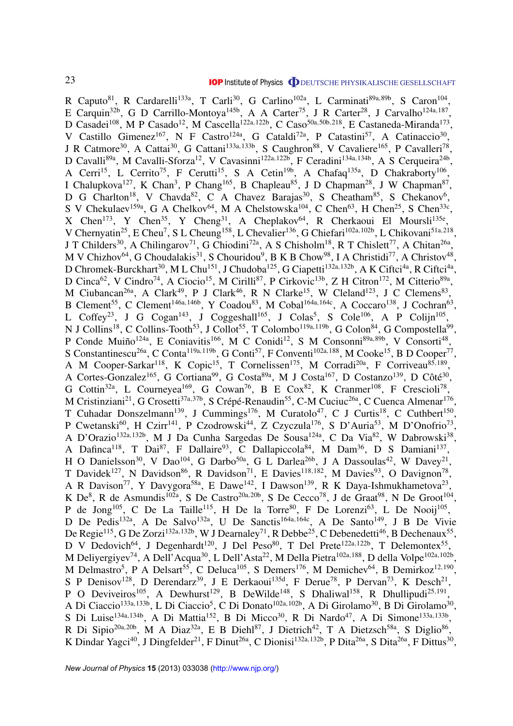R Caputo<sup>81</sup>, R Cardarelli<sup>133a</sup>, T Carli<sup>30</sup>, G Carlino<sup>102a</sup>, L Carminati<sup>89a,89b</sup>, S Caron<sup>104</sup>, E Carquin<sup>32b</sup>, G D Carrillo-Montoya<sup>145b</sup>, A A Carter<sup>75</sup>, J R Carter<sup>28</sup>, J Carvalho<sup>124a,187</sup>, D Casadei<sup>108</sup>, M P Casado<sup>12</sup>, M Cascella<sup>122a,122b</sup>, C Caso<sup>50a,50b,218</sup>, E Castaneda-Miranda<sup>173</sup>, V Castillo Gimenez<sup>167</sup>, N F Castro<sup>124a</sup>, G Cataldi<sup>72a</sup>, P Catastini<sup>57</sup>, A Catinaccio<sup>30</sup>, J R Catmore<sup>30</sup>, A Cattai<sup>30</sup>, G Cattani<sup>133a, 133b</sup>, S Caughron<sup>88</sup>, V Cavaliere<sup>165</sup>, P Cavalleri<sup>78</sup>, D Cavalli<sup>89a</sup>, M Cavalli-Sforza<sup>12</sup>, V Cavasinni<sup>122a,122b</sup>, F Ceradini<sup>134a,134b</sup>, A S Cerqueira<sup>24b</sup>, A Cerri<sup>15</sup>, L Cerrito<sup>75</sup>, F Cerutti<sup>15</sup>, S A Cetin<sup>19b</sup>, A Chafaq<sup>135a</sup>, D Chakraborty<sup>106</sup>, I Chalupkova<sup>127</sup>, K Chan<sup>3</sup>, P Chang<sup>165</sup>, B Chapleau<sup>85</sup>, J D Chapman<sup>28</sup>, J W Chapman<sup>87</sup>, D G Charlton<sup>18</sup>, V Chavda<sup>82</sup>, C A Chavez Barajas<sup>30</sup>, S Cheatham<sup>85</sup>, S Chekanov<sup>6</sup>, S V Chekulaev<sup>159a</sup>, G A Chelkov<sup>64</sup>, M A Chelstowska<sup>104</sup>, C Chen<sup>63</sup>, H Chen<sup>25</sup>, S Chen<sup>33c</sup>, X Chen<sup>173</sup>, Y Chen<sup>35</sup>, Y Cheng<sup>31</sup>, A Cheplakov<sup>64</sup>, R Cherkaoui El Moursli<sup>135e</sup>, V Chernyatin<sup>25</sup>, E Cheu<sup>7</sup>, S L Cheung<sup>158</sup>, L Chevalier<sup>136</sup>, G Chiefari<sup>102a,102b</sup>, L Chikovani<sup>51a,218</sup>, J T Childers<sup>30</sup>, A Chilingarov<sup>71</sup>, G Chiodini<sup>72a</sup>, A S Chisholm<sup>18</sup>, R T Chislett<sup>77</sup>, A Chitan<sup>26a</sup>, M V Chizhov<sup>64</sup>, G Choudalakis<sup>31</sup>, S Chouridou<sup>9</sup>, B K B Chow<sup>98</sup>, I A Christidi<sup>77</sup>, A Christov<sup>48</sup>, D Chromek-Burckhart<sup>30</sup>, M L Chu<sup>151</sup>, J Chudoba<sup>125</sup>, G Ciapetti<sup>132a,132b</sup>, A K Ciftci<sup>4a</sup>, R Ciftci<sup>4a</sup>, D Cinca<sup>62</sup>, V Cindro<sup>74</sup>, A Ciocio<sup>15</sup>, M Cirilli<sup>87</sup>, P Cirkovic<sup>13b</sup>, Z H Citron<sup>172</sup>, M Citterio<sup>89a</sup>, M Ciubancan<sup>26a</sup>, A Clark<sup>49</sup>, P J Clark<sup>46</sup>, R N Clarke<sup>15</sup>, W Cleland<sup>123</sup>, J C Clemens<sup>83</sup>, B Clement<sup>55</sup>, C Clement<sup>146a, 146b</sup>, Y Coadou<sup>83</sup>, M Cobal<sup>164a, 164c</sup>, A Coccaro<sup>138</sup>, J Cochran<sup>63</sup>, L Coffey<sup>23</sup>, J G Cogan<sup>143</sup>, J Coggeshall<sup>165</sup>, J Colas<sup>5</sup>, S Cole<sup>106</sup>, A P Colijn<sup>105</sup>, N J Collins<sup>18</sup>, C Collins-Tooth<sup>53</sup>, J Collot<sup>55</sup>, T Colombo<sup>119a,119b</sup>, G Colon<sup>84</sup>, G Compostella<sup>99</sup>, P Conde Muiño<sup>124a</sup>, E Coniavitis<sup>166</sup>, M C Conidi<sup>12</sup>, S M Consonni<sup>89a,89b</sup>, V Consorti<sup>48</sup>, S Constantinescu<sup>26a</sup>, C Conta<sup>119a,119b</sup>, G Conti<sup>57</sup>, F Conventi<sup>102a,188</sup>, M Cooke<sup>15</sup>, B D Cooper<sup>77</sup>, A M Cooper-Sarkar<sup>118</sup>, K Copic<sup>15</sup>, T Cornelissen<sup>175</sup>, M Corradi<sup>20a</sup>, F Corriveau<sup>85,189</sup>, A Cortes-Gonzalez<sup>165</sup>, G Cortiana<sup>99</sup>, G Costa<sup>89a</sup>, M J Costa<sup>167</sup>, D Costanzo<sup>139</sup>, D Côté<sup>30</sup>, G Cottin<sup>32a</sup>, L Courneyea<sup>169</sup>, G Cowan<sup>76</sup>, B E Cox<sup>82</sup>, K Cranmer<sup>108</sup>, F Crescioli<sup>78</sup>, M Cristinziani<sup>21</sup>, G Crosetti<sup>37a,37b</sup>, S Crépé-Renaudin<sup>55</sup>, C-M Cuciuc<sup>26a</sup>, C Cuenca Almenar<sup>176</sup>, T Cuhadar Donszelmann<sup>139</sup>, J Cummings<sup>176</sup>, M Curatolo<sup>47</sup>, C J Curtis<sup>18</sup>, C Cuthbert<sup>150</sup>, P Cwetanski<sup>60</sup>, H Czirr<sup>141</sup>, P Czodrowski<sup>44</sup>, Z Czyczula<sup>176</sup>, S D'Auria<sup>53</sup>, M D'Onofrio<sup>73</sup>, A D'Orazio<sup>132a,132b</sup>, M J Da Cunha Sargedas De Sousa<sup>124a</sup>, C Da Via<sup>82</sup>, W Dabrowski<sup>38</sup>, A Dafinca<sup>118</sup>, T Dai<sup>87</sup>, F Dallaire<sup>93</sup>, C Dallapiccola<sup>84</sup>, M Dam<sup>36</sup>, D S Damiani<sup>137</sup>, H O Danielsson<sup>30</sup>, V Dao<sup>104</sup>, G Darbo<sup>50a</sup>, G L Darlea<sup>26b</sup>, J A Dassoulas<sup>42</sup>, W Davey<sup>21</sup>, T Davidek<sup>127</sup>, N Davidson<sup>86</sup>, R Davidson<sup>71</sup>, E Davies<sup>118,182</sup>, M Davies<sup>93</sup>, O Davignon<sup>78</sup>, A R Davison<sup>77</sup>, Y Davygora<sup>58a</sup>, E Dawe<sup>142</sup>, I Dawson<sup>139</sup>, R K Daya-Ishmukhametova<sup>23</sup>, K De<sup>8</sup>, R de Asmundis<sup>102a</sup>, S De Castro<sup>20a, 20b</sup>, S De Cecco<sup>78</sup>, J de Graat<sup>98</sup>, N De Groot<sup>104</sup>, P de Jong<sup>105</sup>, C De La Taille<sup>115</sup>, H De la Torre<sup>80</sup>, F De Lorenzi<sup>63</sup>, L De Nooij<sup>105</sup>, D De Pedis<sup>132a</sup>, A De Salvo<sup>132a</sup>, U De Sanctis<sup>164a, 164c</sup>, A De Santo<sup>149</sup>, J B De Vivie De Regie $^{115}$ , G De Zorzi<sup>132a,132b</sup>, W J Dearnaley<sup>71</sup>, R Debbe<sup>25</sup>, C Debenedetti<sup>46</sup>, B Dechenaux<sup>55</sup>, D V Dedovich<sup>64</sup>, J Degenhardt<sup>120</sup>, J Del Peso<sup>80</sup>, T Del Prete<sup>122a,122b</sup>, T Delemontex<sup>55</sup>, M Deliyergiyev<sup>74</sup>, A Dell'Acqua<sup>30</sup>, L Dell'Asta<sup>22</sup>, M Della Pietra<sup>102a,188</sup>, D della Volpe<sup>102a,102b</sup>, M Delmastro<sup>5</sup>, P A Delsart<sup>55</sup>, C Deluca<sup>105</sup>, S Demers<sup>176</sup>, M Demichev<sup>64</sup>, B Demirkoz<sup>12,190</sup>, S P Denisov<sup>128</sup>, D Derendarz<sup>39</sup>, J E Derkaoui<sup>135d</sup>, F Derue<sup>78</sup>, P Dervan<sup>73</sup>, K Desch<sup>21</sup>, P O Deviveiros<sup>105</sup>, A Dewhurst<sup>129</sup>, B DeWilde<sup>148</sup>, S Dhaliwal<sup>158</sup>, R Dhullipudi<sup>25,191</sup>, A Di Ciaccio<sup>133a,133b</sup>, L Di Ciaccio<sup>5</sup>, C Di Donato<sup>102a,102b</sup>, A Di Girolamo<sup>30</sup>, B Di Girolamo<sup>30</sup>, S Di Luise<sup>134a,134b</sup>, A Di Mattia<sup>152</sup>, B Di Micco<sup>30</sup>, R Di Nardo<sup>47</sup>, A Di Simone<sup>133a,133b</sup>, R Di Sipio<sup>20a, 20b</sup>, M A Diaz<sup>32a</sup>, E B Diehl<sup>87</sup>, J Dietrich<sup>42</sup>, T A Dietzsch<sup>58a</sup>, S Diglio<sup>86</sup>, K Dindar Yagci<sup>40</sup>, J Dingfelder<sup>21</sup>, F Dinut<sup>26a</sup>, C Dionisi<sup>132a, 132b</sup>, P Dita<sup>26a</sup>, S Dita<sup>26a</sup>, F Dittus<sup>30</sup>,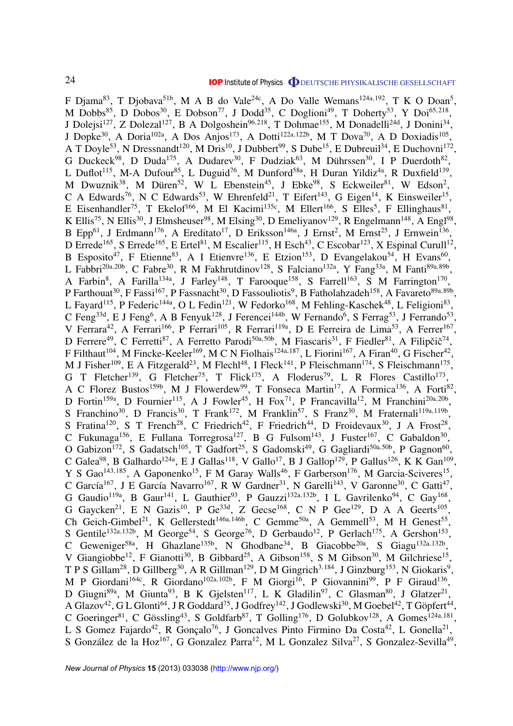F Djama $^{83}$ , T Djobava $^{51b}$ , M A B do Vale<sup>24c</sup>, A Do Valle Wemans<sup>124a,192</sup>, T K O Doan<sup>5</sup>, M Dobbs<sup>85</sup>, D Dobos<sup>30</sup>, E Dobson<sup>77</sup>, J Dodd<sup>35</sup>, C Doglioni<sup>49</sup>, T Doherty<sup>53</sup>, Y Doi<sup>65,218</sup>, J Dolejsi<sup>127</sup>, Z Dolezal<sup>127</sup>, B A Dolgoshein<sup>96,218</sup>, T Dohmae<sup>155</sup>, M Donadelli<sup>24d</sup>, J Donini<sup>34</sup>, J Dopke<sup>30</sup>, A Doria<sup>102a</sup>, A Dos Anjos<sup>173</sup>, A Dotti<sup>122a,122b</sup>, M T Dova<sup>70</sup>, A D Doxiadis<sup>105</sup>, A T Doyle<sup>53</sup>, N Dressnandt<sup>120</sup>, M Dris<sup>10</sup>, J Dubbert<sup>99</sup>, S Dube<sup>15</sup>, E Dubreuil<sup>34</sup>, E Duchovni<sup>172</sup>, G Duckeck<sup>98</sup>, D Duda<sup>175</sup>, A Dudarev<sup>30</sup>, F Dudziak<sup>63</sup>, M Dührssen<sup>30</sup>, I P Duerdoth<sup>82</sup>, L Duflot<sup>115</sup>, M-A Dufour<sup>85</sup>, L Duguid<sup>76</sup>, M Dunford<sup>58a</sup>, H Duran Yildiz<sup>4a</sup>, R Duxfield<sup>139</sup>, M Dwuznik<sup>38</sup>, M Düren<sup>52</sup>, W L Ebenstein<sup>45</sup>, J Ebke<sup>98</sup>, S Eckweiler<sup>81</sup>, W Edson<sup>2</sup>, C A Edwards<sup>76</sup>, N C Edwards<sup>53</sup>, W Ehrenfeld<sup>21</sup>, T Eifert<sup>143</sup>, G Eigen<sup>14</sup>, K Einsweiler<sup>15</sup>, E Eisenhandler<sup>75</sup>, T Ekelof<sup>166</sup>, M El Kacimi<sup>135c</sup>, M Ellert<sup>166</sup>, S Elles<sup>5</sup>, F Ellinghaus<sup>81</sup>, K Ellis<sup>75</sup>, N Ellis<sup>30</sup>, J Elmsheuser<sup>98</sup>, M Elsing<sup>30</sup>, D Emeliyanov<sup>129</sup>, R Engelmann<sup>148</sup>, A Engl<sup>98</sup>, B Epp<sup>61</sup>, J Erdmann<sup>176</sup>, A Ereditato<sup>17</sup>, D Eriksson<sup>146a</sup>, J Ernst<sup>2</sup>, M Ernst<sup>25</sup>, J Ernwein<sup>136</sup>, D Errede<sup>165</sup>, S Errede<sup>165</sup>, E Ertel<sup>81</sup>, M Escalier<sup>115</sup>, H Esch<sup>43</sup>, C Escobar<sup>123</sup>, X Espinal Curull<sup>12</sup>, B Esposito<sup>47</sup>, F Etienne<sup>83</sup>, A I Etienvre<sup>136</sup>, E Etzion<sup>153</sup>, D Evangelakou<sup>54</sup>, H Evans<sup>60</sup>, L Fabbri<sup>20a,20b</sup>, C Fabre<sup>30</sup>, R M Fakhrutdinov<sup>128</sup>, S Falciano<sup>132a</sup>, Y Fang<sup>33a</sup>, M Fanti<sup>89a,89b</sup>, A Farbin<sup>8</sup>, A Farilla<sup>134a</sup>, J Farley<sup>148</sup>, T Farooque<sup>158</sup>, S Farrell<sup>163</sup>, S M Farrington<sup>170</sup>, P Farthouat<sup>30</sup>, F Fassi<sup>167</sup>, P Fassnacht<sup>30</sup>, D Fassouliotis<sup>9</sup>, B Fatholahzadeh<sup>158</sup>, A Favareto<sup>89a,89b</sup>, L Fayard<sup>115</sup>, P Federic<sup>144a</sup>, O L Fedin<sup>121</sup>, W Fedorko<sup>168</sup>, M Fehling-Kaschek<sup>48</sup>, L Feligioni<sup>83</sup>, C Feng<sup>33d</sup>, E J Feng<sup>6</sup>, A B Fenyuk<sup>128</sup>, J Ferencei<sup>144b</sup>, W Fernando<sup>6</sup>, S Ferrag<sup>53</sup>, J Ferrando<sup>53</sup>, V Ferrara<sup>42</sup>, A Ferrari<sup>166</sup>, P Ferrari<sup>105</sup>, R Ferrari<sup>119a</sup>, D E Ferreira de Lima<sup>53</sup>, A Ferrer<sup>167</sup>, D Ferrere<sup>49</sup>, C Ferretti<sup>87</sup>, A Ferretto Parodi<sup>50a,50b</sup>, M Fiascaris<sup>31</sup>, F Fiedler<sup>81</sup>, A Filipčič<sup>74</sup>, F Filthaut<sup>104</sup>, M Fincke-Keeler<sup>169</sup>, M C N Fiolhais<sup>124a,187</sup>, L Fiorini<sup>167</sup>, A Firan<sup>40</sup>, G Fischer<sup>42</sup>, M J Fisher<sup>109</sup>, E A Fitzgerald<sup>23</sup>, M Flechl<sup>48</sup>, I Fleck<sup>141</sup>, P Fleischmann<sup>174</sup>, S Fleischmann<sup>175</sup>, G T Fletcher<sup>139</sup>, G Fletcher<sup>75</sup>, T Flick<sup>175</sup>, A Floderus<sup>79</sup>, L R Flores Castillo<sup>173</sup>, A C Florez Bustos<sup>159b</sup>, M J Flowerdew<sup>99</sup>, T Fonseca Martin<sup>17</sup>, A Formica<sup>136</sup>, A Forti<sup>82</sup>, D Fortin<sup>159a</sup>, D Fournier<sup>115</sup>, A J Fowler<sup>45</sup>, H Fox<sup>71</sup>, P Francavilla<sup>12</sup>, M Franchini<sup>20a,20b</sup>, S Franchino<sup>30</sup>, D Francis<sup>30</sup>, T Frank<sup>172</sup>, M Franklin<sup>57</sup>, S Franz<sup>30</sup>, M Fraternali<sup>119a,119b</sup>, S Fratina<sup>120</sup>, S T French<sup>28</sup>, C Friedrich<sup>42</sup>, F Friedrich<sup>44</sup>, D Froidevaux<sup>30</sup>, J A Frost<sup>28</sup>, C Fukunaga<sup>156</sup>, E Fullana Torregrosa<sup>127</sup>, B G Fulsom<sup>143</sup>, J Fuster<sup>167</sup>, C Gabaldon<sup>30</sup>, O Gabizon<sup>172</sup>, S Gadatsch<sup>105</sup>, T Gadfort<sup>25</sup>, S Gadomski<sup>49</sup>, G Gagliardi<sup>50a,50b</sup>, P Gagnon<sup>60</sup>, C Galea<sup>98</sup>, B Galhardo<sup>124a</sup>, E J Gallas<sup>118</sup>, V Gallo<sup>17</sup>, B J Gallop<sup>129</sup>, P Gallus<sup>126</sup>, K K Gan<sup>109</sup>, Y S Gao<sup>143,185</sup>, A Gaponenko<sup>15</sup>, F M Garay Walls<sup>46</sup>, F Garberson<sup>176</sup>, M Garcia-Sciveres<sup>15</sup>, C García<sup>167</sup>, J E García Navarro<sup>167</sup>, R W Gardner<sup>31</sup>, N Garelli<sup>143</sup>, V Garonne<sup>30</sup>, C Gatti<sup>47</sup>, G Gaudio<sup>119a</sup>, B Gaur<sup>141</sup>, L Gauthier<sup>93</sup>, P Gauzzi<sup>132a, 132b</sup>, I L Gavrilenko<sup>94</sup>, C Gay<sup>168</sup>, G Gaycken<sup>21</sup>, E N Gazis<sup>10</sup>, P Ge<sup>33d</sup>, Z Gecse<sup>168</sup>, C N P Gee<sup>129</sup>, D A A Geerts<sup>105</sup>, Ch Geich-Gimbel<sup>21</sup>, K Gellerstedt<sup>146a, 146b</sup>, C Gemme<sup>50a</sup>, A Gemmell<sup>53</sup>, M H Genest<sup>55</sup>, S Gentile<sup>132a,132b</sup>, M George<sup>54</sup>, S George<sup>76</sup>, D Gerbaudo<sup>12</sup>, P Gerlach<sup>175</sup>, A Gershon<sup>153</sup>, C Geweniger<sup>58a</sup>, H Ghazlane<sup>135b</sup>, N Ghodbane<sup>34</sup>, B Giacobbe<sup>20a</sup>, S Giagu<sup>132a,132b</sup>, V Giangiobbe<sup>12</sup>, F Gianotti<sup>30</sup>, B Gibbard<sup>25</sup>, A Gibson<sup>158</sup>, S M Gibson<sup>30</sup>, M Gilchriese<sup>15</sup>, T P S Gillam<sup>28</sup>, D Gillberg<sup>30</sup>, A R Gillman<sup>129</sup>, D M Gingrich<sup>3,184</sup>, J Ginzburg<sup>153</sup>, N Giokaris<sup>9</sup>, M P Giordani<sup>164c</sup>, R Giordano<sup>102a, 102b</sup>, F M Giorgi<sup>16</sup>, P Giovannini<sup>99</sup>, P F Giraud<sup>136</sup>, D Giugni<sup>89a</sup>, M Giunta<sup>93</sup>, B K Gjelsten<sup>117</sup>, L K Gladilin<sup>97</sup>, C Glasman<sup>80</sup>, J Glatzer<sup>21</sup>, A Glazov<sup>42</sup>, G L Glonti<sup>64</sup>, J R Goddard<sup>75</sup>, J Godfrey<sup>142</sup>, J Godlewski<sup>30</sup>, M Goebel<sup>42</sup>, T Göpfert<sup>44</sup>, C Goeringer<sup>81</sup>, C Gössling<sup>43</sup>, S Goldfarb<sup>87</sup>, T Golling<sup>176</sup>, D Golubkov<sup>128</sup>, A Gomes<sup>124a,181</sup>, L S Gomez Fajardo<sup>42</sup>, R Gonçalo<sup>76</sup>, J Goncalves Pinto Firmino Da Costa<sup>42</sup>, L Gonella<sup>21</sup>, S González de la Hoz<sup>167</sup>, G Gonzalez Parra<sup>12</sup>, M L Gonzalez Silva<sup>27</sup>, S Gonzalez-Sevilla<sup>49</sup>,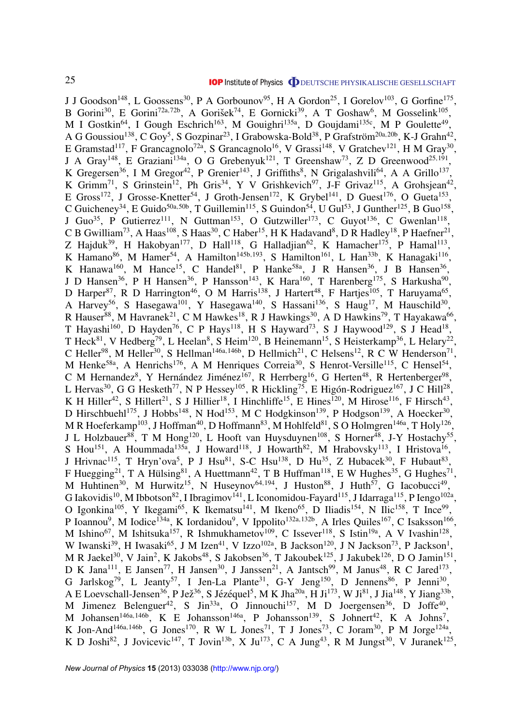J J Goodson<sup>148</sup>, L Goossens<sup>30</sup>, P A Gorbounov<sup>95</sup>, H A Gordon<sup>25</sup>, I Gorelov<sup>103</sup>, G Gorfine<sup>175</sup>, B Gorini<sup>30</sup>, E Gorini<sup>72a,72b</sup>, A Gorišek<sup>74</sup>, E Gornicki<sup>39</sup>, A T Goshaw<sup>6</sup>, M Gosselink<sup>105</sup>, M I Gostkin<sup>64</sup>, I Gough Eschrich<sup>163</sup>, M Gouighri<sup>135a</sup>, D Goujdami<sup>135c</sup>, M P Goulette<sup>49</sup>, A G Goussiou<sup>138</sup>, C Goy<sup>5</sup>, S Gozpinar<sup>23</sup>, I Grabowska-Bold<sup>38</sup>, P Grafström<sup>20a,20b</sup>, K-J Grahn<sup>42</sup>, E Gramstad<sup>117</sup>, F Grancagnolo<sup>72a</sup>, S Grancagnolo<sup>16</sup>, V Grassi<sup>148</sup>, V Gratchev<sup>121</sup>, H M Gray<sup>30</sup>, J A Gray<sup>148</sup>, E Graziani<sup>134a</sup>, O G Grebenyuk<sup>121</sup>, T Greenshaw<sup>73</sup>, Z D Greenwood<sup>25,191</sup>, K Gregersen<sup>36</sup>, I M Gregor<sup>42</sup>, P Grenier<sup>143</sup>, J Griffiths<sup>8</sup>, N Grigalashvili<sup>64</sup>, A A Grillo<sup>137</sup>, K Grimm<sup>71</sup>, S Grinstein<sup>12</sup>, Ph Gris<sup>34</sup>, Y V Grishkevich<sup>97</sup>, J-F Grivaz<sup>115</sup>, A Grohsjean<sup>42</sup>, E Gross<sup>172</sup>, J Grosse-Knetter<sup>54</sup>, J Groth-Jensen<sup>172</sup>, K Grybel<sup>141</sup>, D Guest<sup>176</sup>, O Gueta<sup>153</sup>, C Guicheney<sup>34</sup>, E Guido<sup>50a, 50b</sup>, T Guillemin<sup>115</sup>, S Guindon<sup>54</sup>, U Gul<sup>53</sup>, J Gunther<sup>125</sup>, B Guo<sup>158</sup>, J Guo<sup>35</sup>, P Gutierrez<sup>111</sup>, N Guttman<sup>153</sup>, O Gutzwiller<sup>173</sup>, C Guyot<sup>136</sup>, C Gwenlan<sup>118</sup>, C B Gwilliam<sup>73</sup>, A Haas<sup>108</sup>, S Haas<sup>30</sup>, C Haber<sup>15</sup>, H K Hadavand<sup>8</sup>, D R Hadley<sup>18</sup>, P Haefner<sup>21</sup>, Z Hajduk<sup>39</sup>, H Hakobyan<sup>177</sup>, D Hall<sup>118</sup>, G Halladjian<sup>62</sup>, K Hamacher<sup>175</sup>, P Hamal<sup>113</sup>, K Hamano<sup>86</sup>, M Hamer<sup>54</sup>, A Hamilton<sup>145b,193</sup>, S Hamilton<sup>161</sup>, L Han<sup>33b</sup>, K Hanagaki<sup>116</sup>, K Hanawa<sup>160</sup>, M Hance<sup>15</sup>, C Handel<sup>81</sup>, P Hanke<sup>58a</sup>, J R Hansen<sup>36</sup>, J B Hansen<sup>36</sup>, J D Hansen<sup>36</sup>, P H Hansen<sup>36</sup>, P Hansson<sup>143</sup>, K Hara<sup>160</sup>, T Harenberg<sup>175</sup>, S Harkusha<sup>90</sup>, D Harper<sup>87</sup>, R D Harrington<sup>46</sup>, O M Harris<sup>138</sup>, J Hartert<sup>48</sup>, F Hartjes<sup>105</sup>, T Haruyama<sup>65</sup>, A Harvey<sup>56</sup>, S Hasegawa<sup>101</sup>, Y Hasegawa<sup>140</sup>, S Hassani<sup>136</sup>, S Haug<sup>17</sup>, M Hauschild<sup>30</sup>, R Hauser<sup>88</sup>, M Havranek<sup>21</sup>, C M Hawkes<sup>18</sup>, R J Hawkings<sup>30</sup>, A D Hawkins<sup>79</sup>, T Hayakawa<sup>66</sup>, T Hayashi<sup>160</sup>, D Hayden<sup>76</sup>, C P Hays<sup>118</sup>, H S Hayward<sup>73</sup>, S J Haywood<sup>129</sup>, S J Head<sup>18</sup>, T Heck<sup>81</sup>, V Hedberg<sup>79</sup>, L Heelan<sup>8</sup>, S Heim<sup>120</sup>, B Heinemann<sup>15</sup>, S Heisterkamp<sup>36</sup>, L Helary<sup>22</sup>, C Heller<sup>98</sup>, M Heller<sup>30</sup>, S Hellman<sup>146a,146b</sup>, D Hellmich<sup>21</sup>, C Helsens<sup>12</sup>, R C W Henderson<sup>71</sup>, M Henke<sup>58a</sup>, A Henrichs<sup>176</sup>, A M Henriques Correia<sup>30</sup>, S Henrot-Versille<sup>115</sup>, C Hensel<sup>54</sup>, C M Hernandez<sup>8</sup>, Y Hernández Jiménez<sup>167</sup>, R Herrberg<sup>16</sup>, G Herten<sup>48</sup>, R Hertenberger<sup>98</sup>, L Hervas<sup>30</sup>, G G Hesketh<sup>77</sup>, N P Hessey<sup>105</sup>, R Hickling<sup>75</sup>, E Higón-Rodriguez<sup>167</sup>, J C Hill<sup>28</sup>, K H Hiller<sup>42</sup>, S Hillert<sup>21</sup>, S J Hillier<sup>18</sup>, I Hinchliffe<sup>15</sup>, E Hines<sup>120</sup>, M Hirose<sup>116</sup>, F Hirsch<sup>43</sup>, D Hirschbuehl<sup>175</sup>, J Hobbs<sup>148</sup>, N Hod<sup>153</sup>, M C Hodgkinson<sup>139</sup>, P Hodgson<sup>139</sup>, A Hoecker<sup>30</sup>, M R Hoeferkamp $^{103}$ , J Hoffman $^{40}$ , D Hoffmann $^{83}$ , M Hohlfeld $^{81}$ , S O Holmgren $^{146a}$ , T Holy $^{126}$ , J L Holzbauer<sup>88</sup>, T M Hong<sup>120</sup>, L Hooft van Huysduynen<sup>108</sup>, S Horner<sup>48</sup>, J-Y Hostachy<sup>55</sup>, S Hou<sup>151</sup>, A Hoummada<sup>135a</sup>, J Howard<sup>118</sup>, J Howarth<sup>82</sup>, M Hrabovsky<sup>113</sup>, I Hristova<sup>16</sup>, J Hrivnac<sup>115</sup>, T Hryn'ova<sup>5</sup>, P J Hsu<sup>81</sup>, S-C Hsu<sup>138</sup>, D Hu<sup>35</sup>, Z Hubacek<sup>30</sup>, F Hubaut<sup>83</sup>, F Huegging<sup>21</sup>, T A Hülsing<sup>81</sup>, A Huettmann<sup>42</sup>, T B Huffman<sup>118</sup>, E W Hughes<sup>35</sup>, G Hughes<sup>71</sup>, M Huhtinen<sup>30</sup>, M Hurwitz<sup>15</sup>, N Huseynov<sup>64,194</sup>, J Huston<sup>88</sup>, J Huth<sup>57</sup>, G Iacobucci<sup>49</sup>, G Iakovidis<sup>10</sup>, M Ibbotson<sup>82</sup>, I Ibragimov<sup>141</sup>, L Iconomidou-Fayard<sup>115</sup>, J Idarraga<sup>115</sup>, P Iengo<sup>102a</sup>, O Igonkina<sup>105</sup>, Y Ikegami<sup>65</sup>, K Ikematsu<sup>141</sup>, M Ikeno<sup>65</sup>, D Iliadis<sup>154</sup>, N Ilic<sup>158</sup>, T Ince<sup>99</sup>, P Ioannou<sup>9</sup>, M Iodice<sup>134a</sup>, K Iordanidou<sup>9</sup>, V Ippolito<sup>132a,132b</sup>, A Irles Quiles<sup>167</sup>, C Isaksson<sup>166</sup>, M Ishino<sup>67</sup>, M Ishitsuka<sup>157</sup>, R Ishmukhametov<sup>109</sup>, C Issever<sup>118</sup>, S Istin<sup>19a</sup>, A V Ivashin<sup>128</sup>, W Iwanski<sup>39</sup>, H Iwasaki<sup>65</sup>, J M Izen<sup>41</sup>, V Izzo<sup>102a</sup>, B Jackson<sup>120</sup>, J N Jackson<sup>73</sup>, P Jackson<sup>1</sup>, M R Jaekel<sup>30</sup>, V Jain<sup>2</sup>, K Jakobs<sup>48</sup>, S Jakobsen<sup>36</sup>, T Jakoubek<sup>125</sup>, J Jakubek<sup>126</sup>, D O Jamin<sup>151</sup>, D K Jana<sup>111</sup>, E Jansen<sup>77</sup>, H Jansen<sup>30</sup>, J Janssen<sup>21</sup>, A Jantsch<sup>99</sup>, M Janus<sup>48</sup>, R C Jared<sup>173</sup>, G Jarlskog<sup>79</sup>, L Jeanty<sup>57</sup>, I Jen-La Plante<sup>31</sup>, G-Y Jeng<sup>150</sup>, D Jennens<sup>86</sup>, P Jenni<sup>30</sup>, A E Loevschall-Jensen $^{36}$ , P Jež $^{36}$ , S Jézéquel $^5$ , M K Jha $^{20a}$ , H Ji $^{173}$ , W Ji $^{81}$ , J Jia $^{148}$ , Y Jiang $^{33b}$ , M Jimenez Belenguer<sup>42</sup>, S Jin<sup>33a</sup>, O Jinnouchi<sup>157</sup>, M D Joergensen<sup>36</sup>, D Joffe<sup>40</sup>, M Johansen<sup>146a,146b</sup>, K E Johansson<sup>146a</sup>, P Johansson<sup>139</sup>, S Johnert<sup>42</sup>, K A Johns<sup>7</sup>, K Jon-And<sup>146a,146b</sup>, G Jones<sup>170</sup>, R W L Jones<sup>71</sup>, T J Jones<sup>73</sup>, C Joram<sup>30</sup>, P M Jorge<sup>124a</sup>, K D Joshi<sup>82</sup>, J Jovicevic<sup>147</sup>, T Jovin<sup>13b</sup>, X Ju<sup>173</sup>, C A Jung<sup>43</sup>, R M Jungst<sup>30</sup>, V Juranek<sup>125</sup>,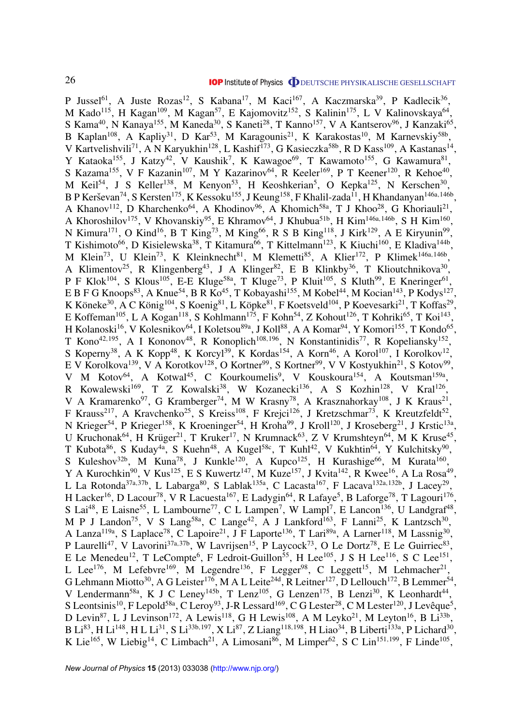P Jussel<sup>61</sup>, A Juste Rozas<sup>12</sup>, S Kabana<sup>17</sup>, M Kaci<sup>167</sup>, A Kaczmarska<sup>39</sup>, P Kadlecik<sup>36</sup>, M Kado<sup>115</sup>, H Kagan<sup>109</sup>, M Kagan<sup>57</sup>, E Kajomovitz<sup>152</sup>, S Kalinin<sup>175</sup>, L V Kalinovskaya<sup>64</sup>, S Kama<sup>40</sup>, N Kanaya<sup>155</sup>, M Kaneda<sup>30</sup>, S Kaneti<sup>28</sup>, T Kanno<sup>157</sup>, V A Kantserov<sup>96</sup>, J Kanzaki<sup>65</sup>, B Kaplan<sup>108</sup>, A Kapliy<sup>31</sup>, D Kar<sup>53</sup>, M Karagounis<sup>21</sup>, K Karakostas<sup>10</sup>, M Karnevskiy<sup>58b</sup>, V Kartvelishvili<sup>71</sup>, A N Karyukhin<sup>128</sup>, L Kashif<sup>173</sup>, G Kasieczka<sup>58b</sup>, R D Kass<sup>109</sup>, A Kastanas<sup>14</sup>, Y Kataoka<sup>155</sup>, J Katzy<sup>42</sup>, V Kaushik<sup>7</sup>, K Kawagoe<sup>69</sup>, T Kawamoto<sup>155</sup>, G Kawamura<sup>81</sup>, S Kazama<sup>155</sup>, V F Kazanin<sup>107</sup>, M Y Kazarinov<sup>64</sup>, R Keeler<sup>169</sup>, P T Keener<sup>120</sup>, R Kehoe<sup>40</sup>, M Keil<sup>54</sup>, J S Keller<sup>138</sup>, M Kenyon<sup>53</sup>, H Keoshkerian<sup>5</sup>, O Kepka<sup>125</sup>, N Kerschen<sup>30</sup>, B P Kerševan<sup>74</sup>, S Kersten<sup>175</sup>, K Kessoku<sup>155</sup>, J Keung<sup>158</sup>, F Khalil-zada<sup>11</sup>, H Khandanyan<sup>146a,146b</sup>, A Khanov<sup>112</sup>, D Kharchenko<sup>64</sup>, A Khodinov<sup>96</sup>, A Khomich<sup>58a</sup>, T J Khoo<sup>28</sup>, G Khoriauli<sup>21</sup>, A Khoroshilov<sup>175</sup>, V Khovanskiy<sup>95</sup>, E Khramov<sup>64</sup>, J Khubua<sup>51b</sup>, H Kim<sup>146a,146b</sup>, S H Kim<sup>160</sup>, N Kimura<sup>171</sup>, O Kind<sup>16</sup>, B T King<sup>73</sup>, M King<sup>66</sup>, R S B King<sup>118</sup>, J Kirk<sup>129</sup>, A E Kiryunin<sup>99</sup>, T Kishimoto<sup>66</sup>, D Kisielewska<sup>38</sup>, T Kitamura<sup>66</sup>, T Kittelmann<sup>123</sup>, K Kiuchi<sup>160</sup>, E Kladiva<sup>144b</sup>, M Klein<sup>73</sup>, U Klein<sup>73</sup>, K Kleinknecht<sup>81</sup>, M Klemetti<sup>85</sup>, A Klier<sup>172</sup>, P Klimek<sup>146a,146b</sup>, A Klimentov<sup>25</sup>, R Klingenberg<sup>43</sup>, J A Klinger<sup>82</sup>, E B Klinkby<sup>36</sup>, T Klioutchnikova<sup>30</sup>, P F Klok<sup>104</sup>, S Klous<sup>105</sup>, E-E Kluge<sup>58a</sup>, T Kluge<sup>73</sup>, P Kluit<sup>105</sup>, S Kluth<sup>99</sup>, E Kneringer<sup>61</sup>, E B F G Knoops<sup>83</sup>, A Knue<sup>54</sup>, B R Ko<sup>45</sup>, T Kobayashi<sup>155</sup>, M Kobel<sup>44</sup>, M Kocian<sup>143</sup>, P Kodys<sup>127</sup>, K Köneke $^{30}$ , A C König $^{104}$ , S Koenig $^{81}$ , L Köpke $^{81}$ , F Koetsveld $^{104}$ , P Koevesarki $^{21}$ , T Koffas $^{29}$ , E Koffeman<sup>105</sup>, L A Kogan<sup>118</sup>, S Kohlmann<sup>175</sup>, F Kohn<sup>54</sup>, Z Kohout<sup>126</sup>, T Kohriki<sup>65</sup>, T Koi<sup>143</sup>, H Kolanoski<sup>16</sup>, V Kolesnikov<sup>64</sup>, I Koletsou<sup>89a</sup>, J Koll<sup>88</sup>, A A Komar<sup>94</sup>, Y Komori<sup>155</sup>, T Kondo<sup>65</sup>, T Kono<sup>42,195</sup>, A I Kononov<sup>48</sup>, R Konoplich<sup>108,196</sup>, N Konstantinidis<sup>77</sup>, R Kopeliansky<sup>152</sup>, S Koperny<sup>38</sup>, A K Kopp<sup>48</sup>, K Korcyl<sup>39</sup>, K Kordas<sup>154</sup>, A Korn<sup>46</sup>, A Korol<sup>107</sup>, I Korolkov<sup>12</sup>, E V Korolkova<sup>139</sup>, V A Korotkov<sup>128</sup>, O Kortner<sup>99</sup>, S Kortner<sup>99</sup>, V V Kostyukhin<sup>21</sup>, S Kotov<sup>99</sup>, V M Kotov<sup>64</sup>, A Kotwal<sup>45</sup>, C Kourkoumelis<sup>9</sup>, V Kouskoura<sup>154</sup>, A Koutsman<sup>159a</sup>, R Kowalewski<sup>169</sup>, T Z Kowalski<sup>38</sup>, W Kozanecki<sup>136</sup>, A S Kozhin<sup>128</sup>, V Kral<sup>126</sup>, V A Kramarenko<sup>97</sup>, G Kramberger<sup>74</sup>, M W Krasny<sup>78</sup>, A Krasznahorkay<sup>108</sup>, J K Kraus<sup>21</sup>, F Krauss<sup>217</sup>, A Kravchenko<sup>25</sup>, S Kreiss<sup>108</sup>, F Krejci<sup>126</sup>, J Kretzschmar<sup>73</sup>, K Kreutzfeldt<sup>52</sup>, N Krieger<sup>54</sup>, P Krieger<sup>158</sup>, K Kroeninger<sup>54</sup>, H Kroha<sup>99</sup>, J Kroll<sup>120</sup>, J Kroseberg<sup>21</sup>, J Krstic<sup>13a</sup>, U Kruchonak<sup>64</sup>, H Krüger<sup>21</sup>, T Kruker<sup>17</sup>, N Krumnack<sup>63</sup>, Z V Krumshteyn<sup>64</sup>, M K Kruse<sup>45</sup>, T Kubota<sup>86</sup>, S Kuday<sup>4a</sup>, S Kuehn<sup>48</sup>, A Kugel<sup>58c</sup>, T Kuhl<sup>42</sup>, V Kukhtin<sup>64</sup>, Y Kulchitsky<sup>90</sup>, S Kuleshov<sup>32b</sup>, M Kuna<sup>78</sup>, J Kunkle<sup>120</sup>, A Kupco<sup>125</sup>, H Kurashige<sup>66</sup>, M Kurata<sup>160</sup>, Y A Kurochkin<sup>90</sup>, V Kus<sup>125</sup>, E S Kuwertz<sup>147</sup>, M Kuze<sup>157</sup>, J Kvita<sup>142</sup>, R Kwee<sup>16</sup>, A La Rosa<sup>49</sup>, L La Rotonda $^{37a,37b}$ , L Labarga $^{80}$ , S Lablak $^{135a}$ , C Lacasta $^{167}$ , F Lacava $^{132a,132b}$ , J Lacey $^{29}$ , H Lacker<sup>16</sup>, D Lacour<sup>78</sup>, V R Lacuesta<sup>167</sup>, E Ladygin<sup>64</sup>, R Lafaye<sup>5</sup>, B Laforge<sup>78</sup>, T Lagouri<sup>176</sup>, S Lai<sup>48</sup>, E Laisne<sup>55</sup>, L Lambourne<sup>77</sup>, C L Lampen<sup>7</sup>, W Lampl<sup>7</sup>, E Lancon<sup>136</sup>, U Landgraf<sup>48</sup>, M P J Landon<sup>75</sup>, V S Lang<sup>58a</sup>, C Lange<sup>42</sup>, A J Lankford<sup>163</sup>, F Lanni<sup>25</sup>, K Lantzsch<sup>30</sup>, A Lanza<sup>119a</sup>, S Laplace<sup>78</sup>, C Lapoire<sup>21</sup>, J F Laporte<sup>136</sup>, T Lari<sup>89a</sup>, A Larner<sup>118</sup>, M Lassnig<sup>30</sup>, P Laurelli<sup>47</sup>, V Lavorini<sup>37a,37b</sup>, W Lavrijsen<sup>15</sup>, P Laycock<sup>73</sup>, O Le Dortz<sup>78</sup>, E Le Guirriec<sup>83</sup>, E Le Menedeu<sup>12</sup>, T LeCompte<sup>6</sup>, F Ledroit-Guillon<sup>55</sup>, H Lee<sup>105</sup>, J S H Lee<sup>116</sup>, S C Lee<sup>151</sup>, L Lee<sup>176</sup>, M Lefebvre<sup>169</sup>, M Legendre<sup>136</sup>, F Legger<sup>98</sup>, C Leggett<sup>15</sup>, M Lehmacher<sup>21</sup>, G Lehmann Miotto<sup>30</sup>, A G Leister<sup>176</sup>, M A L Leite<sup>24d</sup>, R Leitner<sup>127</sup>, D Lellouch<sup>172</sup>, B Lemmer<sup>54</sup>, V Lendermann<sup>58a</sup>, K J C Leney<sup>145b</sup>, T Lenz<sup>105</sup>, G Lenzen<sup>175</sup>, B Lenzi<sup>30</sup>, K Leonhardt<sup>44</sup>, S Leontsinis<sup>10</sup>, F Lepold<sup>58a</sup>, C Leroy<sup>93</sup>, J-R Lessard<sup>169</sup>, C G Lester<sup>28</sup>, C M Lester<sup>120</sup>, J Levêque<sup>5</sup>, D Levin<sup>87</sup>, L J Levinson<sup>172</sup>, A Lewis<sup>118</sup>, G H Lewis<sup>108</sup>, A M Leyko<sup>21</sup>, M Leyton<sup>16</sup>, B Li<sup>33b</sup>, B Li<sup>83</sup>, H Li<sup>148</sup>, H L Li<sup>31</sup>, S Li<sup>33b,197</sup>, X Li<sup>87</sup>, Z Liang<sup>118,198</sup>, H Liao<sup>34</sup>, B Liberti<sup>133a</sup>, P Lichard<sup>30</sup>, K Lie<sup>165</sup>, W Liebig<sup>14</sup>, C Limbach<sup>21</sup>, A Limosani<sup>86</sup>, M Limper<sup>62</sup>, S C Lin<sup>151,199</sup>, F Linde<sup>105</sup>,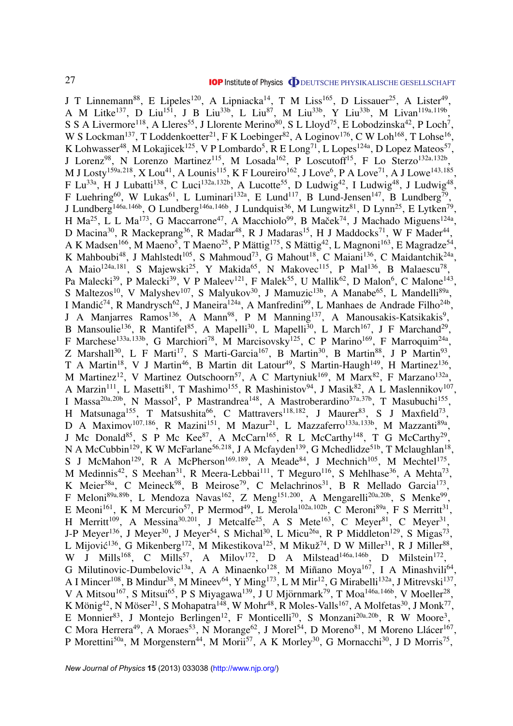J T Linnemann<sup>88</sup>, E Lipeles<sup>120</sup>, A Lipniacka<sup>14</sup>, T M Liss<sup>165</sup>, D Lissauer<sup>25</sup>, A Lister<sup>49</sup>, A M Litke<sup>137</sup>, D Liu<sup>151</sup>, J B Liu<sup>33b</sup>, L Liu<sup>87</sup>, M Liu<sup>33b</sup>, Y Liu<sup>33b</sup>, M Livan<sup>119a,119b</sup>, S S A Livermore<sup>118</sup>, A Lleres<sup>55</sup>, J Llorente Merino<sup>80</sup>, S L Lloyd<sup>75</sup>, E Lobodzinska<sup>42</sup>, P Loch<sup>7</sup>, W S Lockman<sup>137</sup>, T Loddenkoetter<sup>21</sup>, F K Loebinger<sup>82</sup>, A Loginov<sup>176</sup>, C W Loh<sup>168</sup>, T Lohse<sup>16</sup>, K Lohwasser<sup>48</sup>, M Lokajicek<sup>125</sup>, V P Lombardo<sup>5</sup>, R E Long<sup>71</sup>, L Lopes<sup>124a</sup>, D Lopez Mateos<sup>57</sup>, J Lorenz<sup>98</sup>, N Lorenzo Martinez<sup>115</sup>, M Losada<sup>162</sup>, P Loscutoff<sup>15</sup>, F Lo Sterzo<sup>132a,132b</sup>, M J Losty<sup>159a,218</sup>, X Lou<sup>41</sup>, A Lounis<sup>115</sup>, K F Loureiro<sup>162</sup>, J Love<sup>6</sup>, P A Love<sup>71</sup>, A J Lowe<sup>143,185</sup>, F Lu<sup>33a</sup>, H J Lubatti<sup>138</sup>, C Luci<sup>132a,132b</sup>, A Lucotte<sup>55</sup>, D Ludwig<sup>42</sup>, I Ludwig<sup>48</sup>, J Ludwig<sup>48</sup>, F Luehring<sup>60</sup>, W Lukas<sup>61</sup>, L Luminari<sup>132a</sup>, E Lund<sup>117</sup>, B Lund-Jensen<sup>147</sup>, B Lundberg<sup>79</sup>, J Lundberg<sup>146a,146b</sup>, O Lundberg<sup>146a,146b</sup>, J Lundquist<sup>36</sup>, M Lungwitz<sup>81</sup>, D Lynn<sup>25</sup>, E Lytken<sup>79</sup>, H Ma<sup>25</sup>, L L Ma<sup>173</sup>, G Maccarrone<sup>47</sup>, A Macchiolo<sup>99</sup>, B Maček<sup>74</sup>, J Machado Miguens<sup>124a</sup>, D Macina<sup>30</sup>, R Mackeprang<sup>36</sup>, R Madar<sup>48</sup>, R J Madaras<sup>15</sup>, H J Maddocks<sup>71</sup>, W F Mader<sup>44</sup>, A K Madsen<sup>166</sup>, M Maeno<sup>5</sup>, T Maeno<sup>25</sup>, P Mättig<sup>175</sup>, S Mättig<sup>42</sup>, L Magnoni<sup>163</sup>, E Magradze<sup>54</sup>, K Mahboubi<sup>48</sup>, J Mahlstedt<sup>105</sup>, S Mahmoud<sup>73</sup>, G Mahout<sup>18</sup>, C Maiani<sup>136</sup>, C Maidantchik<sup>24a</sup>, A Maio<sup>124a,181</sup>, S Majewski<sup>25</sup>, Y Makida<sup>65</sup>, N Makovec<sup>115</sup>, P Mal<sup>136</sup>, B Malaescu<sup>78</sup>, Pa Malecki<sup>39</sup>, P Malecki<sup>39</sup>, V P Maleev<sup>121</sup>, F Malek<sup>55</sup>, U Mallik<sup>62</sup>, D Malon<sup>6</sup>, C Malone<sup>143</sup>, S Maltezos<sup>10</sup>, V Malyshev<sup>107</sup>, S Malyukov<sup>30</sup>, J Mamuzic<sup>13b</sup>, A Manabe<sup>65</sup>, L Mandelli<sup>89a</sup>, I Mandić<sup>74</sup>, R Mandrysch<sup>62</sup>, J Maneira<sup>124a</sup>, A Manfredini<sup>99</sup>, L Manhaes de Andrade Filho<sup>24b</sup>, J A Manjarres Ramos<sup>136</sup>, A Mann<sup>98</sup>, P M Manning<sup>137</sup>, A Manousakis-Katsikakis<sup>9</sup>, B Mansoulie<sup>136</sup>, R Mantifel<sup>85</sup>, A Mapelli<sup>30</sup>, L Mapelli<sup>30</sup>, L March<sup>167</sup>, J F Marchand<sup>29</sup>, F Marchese<sup>133a,133b</sup>, G Marchiori<sup>78</sup>, M Marcisovsky<sup>125</sup>, C P Marino<sup>169</sup>, F Marroquim<sup>24a</sup>, Z Marshall<sup>30</sup>, L F Marti<sup>17</sup>, S Marti-Garcia<sup>167</sup>, B Martin<sup>30</sup>, B Martin<sup>88</sup>, J P Martin<sup>93</sup>, T A Martin<sup>18</sup>, V J Martin<sup>46</sup>, B Martin dit Latour<sup>49</sup>, S Martin-Haugh<sup>149</sup>, H Martinez<sup>136</sup>, M Martinez<sup>12</sup>, V Martinez Outschoorn<sup>57</sup>, A C Martyniuk<sup>169</sup>, M Marx<sup>82</sup>, F Marzano<sup>132a</sup>, A Marzin<sup>111</sup>, L Masetti<sup>81</sup>, T Mashimo<sup>155</sup>, R Mashinistov<sup>94</sup>, J Masik<sup>82</sup>, A L Maslennikov<sup>107</sup>, I Massa<sup>20a,20b</sup>, N Massol<sup>5</sup>, P Mastrandrea<sup>148</sup>, A Mastroberardino<sup>37a,37b</sup>, T Masubuchi<sup>155</sup>, H Matsunaga<sup>155</sup>, T Matsushita<sup>66</sup>, C Mattravers<sup>118,182</sup>, J Maurer<sup>83</sup>, S J Maxfield<sup>73</sup>, D A Maximov<sup>107,186</sup>, R Mazini<sup>151</sup>, M Mazur<sup>21</sup>, L Mazzaferro<sup>133a,133b</sup>, M Mazzanti<sup>89a</sup>, J Mc Donald<sup>85</sup>, S P Mc Kee<sup>87</sup>, A McCarn<sup>165</sup>, R L McCarthy<sup>148</sup>, T G McCarthy<sup>29</sup>, N A McCubbin<sup>129</sup>, K W McFarlane<sup>56,218</sup>, J A Mcfayden<sup>139</sup>, G Mchedlidze<sup>51b</sup>, T Mclaughlan<sup>18</sup>, S J McMahon<sup>129</sup>, R A McPherson<sup>169,189</sup>, A Meade<sup>84</sup>, J Mechnich<sup>105</sup>, M Mechtel<sup>175</sup>, M Medinnis<sup>42</sup>, S Meehan<sup>31</sup>, R Meera-Lebbai<sup>111</sup>, T Meguro<sup>116</sup>, S Mehlhase<sup>36</sup>, A Mehta<sup>73</sup>, K Meier<sup>58a</sup>, C Meineck<sup>98</sup>, B Meirose<sup>79</sup>, C Melachrinos<sup>31</sup>, B R Mellado Garcia<sup>173</sup>, F Meloni<sup>89a,89b</sup>, L Mendoza Navas<sup>162</sup>, Z Meng<sup>151,200</sup>, A Mengarelli<sup>20a,20b</sup>, S Menke<sup>99</sup>, E Meoni<sup>161</sup>, K M Mercurio<sup>57</sup>, P Mermod<sup>49</sup>, L Merola<sup>102a, 102b</sup>, C Meroni<sup>89a</sup>, F S Merritt<sup>31</sup>, H Merritt<sup>109</sup>, A Messina<sup>30,201</sup>, J Metcalfe<sup>25</sup>, A S Mete<sup>163</sup>, C Meyer<sup>81</sup>, C Meyer<sup>31</sup>, J-P Meyer<sup>136</sup>, J Meyer<sup>30</sup>, J Meyer<sup>54</sup>, S Michal<sup>30</sup>, L Micu<sup>26a</sup>, R P Middleton<sup>129</sup>, S Migas<sup>73</sup>, L Mijović<sup>136</sup>, G Mikenberg<sup>172</sup>, M Mikestikova<sup>125</sup>, M Mikuž<sup>74</sup>, D W Miller<sup>31</sup>, R J Miller<sup>88</sup>, W J Mills<sup>168</sup>, C Mills<sup>57</sup>, A Milov<sup>172</sup>, D A Milstead<sup>146a,146b</sup>, D Milstein<sup>172</sup>, G Milutinovic-Dumbelovic<sup>13a</sup>, A A Minaenko<sup>128</sup>, M Miñano Moya<sup>167</sup>, I A Minashvili<sup>64</sup>, A I Mincer<sup>108</sup>, B Mindur<sup>38</sup>, M Mineev<sup>64</sup>, Y Ming<sup>173</sup>, L M Mir<sup>12</sup>, G Mirabelli<sup>132a</sup>, J Mitrevski<sup>137</sup>, V A Mitsou<sup>167</sup>, S Mitsui<sup>65</sup>, P S Miyagawa<sup>139</sup>, J U Mjörnmark<sup>79</sup>, T Moa<sup>146a,146b</sup>, V Moeller<sup>28</sup>, K Mönig<sup>42</sup>, N Möser<sup>21</sup>, S Mohapatra<sup>148</sup>, W Mohr<sup>48</sup>, R Moles-Valls<sup>167</sup>, A Molfetas<sup>30</sup>, J Monk<sup>77</sup>, E Monnier<sup>83</sup>, J Montejo Berlingen<sup>12</sup>, F Monticelli<sup>70</sup>, S Monzani<sup>20a,20b</sup>, R W Moore<sup>3</sup>, C Mora Herrera<sup>49</sup>, A Moraes<sup>53</sup>, N Morange<sup>62</sup>, J Morel<sup>54</sup>, D Moreno<sup>81</sup>, M Moreno Llácer<sup>167</sup>, P Morettini<sup>50a</sup>, M Morgenstern<sup>44</sup>, M Morii<sup>57</sup>, A K Morley<sup>30</sup>, G Mornacchi<sup>30</sup>, J D Morris<sup>75</sup>,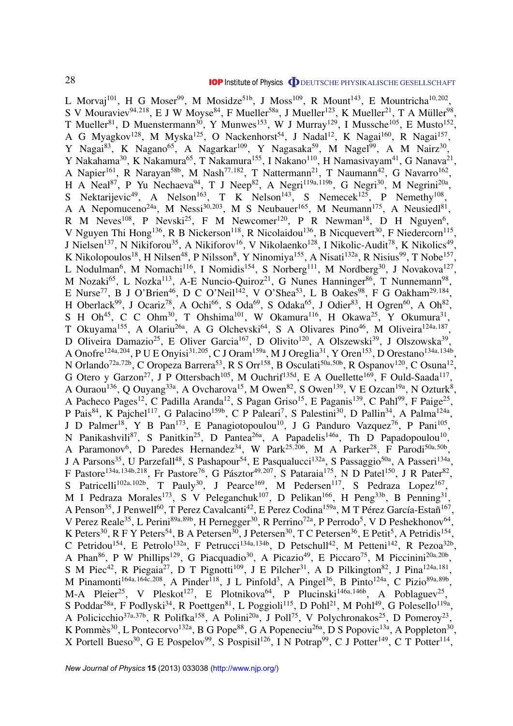L Morvaj<sup>101</sup>, H G Moser<sup>99</sup>, M Mosidze<sup>51b</sup>, J Moss<sup>109</sup>, R Mount<sup>143</sup>, E Mountricha<sup>10,202</sup>, S V Mouraviev<sup>94,218</sup>, E J W Moyse<sup>84</sup>, F Mueller<sup>58a</sup>, J Mueller<sup>123</sup>, K Mueller<sup>21</sup>, T A Müller<sup>98</sup>, T Mueller<sup>81</sup>, D Muenstermann<sup>30</sup>, Y Munwes<sup>153</sup>, W J Murray<sup>129</sup>, I Mussche<sup>105</sup>, E Musto<sup>152</sup>, A G Myagkov<sup>128</sup>, M Myska<sup>125</sup>, O Nackenhorst<sup>54</sup>, J Nadal<sup>12</sup>, K Nagai<sup>160</sup>, R Nagai<sup>157</sup>, Y Nagai<sup>83</sup>, K Nagano<sup>65</sup>, A Nagarkar<sup>109</sup>, Y Nagasaka<sup>59</sup>, M Nagel<sup>99</sup>, A M Nairz<sup>30</sup>, Y Nakahama<sup>30</sup>, K Nakamura<sup>65</sup>, T Nakamura<sup>155</sup>, I Nakano<sup>110</sup>, H Namasivayam<sup>41</sup>, G Nanava<sup>21</sup>, A Napier<sup>161</sup>, R Narayan<sup>58b</sup>, M Nash<sup>77,182</sup>, T Nattermann<sup>21</sup>, T Naumann<sup>42</sup>, G Navarro<sup>162</sup>, H A Neal<sup>87</sup>, P Yu Nechaeva<sup>94</sup>, T J Neep<sup>82</sup>, A Negri<sup>119a,119b</sup>, G Negri<sup>30</sup>, M Negrini<sup>20a</sup>, S Nektarijevic<sup>49</sup>, A Nelson<sup>163</sup>, T K Nelson<sup>143</sup>, S Nemecek<sup>125</sup>, P Nemethy<sup>108</sup>, A A Nepomuceno<sup>24a</sup>, M Nessi<sup>30,203</sup>, M S Neubauer<sup>165</sup>, M Neumann<sup>175</sup>, A Neusiedl<sup>81</sup>, R M Neves<sup>108</sup>, P Nevski<sup>25</sup>, F M Newcomer<sup>120</sup>, P R Newman<sup>18</sup>, D H Nguyen<sup>6</sup>, V Nguyen Thi Hong<sup>136</sup>, R B Nickerson<sup>118</sup>, R Nicolaidou<sup>136</sup>, B Nicquevert<sup>30</sup>, F Niedercorn<sup>115</sup>, J Nielsen<sup>137</sup>, N Nikiforou<sup>35</sup>, A Nikiforov<sup>16</sup>, V Nikolaenko<sup>128</sup>, I Nikolic-Audit<sup>78</sup>, K Nikolics<sup>49</sup>, K Nikolopoulos<sup>18</sup>, H Nilsen<sup>48</sup>, P Nilsson<sup>8</sup>, Y Ninomiya<sup>155</sup>, A Nisati<sup>132a</sup>, R Nisius<sup>99</sup>, T Nobe<sup>157</sup>, L Nodulman<sup>6</sup>, M Nomachi<sup>116</sup>, I Nomidis<sup>154</sup>, S Norberg<sup>111</sup>, M Nordberg<sup>30</sup>, J Novakova<sup>127</sup>, M Nozaki<sup>65</sup>, L Nozka<sup>113</sup>, A-E Nuncio-Quiroz<sup>21</sup>, G Nunes Hanninger<sup>86</sup>, T Nunnemann<sup>98</sup>, E Nurse<sup>77</sup>, B J O'Brien<sup>46</sup>, D C O'Neil<sup>142</sup>, V O'Shea<sup>53</sup>, L B Oakes<sup>98</sup>, F G Oakham<sup>29,184</sup>, H Oberlack<sup>99</sup>, J Ocariz<sup>78</sup>, A Ochi<sup>66</sup>, S Oda<sup>69</sup>, S Odaka<sup>65</sup>, J Odier<sup>83</sup>, H Ogren<sup>60</sup>, A Oh<sup>82</sup>, S H Oh<sup>45</sup>, C C Ohm<sup>30</sup>, T Ohshima<sup>101</sup>, W Okamura<sup>116</sup>, H Okawa<sup>25</sup>, Y Okumura<sup>31</sup>, T Okuyama<sup>155</sup>, A Olariu<sup>26a</sup>, A G Olchevski<sup>64</sup>, S A Olivares Pino<sup>46</sup>, M Oliveira<sup>124a,187</sup>, D Oliveira Damazio<sup>25</sup>, E Oliver Garcia<sup>167</sup>, D Olivito<sup>120</sup>, A Olszewski<sup>39</sup>, J Olszowska<sup>39</sup>, A Onofre<sup>124a, 204</sup>, P U E Onyisi<sup>31, 205</sup>, C J Oram<sup>159a</sup>, M J Oreglia<sup>31</sup>, Y Oren<sup>153</sup>, D Orestano<sup>134a, 134b</sup>, N Orlando<sup>72a,72b</sup>, C Oropeza Barrera<sup>53</sup>, R S Orr<sup>158</sup>, B Osculati<sup>50a,50b</sup>, R Ospanov<sup>120</sup>, C Osuna<sup>12</sup>, G Otero y Garzon<sup>27</sup>, J P Ottersbach<sup>105</sup>, M Ouchrif<sup>135d</sup>, E A Ouellette<sup>169</sup>, F Ould-Saada<sup>117</sup>, A Ouraou<sup>136</sup>, Q Ouyang<sup>33a</sup>, A Ovcharova<sup>15</sup>, M Owen<sup>82</sup>, S Owen<sup>139</sup>, V E Ozcan<sup>19a</sup>, N Ozturk<sup>8</sup>, A Pacheco Pages<sup>12</sup>, C Padilla Aranda<sup>12</sup>, S Pagan Griso<sup>15</sup>, E Paganis<sup>139</sup>, C Pahl<sup>99</sup>, F Paige<sup>25</sup>, P Pais<sup>84</sup>, K Pajchel<sup>117</sup>, G Palacino<sup>159b</sup>, C P Paleari<sup>7</sup>, S Palestini<sup>30</sup>, D Pallin<sup>34</sup>, A Palma<sup>124a</sup>, J D Palmer<sup>18</sup>, Y B Pan<sup>173</sup>, E Panagiotopoulou<sup>10</sup>, J G Panduro Vazquez<sup>76</sup>, P Pani<sup>105</sup>, N Panikashvili<sup>87</sup>, S Panitkin<sup>25</sup>, D Pantea<sup>26a</sup>, A Papadelis<sup>146a</sup>, Th D Papadopoulou<sup>10</sup>, A Paramonov<sup>6</sup>, D Paredes Hernandez<sup>34</sup>, W Park<sup>25,206</sup>, M A Parker<sup>28</sup>, F Parodi<sup>50a,50b</sup>, J A Parsons<sup>35</sup>, U Parzefall<sup>48</sup>, S Pashapour<sup>54</sup>, E Pasqualucci<sup>132a</sup>, S Passaggio<sup>50a</sup>, A Passeri<sup>134a</sup>, F Pastore<sup>134a,134b,218</sup>, Fr Pastore<sup>76</sup>, G Pásztor<sup>49,207</sup>, S Pataraia<sup>175</sup>, N D Patel<sup>150</sup>, J R Pater<sup>82</sup>, S Patricelli<sup>102a,102b</sup>, T Pauly<sup>30</sup>, J Pearce<sup>169</sup>, M Pedersen<sup>117</sup>, S Pedraza Lopez<sup>167</sup>, M I Pedraza Morales<sup>173</sup>, S V Peleganchuk<sup>107</sup>, D Pelikan<sup>166</sup>, H Peng<sup>33b</sup>, B Penning<sup>31</sup>, A Penson $^{35}$ , J Penwell $^{60}$ , T Perez Cavalcanti $^{42}$ , E Perez Codina $^{159a}$ , M T Pérez García-Estañ $^{167}$ , V Perez Reale<sup>35</sup>, L Perini<sup>89a, 89b</sup>, H Pernegger<sup>30</sup>, R Perrino<sup>72a</sup>, P Perrodo<sup>5</sup>, V D Peshekhonov<sup>64</sup>, K Peters<sup>30</sup>, R F Y Peters<sup>54</sup>, B A Petersen<sup>30</sup>, J Petersen<sup>30</sup>, T C Petersen<sup>36</sup>, E Petit<sup>5</sup>, A Petridis<sup>154</sup>, C Petridou<sup>154</sup>, E Petrolo<sup>132a</sup>, F Petrucci<sup>134a,134b</sup>, D Petschull<sup>42</sup>, M Petteni<sup>142</sup>, R Pezoa<sup>32b</sup>, A Phan<sup>86</sup>, P W Phillips<sup>129</sup>, G Piacquadio<sup>30</sup>, A Picazio<sup>49</sup>, E Piccaro<sup>75</sup>, M Piccinini<sup>20a,20b</sup>, S M Piec<sup>42</sup>, R Piegaia<sup>27</sup>, D T Pignotti<sup>109</sup>, J E Pilcher<sup>31</sup>, A D Pilkington<sup>82</sup>, J Pina<sup>124a,181</sup>, M Pinamonti<sup>164a,164c,208</sup>, A Pinder<sup>118</sup>, J L Pinfold<sup>3</sup>, A Pingel<sup>36</sup>, B Pinto<sup>124a</sup>, C Pizio<sup>89a,89b</sup>, M-A Pleier<sup>25</sup>, V Pleskot<sup>127</sup>, E Plotnikova<sup>64</sup>, P Plucinski<sup>146a,146b</sup>, A Poblaguev<sup>25</sup>, S Poddar<sup>58a</sup>, F Podlyski<sup>34</sup>, R Poettgen<sup>81</sup>, L Poggioli<sup>115</sup>, D Pohl<sup>21</sup>, M Pohl<sup>49</sup>, G Polesello<sup>119a</sup>, A Policicchio<sup>37a,37b</sup>, R Polifka<sup>158</sup>, A Polini<sup>20a</sup>, J Poll<sup>75</sup>, V Polychronakos<sup>25</sup>, D Pomeroy<sup>23</sup>, K Pommès<sup>30</sup>, L Pontecorvo<sup>132a</sup>, B G Pope<sup>88</sup>, G A Popeneciu<sup>26a</sup>, D S Popovic<sup>13a</sup>, A Poppleton<sup>30</sup>, X Portell Bueso<sup>30</sup>, G E Pospelov<sup>99</sup>, S Pospisil<sup>126</sup>, I N Potrap<sup>99</sup>, C J Potter<sup>149</sup>, C T Potter<sup>114</sup>,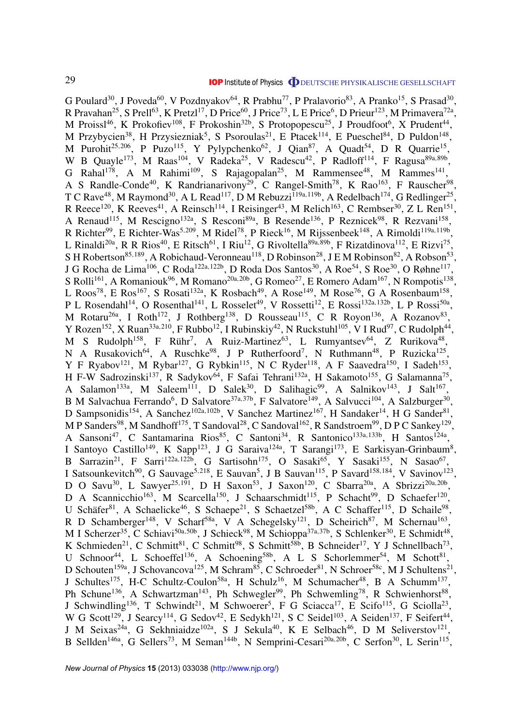G Poulard<sup>30</sup>, J Poveda<sup>60</sup>, V Pozdnyakov<sup>64</sup>, R Prabhu<sup>77</sup>, P Pralavorio<sup>83</sup>, A Pranko<sup>15</sup>, S Prasad<sup>30</sup>, R Pravahan<sup>25</sup>, S Prell<sup>63</sup>, K Pretzl<sup>17</sup>, D Price<sup>60</sup>, J Price<sup>73</sup>, L E Price<sup>6</sup>, D Prieur<sup>123</sup>, M Primavera<sup>72a</sup>, M Proissl<sup>46</sup>, K Prokofiev<sup>108</sup>, F Prokoshin<sup>32b</sup>, S Protopopescu<sup>25</sup>, J Proudfoot<sup>6</sup>, X Prudent<sup>44</sup>, M Przybycien<sup>38</sup>, H Przysiezniak<sup>5</sup>, S Psoroulas<sup>21</sup>, E Ptacek<sup>114</sup>, E Pueschel<sup>84</sup>, D Puldon<sup>148</sup>, M Purohit<sup>25,206</sup>, P Puzo<sup>115</sup>, Y Pylypchenko<sup>62</sup>, J Qian<sup>87</sup>, A Quadt<sup>54</sup>, D R Quarrie<sup>15</sup>, W B Quayle<sup>173</sup>, M Raas<sup>104</sup>, V Radeka<sup>25</sup>, V Radescu<sup>42</sup>, P Radloff<sup>114</sup>, F Ragusa<sup>89a,89b</sup>, G Rahal<sup>178</sup>, A M Rahimi<sup>109</sup>, S Rajagopalan<sup>25</sup>, M Rammensee<sup>48</sup>, M Rammes<sup>141</sup>, A S Randle-Conde<sup>40</sup>, K Randrianarivony<sup>29</sup>, C Rangel-Smith<sup>78</sup>, K Rao<sup>163</sup>, F Rauscher<sup>98</sup>, T C Rave<sup>48</sup>, M Raymond<sup>30</sup>, A L Read<sup>117</sup>, D M Rebuzzi<sup>119a,119b</sup>, A Redelbach<sup>174</sup>, G Redlinger<sup>25</sup>, R Reece<sup>120</sup>, K Reeves<sup>41</sup>, A Reinsch<sup>114</sup>, I Reisinger<sup>43</sup>, M Relich<sup>163</sup>, C Rembser<sup>30</sup>, Z L Ren<sup>151</sup>, A Renaud<sup>115</sup>, M Rescigno<sup>132a</sup>, S Resconi<sup>89a</sup>, B Resende<sup>136</sup>, P Reznicek<sup>98</sup>, R Rezvani<sup>158</sup>, R Richter<sup>99</sup>, E Richter-Was<sup>5,209</sup>, M Ridel<sup>78</sup>, P Rieck<sup>16</sup>, M Rijssenbeek<sup>148</sup>, A Rimoldi<sup>119a,119b</sup>, L Rinaldi<sup>20a</sup>, R R Rios<sup>40</sup>, E Ritsch<sup>61</sup>, I Riu<sup>12</sup>, G Rivoltella<sup>89a,89b</sup>, F Rizatdinova<sup>112</sup>, E Rizvi<sup>75</sup>, S H Robertson<sup>85,189</sup>, A Robichaud-Veronneau<sup>118</sup>, D Robinson<sup>28</sup>, J E M Robinson<sup>82</sup>, A Robson<sup>53</sup>, J G Rocha de Lima<sup>106</sup>, C Roda<sup>122a,122b</sup>, D Roda Dos Santos<sup>30</sup>, A Roe<sup>54</sup>, S Roe<sup>30</sup>, O Røhne<sup>117</sup>, S Rolli<sup>161</sup>, A Romaniouk<sup>96</sup>, M Romano<sup>20a, 20b</sup>, G Romeo<sup>27</sup>, E Romero Adam<sup>167</sup>, N Rompotis<sup>138</sup>, L Roos<sup>78</sup>, E Ros<sup>167</sup>, S Rosati<sup>132a</sup>, K Rosbach<sup>49</sup>, A Rose<sup>149</sup>, M Rose<sup>76</sup>, G A Rosenbaum<sup>158</sup>, P L Rosendahl<sup>14</sup>, O Rosenthal<sup>141</sup>, L Rosselet<sup>49</sup>, V Rossetti<sup>12</sup>, E Rossi<sup>132a,132b</sup>, L P Rossi<sup>50a</sup>, M Rotaru<sup>26a</sup>, I Roth<sup>172</sup>, J Rothberg<sup>138</sup>, D Rousseau<sup>115</sup>, C R Royon<sup>136</sup>, A Rozanov<sup>83</sup>, Y Rozen<sup>152</sup>, X Ruan<sup>33a,210</sup>, F Rubbo<sup>12</sup>, I Rubinskiy<sup>42</sup>, N Ruckstuhl<sup>105</sup>, V I Rud<sup>97</sup>, C Rudolph<sup>44</sup>, M S Rudolph<sup>158</sup>, F Rühr<sup>7</sup>, A Ruiz-Martinez<sup>63</sup>, L Rumyantsev<sup>64</sup>, Z Rurikova<sup>48</sup>, N A Rusakovich<sup>64</sup>, A Ruschke<sup>98</sup>, J P Rutherfoord<sup>7</sup>, N Ruthmann<sup>48</sup>, P Ruzicka<sup>125</sup>, Y F Ryabov<sup>121</sup>, M Rybar<sup>127</sup>, G Rybkin<sup>115</sup>, N C Ryder<sup>118</sup>, A F Saavedra<sup>150</sup>, I Sadeh<sup>153</sup>, H F-W Sadrozinski<sup>137</sup>, R Sadykov<sup>64</sup>, F Safai Tehrani<sup>132a</sup>, H Sakamoto<sup>155</sup>, G Salamanna<sup>75</sup>, A Salamon<sup>133a</sup>, M Saleem<sup>111</sup>, D Salek<sup>30</sup>, D Salihagic<sup>99</sup>, A Salnikov<sup>143</sup>, J Salt<sup>167</sup>, B M Salvachua Ferrando<sup>6</sup>, D Salvatore<sup>37a,37b</sup>, F Salvatore<sup>149</sup>, A Salvucci<sup>104</sup>, A Salzburger<sup>30</sup>, D Sampsonidis<sup>154</sup>, A Sanchez<sup>102a,102b</sup>, V Sanchez Martinez<sup>167</sup>, H Sandaker<sup>14</sup>, H G Sander<sup>81</sup>, M P Sanders<sup>98</sup>, M Sandhoff<sup>175</sup>, T Sandoval<sup>28</sup>, C Sandoval<sup>162</sup>, R Sandstroem<sup>99</sup>, D P C Sankey<sup>129</sup>, A Sansoni<sup>47</sup>, C Santamarina Rios<sup>85</sup>, C Santoni<sup>34</sup>, R Santonico<sup>133a,133b</sup>, H Santos<sup>124a</sup>, I Santoyo Castillo<sup>149</sup>, K Sapp<sup>123</sup>, J G Saraiva<sup>124a</sup>, T Sarangi<sup>173</sup>, E Sarkisyan-Grinbaum<sup>8</sup>, B Sarrazin<sup>21</sup>, F Sarri<sup>122a,122b</sup>, G Sartisohn<sup>175</sup>, O Sasaki<sup>65</sup>, Y Sasaki<sup>155</sup>, N Sasao<sup>67</sup>, I Satsounkevitch<sup>90</sup>, G Sauvage<sup>5,218</sup>, E Sauvan<sup>5</sup>, J B Sauvan<sup>115</sup>, P Savard<sup>158,184</sup>, V Savinov<sup>123</sup>, D O Savu<sup>30</sup>, L Sawyer<sup>25,191</sup>, D H Saxon<sup>53</sup>, J Saxon<sup>120</sup>, C Sbarra<sup>20a</sup>, A Sbrizzi<sup>20a,20b</sup>, D A Scannicchio<sup>163</sup>, M Scarcella<sup>150</sup>, J Schaarschmidt<sup>115</sup>, P Schacht<sup>99</sup>, D Schaefer<sup>120</sup>, U Schäfer<sup>81</sup>, A Schaelicke<sup>46</sup>, S Schaepe<sup>21</sup>, S Schaetzel<sup>58b</sup>, A C Schaffer<sup>115</sup>, D Schaile<sup>98</sup>, R D Schamberger<sup>148</sup>, V Scharf<sup>58a</sup>, V A Schegelsky<sup>121</sup>, D Scheirich<sup>87</sup>, M Schernau<sup>163</sup>, M I Scherzer<sup>35</sup>, C Schiavi<sup>50a,50b</sup>, J Schieck<sup>98</sup>, M Schioppa<sup>37a,37b</sup>, S Schlenker<sup>30</sup>, E Schmidt<sup>48</sup>, K Schmieden<sup>21</sup>, C Schmitt<sup>81</sup>, C Schmitt<sup>98</sup>, S Schmitt<sup>58b</sup>, B Schneider<sup>17</sup>, Y J Schnellbach<sup>73</sup>, U Schnoor<sup>44</sup>, L Schoeffel<sup>136</sup>, A Schoening<sup>58b</sup>, A L S Schorlemmer<sup>54</sup>, M Schott<sup>81</sup>, D Schouten<sup>159a</sup>, J Schovancova<sup>125</sup>, M Schram<sup>85</sup>, C Schroeder<sup>81</sup>, N Schroer<sup>58c</sup>, M J Schultens<sup>21</sup>, J Schultes<sup>175</sup>, H-C Schultz-Coulon<sup>58a</sup>, H Schulz<sup>16</sup>, M Schumacher<sup>48</sup>, B A Schumm<sup>137</sup>, Ph Schune<sup>136</sup>, A Schwartzman<sup>143</sup>, Ph Schwegler<sup>99</sup>, Ph Schwemling<sup>78</sup>, R Schwienhorst<sup>88</sup>, J Schwindling<sup>136</sup>, T Schwindt<sup>21</sup>, M Schwoerer<sup>5</sup>, F G Sciacca<sup>17</sup>, E Scifo<sup>115</sup>, G Sciolla<sup>23</sup>, W G Scott<sup>129</sup>, J Searcy<sup>114</sup>, G Sedov<sup>42</sup>, E Sedykh<sup>121</sup>, S C Seidel<sup>103</sup>, A Seiden<sup>137</sup>, F Seifert<sup>44</sup>, J M Seixas<sup>24a</sup>, G Sekhniaidze<sup>102a</sup>, S J Sekula<sup>40</sup>, K E Selbach<sup>46</sup>, D M Seliverstov<sup>121</sup>, B Sellden<sup>146a</sup>, G Sellers<sup>73</sup>, M Seman<sup>144b</sup>, N Semprini-Cesari<sup>20a, 20b</sup>, C Serfon<sup>30</sup>, L Serin<sup>115</sup>,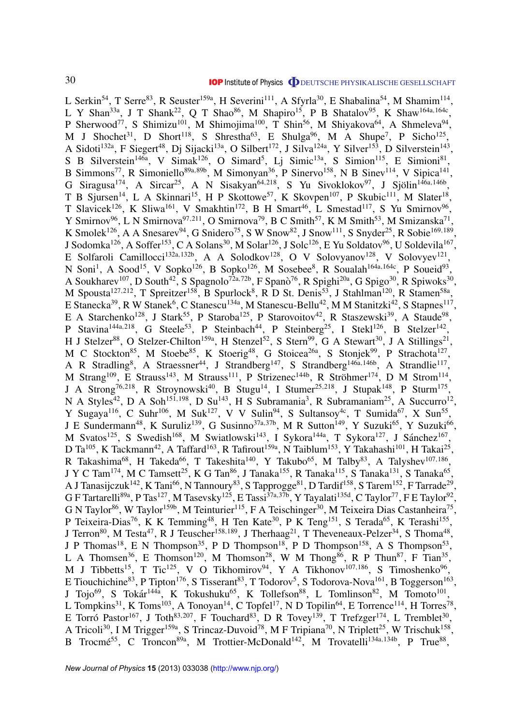L Serkin<sup>54</sup>, T Serre<sup>83</sup>, R Seuster<sup>159a</sup>, H Severini<sup>111</sup>, A Sfyrla<sup>30</sup>, E Shabalina<sup>54</sup>, M Shamim<sup>114</sup>, L Y Shan<sup>33a</sup>, J T Shank<sup>22</sup>, Q T Shao<sup>86</sup>, M Shapiro<sup>15</sup>, P B Shatalov<sup>95</sup>, K Shaw<sup>164a,164c</sup>, P Sherwood<sup>77</sup>, S Shimizu<sup>101</sup>, M Shimojima<sup>100</sup>, T Shin<sup>56</sup>, M Shiyakova<sup>64</sup>, A Shmeleva<sup>94</sup>, M J Shochet<sup>31</sup>, D Short<sup>118</sup>, S Shrestha<sup>63</sup>, E Shulga<sup>96</sup>, M A Shupe<sup>7</sup>, P Sicho<sup>125</sup>, A Sidoti<sup>132a</sup>, F Siegert<sup>48</sup>, Dj Sijacki<sup>13a</sup>, O Silbert<sup>172</sup>, J Silva<sup>124a</sup>, Y Silver<sup>153</sup>, D Silverstein<sup>143</sup>, S B Silverstein<sup>146a</sup>, V Simak<sup>126</sup>, O Simard<sup>5</sup>, Lj Simic<sup>13a</sup>, S Simion<sup>115</sup>, E Simioni<sup>81</sup>, B Simmons<sup>77</sup>, R Simoniello<sup>89a, 89b</sup>, M Simonyan<sup>36</sup>, P Sinervo<sup>158</sup>, N B Sinev<sup>114</sup>, V Sipica<sup>141</sup>, G Siragusa<sup>174</sup>, A Sircar<sup>25</sup>, A N Sisakyan<sup>64,218</sup>, S Yu Sivoklokov<sup>97</sup>, J Sjölin<sup>146a,146b</sup>, T B Sjursen<sup>14</sup>, L A Skinnari<sup>15</sup>, H P Skottowe<sup>57</sup>, K Skovpen<sup>107</sup>, P Skubic<sup>111</sup>, M Slater<sup>18</sup>, T Slavicek<sup>126</sup>, K Sliwa<sup>161</sup>, V Smakhtin<sup>172</sup>, B H Smart<sup>46</sup>, L Smestad<sup>117</sup>, S Yu Smirnov<sup>96</sup>, Y Smirnov<sup>96</sup>, L N Smirnova<sup>97,211</sup>, O Smirnova<sup>79</sup>, B C Smith<sup>57</sup>, K M Smith<sup>53</sup>, M Smizanska<sup>71</sup>, K Smolek<sup>126</sup>, A A Snesarev<sup>94</sup>, G Snidero<sup>75</sup>, S W Snow<sup>82</sup>, J Snow<sup>111</sup>, S Snyder<sup>25</sup>, R Sobie<sup>169,189</sup>, J Sodomka<sup>126</sup>, A Soffer<sup>153</sup>, C A Solans<sup>30</sup>, M Solar<sup>126</sup>, J Solc<sup>126</sup>, E Yu Soldatov<sup>96</sup>, U Soldevila<sup>167</sup>, E Solfaroli Camillocci<sup>132a,132b</sup>, A A Solodkov<sup>128</sup>, O V Solovyanov<sup>128</sup>, V Solovyev<sup>121</sup>, N Soni<sup>1</sup>, A Sood<sup>15</sup>, V Sopko<sup>126</sup>, B Sopko<sup>126</sup>, M Sosebee<sup>8</sup>, R Soualah<sup>164a,164c</sup>, P Soueid<sup>93</sup>, A Soukharev<sup>107</sup>, D South<sup>42</sup>, S Spagnolo<sup>72a,72b</sup>, F Spanò<sup>76</sup>, R Spighi<sup>20a</sup>, G Spigo<sup>30</sup>, R Spiwoks<sup>30</sup>, M Spousta<sup>127,212</sup>, T Spreitzer<sup>158</sup>, B Spurlock<sup>8</sup>, R D St. Denis<sup>53</sup>, J Stahlman<sup>120</sup>, R Stamen<sup>58a</sup>, E Stanecka<sup>39</sup>, R W Stanek<sup>6</sup>, C Stanescu<sup>134a</sup>, M Stanescu-Bellu<sup>42</sup>, M M Stanitzki<sup>42</sup>, S Stapnes<sup>117</sup>, E A Starchenko<sup>128</sup>, J Stark<sup>55</sup>, P Staroba<sup>125</sup>, P Starovoitov<sup>42</sup>, R Staszewski<sup>39</sup>, A Staude<sup>98</sup>, P Stavina<sup>144a,218</sup>, G Steele<sup>53</sup>, P Steinbach<sup>44</sup>, P Steinberg<sup>25</sup>, I Stekl<sup>126</sup>, B Stelzer<sup>142</sup>, H J Stelzer<sup>88</sup>, O Stelzer-Chilton<sup>159a</sup>, H Stenzel<sup>52</sup>, S Stern<sup>99</sup>, G A Stewart<sup>30</sup>, J A Stillings<sup>21</sup>, M C Stockton<sup>85</sup>, M Stoebe<sup>85</sup>, K Stoerig<sup>48</sup>, G Stoicea<sup>26a</sup>, S Stonjek<sup>99</sup>, P Strachota<sup>127</sup>, A R Stradling<sup>8</sup>, A Straessner<sup>44</sup>, J Strandberg<sup>147</sup>, S Strandberg<sup>146a,146b</sup>, A Strandlie<sup>117</sup>, M Strang<sup>109</sup>, E Strauss<sup>143</sup>, M Strauss<sup>111</sup>, P Strizenec<sup>144b</sup>, R Ströhmer<sup>174</sup>, D M Strom<sup>114</sup>, J A Strong<sup>76,218</sup>, R Stroynowski<sup>40</sup>, B Stugu<sup>14</sup>, I Stumer<sup>25,218</sup>, J Stupak<sup>148</sup>, P Sturm<sup>175</sup>, N A Styles<sup>42</sup>, D A Soh<sup>151,198</sup>, D Su<sup>143</sup>, H S Subramania<sup>3</sup>, R Subramaniam<sup>25</sup>, A Succurro<sup>12</sup>, Y Sugaya<sup>116</sup>, C Suhr<sup>106</sup>, M Suk<sup>127</sup>, V V Sulin<sup>94</sup>, S Sultansoy<sup>4c</sup>, T Sumida<sup>67</sup>, X Sun<sup>55</sup>, J E Sundermann<sup>48</sup>, K Suruliz<sup>139</sup>, G Susinno<sup>37a, 37b</sup>, M R Sutton<sup>149</sup>, Y Suzuki<sup>65</sup>, Y Suzuki<sup>66</sup>, M Svatos<sup>125</sup>, S Swedish<sup>168</sup>, M Swiatlowski<sup>143</sup>, I Sykora<sup>144a</sup>, T Sykora<sup>127</sup>, J Sánchez<sup>167</sup>, D Ta $^{105}$ , K Tackmann $^{42}$ , A Taffard $^{163}$ , R Tafirout $^{159a}$ , N Taiblum $^{153}$ , Y Takahashi $^{101}$ , H Takai $^{25}$ , R Takashima<sup>68</sup>, H Takeda<sup>66</sup>, T Takeshita<sup>140</sup>, Y Takubo<sup>65</sup>, M Talby<sup>83</sup>, A Talyshev<sup>107,186</sup>, J Y C Tam $^{174}$ , M C Tamsett $^{25}$ , K G Tan $^{86}$ , J Tanaka $^{155}$ , R Tanaka $^{115}$ , S Tanaka $^{131}$ , S Tanaka $^{65}$ , A J Tanasijczuk $^{142}$ , K Tani $^{66}$ , N Tannoury $^{83}$ , S Tapprogge $^{81}$ , D Tardif $^{158}$ , S Tarem $^{152}$ , F Tarrade $^{29}$ , G F Tartarelli<sup>89a</sup>, P Tas<sup>127</sup>, M Tasevsky<sup>125</sup>, E Tassi<sup>37a,37b</sup>, Y Tayalati<sup>135d</sup>, C Taylor<sup>77</sup>, F E Taylor<sup>92</sup>, G N Taylor<sup>86</sup>, W Taylor<sup>159b</sup>, M Teinturier<sup>115</sup>, F A Teischinger<sup>30</sup>, M Teixeira Dias Castanheira<sup>75</sup>, P Teixeira-Dias<sup>76</sup>, K K Temming<sup>48</sup>, H Ten Kate<sup>30</sup>, P K Teng<sup>151</sup>, S Terada<sup>65</sup>, K Terashi<sup>155</sup>, J Terron<sup>80</sup>, M Testa<sup>47</sup>, R J Teuscher<sup>158,189</sup>, J Therhaag<sup>21</sup>, T Theveneaux-Pelzer<sup>34</sup>, S Thoma<sup>48</sup>, J P Thomas<sup>18</sup>, E N Thompson<sup>35</sup>, P D Thompson<sup>18</sup>, P D Thompson<sup>158</sup>, A S Thompson<sup>53</sup>, L A Thomsen<sup>36</sup>, E Thomson<sup>120</sup>, M Thomson<sup>28</sup>, W M Thong<sup>86</sup>, R P Thun<sup>87</sup>, F Tian<sup>35</sup>, M J Tibbetts<sup>15</sup>, T Tic<sup>125</sup>, V O Tikhomirov<sup>94</sup>, Y A Tikhonov<sup>107,186</sup>, S Timoshenko<sup>96</sup>, E Tiouchichine<sup>83</sup>, P Tipton<sup>176</sup>, S Tisserant<sup>83</sup>, T Todorov<sup>5</sup>, S Todorova-Nova<sup>161</sup>, B Toggerson<sup>163</sup>, J Tojo<sup>69</sup>, S Tokár<sup>144a</sup>, K Tokushuku<sup>65</sup>, K Tollefson<sup>88</sup>, L Tomlinson<sup>82</sup>, M Tomoto<sup>101</sup>, L Tompkins<sup>31</sup>, K Toms<sup>103</sup>, A Tonoyan<sup>14</sup>, C Topfel<sup>17</sup>, N D Topilin<sup>64</sup>, E Torrence<sup>114</sup>, H Torres<sup>78</sup>, E Torró Pastor<sup>167</sup>, J Toth<sup>83,207</sup>, F Touchard<sup>83</sup>, D R Tovey<sup>139</sup>, T Trefzger<sup>174</sup>, L Tremblet<sup>30</sup>, A Tricoli<sup>30</sup>, I M Trigger<sup>159a</sup>, S Trincaz-Duvoid<sup>78</sup>, M F Tripiana<sup>70</sup>, N Triplett<sup>25</sup>, W Trischuk<sup>158</sup>, B Trocmé<sup>55</sup>, C Troncon<sup>89a</sup>, M Trottier-McDonald<sup>142</sup>, M Trovatelli<sup>134a,134b</sup>, P True<sup>88</sup>,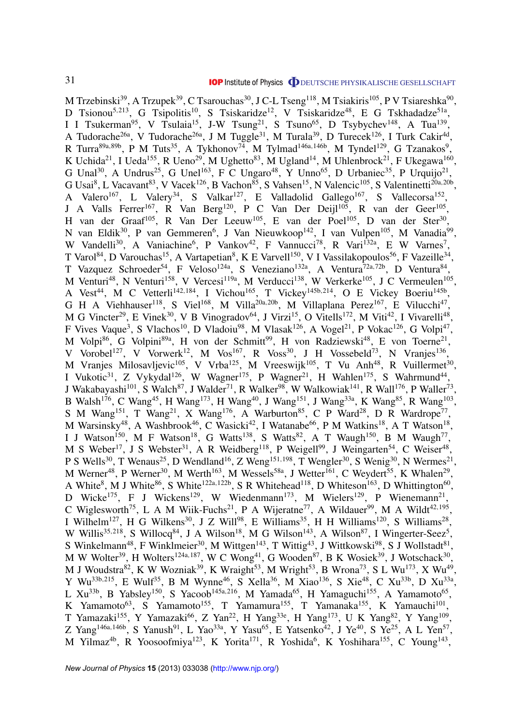M Trzebinski $^{39}$ , A Trzupek $^{39}$ , C Tsarouchas $^{30}$ , J C-L Tseng $^{118}$ , M Tsiakiris $^{105}$ , P V Tsiareshka $^{90}$ , D Tsionou<sup>5,213</sup>, G Tsipolitis<sup>10</sup>, S Tsiskaridze<sup>12</sup>, V Tsiskaridze<sup>48</sup>, E G Tskhadadze<sup>51a</sup>, I I Tsukerman<sup>95</sup>, V Tsulaia<sup>15</sup>, J-W Tsung<sup>21</sup>, S Tsuno<sup>65</sup>, D Tsybychev<sup>148</sup>, A Tua<sup>139</sup>, A Tudorache<sup>26a</sup>, V Tudorache<sup>26a</sup>, J M Tuggle<sup>31</sup>, M Turala<sup>39</sup>, D Turecek<sup>126</sup>, I Turk Cakir<sup>4d</sup>, R Turra<sup>89a,89b</sup>, P M Tuts<sup>35</sup>, A Tykhonov<sup>74</sup>, M Tylmad<sup>146a,146b</sup>, M Tyndel<sup>129</sup>, G Tzanakos<sup>9</sup>, K Uchida<sup>21</sup>, I Ueda<sup>155</sup>, R Ueno<sup>29</sup>, M Ughetto<sup>83</sup>, M Ugland<sup>14</sup>, M Uhlenbrock<sup>21</sup>, F Ukegawa<sup>160</sup>, G Unal<sup>30</sup>, A Undrus<sup>25</sup>, G Unel<sup>163</sup>, F C Ungaro<sup>48</sup>, Y Unno<sup>65</sup>, D Urbaniec<sup>35</sup>, P Urquijo<sup>21</sup>, G Usai<sup>8</sup>, L Vacavant<sup>83</sup>, V Vacek<sup>126</sup>, B Vachon<sup>85</sup>, S Vahsen<sup>15</sup>, N Valencic<sup>105</sup>, S Valentinetti<sup>20a,20b</sup>, A Valero<sup>167</sup>, L Valery<sup>34</sup>, S Valkar<sup>127</sup>, E Valladolid Gallego<sup>167</sup>, S Vallecorsa<sup>152</sup>, J A Valls Ferrer<sup>167</sup>, R Van Berg<sup>120</sup>, P C Van Der Deijl<sup>105</sup>, R van der Geer<sup>105</sup>, H van der Graaf<sup>105</sup>, R Van Der Leeuw<sup>105</sup>, E van der Poel<sup>105</sup>, D van der Ster<sup>30</sup>, N van Eldik<sup>30</sup>, P van Gemmeren<sup>6</sup>, J Van Nieuwkoop<sup>142</sup>, I van Vulpen<sup>105</sup>, M Vanadia<sup>99</sup>, W Vandelli<sup>30</sup>, A Vaniachine<sup>6</sup>, P Vankov<sup>42</sup>, F Vannucci<sup>78</sup>, R Vari<sup>132a</sup>, E W Varnes<sup>7</sup>, T Varol<sup>84</sup>, D Varouchas<sup>15</sup>, A Vartapetian<sup>8</sup>, K E Varvell<sup>150</sup>, V I Vassilakopoulos<sup>56</sup>, F Vazeille<sup>34</sup>, T Vazquez Schroeder<sup>54</sup>, F Veloso<sup>124a</sup>, S Veneziano<sup>132a</sup>, A Ventura<sup>72a,72b</sup>, D Ventura<sup>84</sup>, M Venturi<sup>48</sup>, N Venturi<sup>158</sup>, V Vercesi<sup>119a</sup>, M Verducci<sup>138</sup>, W Verkerke<sup>105</sup>, J C Vermeulen<sup>105</sup>, A Vest<sup>44</sup>, M C Vetterli<sup>142,184</sup>, I Vichou<sup>165</sup>, T Vickey<sup>145b,214</sup>, O E Vickey Boeriu<sup>145b</sup>, G H A Viehhauser<sup>118</sup>, S Viel<sup>168</sup>, M Villa<sup>20a, 20b</sup>, M Villaplana Perez<sup>167</sup>, E Vilucchi<sup>47</sup>, M G Vincter<sup>29</sup>, E Vinek<sup>30</sup>, V B Vinogradov<sup>64</sup>, J Virzi<sup>15</sup>, O Vitells<sup>172</sup>, M Viti<sup>42</sup>, I Vivarelli<sup>48</sup>, F Vives Vaque<sup>3</sup>, S Vlachos<sup>10</sup>, D Vladoiu<sup>98</sup>, M Vlasak<sup>126</sup>, A Vogel<sup>21</sup>, P Vokac<sup>126</sup>, G Volpi<sup>47</sup>, M Volpi<sup>86</sup>, G Volpini<sup>89a</sup>, H von der Schmitt<sup>99</sup>, H von Radziewski<sup>48</sup>, E von Toerne<sup>21</sup>, V Vorobel<sup>127</sup>, V Vorwerk<sup>12</sup>, M Vos<sup>167</sup>, R Voss<sup>30</sup>, J H Vossebeld<sup>73</sup>, N Vranjes<sup>136</sup>, M Vranjes Milosavljevic<sup>105</sup>, V Vrba<sup>125</sup>, M Vreeswijk<sup>105</sup>, T Vu Anh<sup>48</sup>, R Vuillermet<sup>30</sup>, I Vukotic<sup>31</sup>, Z Vykydal<sup>126</sup>, W Wagner<sup>175</sup>, P Wagner<sup>21</sup>, H Wahlen<sup>175</sup>, S Wahrmund<sup>44</sup>, J Wakabayashi<sup>101</sup>, S Walch<sup>87</sup>, J Walder<sup>71</sup>, R Walker<sup>98</sup>, W Walkowiak<sup>141</sup>, R Wall<sup>176</sup>, P Waller<sup>73</sup>, B Walsh<sup>176</sup>, C Wang<sup>45</sup>, H Wang<sup>173</sup>, H Wang<sup>40</sup>, J Wang<sup>151</sup>, J Wang<sup>33a</sup>, K Wang<sup>85</sup>, R Wang<sup>103</sup>, S M Wang<sup>151</sup>, T Wang<sup>21</sup>, X Wang<sup>176</sup>, A Warburton<sup>85</sup>, C P Ward<sup>28</sup>, D R Wardrope<sup>77</sup>, M Warsinsky<sup>48</sup>, A Washbrook<sup>46</sup>, C Wasicki<sup>42</sup>, I Watanabe<sup>66</sup>, P M Watkins<sup>18</sup>, A T Watson<sup>18</sup>, I J Watson<sup>150</sup>, M F Watson<sup>18</sup>, G Watts<sup>138</sup>, S Watts<sup>82</sup>, A T Waugh<sup>150</sup>, B M Waugh<sup>77</sup>, M S Weber<sup>17</sup>, J S Webster<sup>31</sup>, A R Weidberg<sup>118</sup>, P Weigell<sup>99</sup>, J Weingarten<sup>54</sup>, C Weiser<sup>48</sup>, P S Wells<sup>30</sup>, T Wenaus<sup>25</sup>, D Wendland<sup>16</sup>, Z Weng<sup>151,198</sup>, T Wengler<sup>30</sup>, S Wenig<sup>30</sup>, N Wermes<sup>21</sup>, M Werner<sup>48</sup>, P Werner<sup>30</sup>, M Werth<sup>163</sup>, M Wessels<sup>58a</sup>, J Wetter<sup>161</sup>, C Weydert<sup>55</sup>, K Whalen<sup>29</sup>, A White<sup>8</sup>, M J White<sup>86</sup>, S White<sup>122a,122b</sup>, S R Whitehead<sup>118</sup>, D Whiteson<sup>163</sup>, D Whittington<sup>60</sup>, D Wicke<sup>175</sup>, F J Wickens<sup>129</sup>, W Wiedenmann<sup>173</sup>, M Wielers<sup>129</sup>, P Wienemann<sup>21</sup>, C Wiglesworth<sup>75</sup>, L A M Wiik-Fuchs<sup>21</sup>, P A Wijeratne<sup>77</sup>, A Wildauer<sup>99</sup>, M A Wildt<sup>42,195</sup>, I Wilhelm<sup>127</sup>, H G Wilkens<sup>30</sup>, J Z Will<sup>98</sup>, E Williams<sup>35</sup>, H H Williams<sup>120</sup>, S Williams<sup>28</sup>, W Willis<sup>35,218</sup>, S Willocq<sup>84</sup>, J A Wilson<sup>18</sup>, M G Wilson<sup>143</sup>, A Wilson<sup>87</sup>, I Wingerter-Seez<sup>5</sup>, S Winkelmann<sup>48</sup>, F Winklmeier<sup>30</sup>, M Wittgen<sup>143</sup>, T Wittig<sup>43</sup>, J Wittkowski<sup>98</sup>, S J Wollstadt<sup>81</sup>, M W Wolter<sup>39</sup>, H Wolters<sup>124a,187</sup>, W C Wong<sup>41</sup>, G Wooden<sup>87</sup>, B K Wosiek<sup>39</sup>, J Wotschack<sup>30</sup>, M J Woudstra<sup>82</sup>, K W Wozniak<sup>39</sup>, K Wraight<sup>53</sup>, M Wright<sup>53</sup>, B Wrona<sup>73</sup>, S L Wu<sup>173</sup>, X Wu<sup>49</sup>, Y Wu<sup>33b,215</sup>, E Wulf<sup>35</sup>, B M Wynne<sup>46</sup>, S Xella<sup>36</sup>, M Xiao<sup>136</sup>, S Xie<sup>48</sup>, C Xu<sup>33b</sup>, D Xu<sup>33a</sup>, L Xu<sup>33b</sup>, B Yabsley<sup>150</sup>, S Yacoob<sup>145a,216</sup>, M Yamada<sup>65</sup>, H Yamaguchi<sup>155</sup>, A Yamamoto<sup>65</sup>, K Yamamoto<sup>63</sup>, S Yamamoto<sup>155</sup>, T Yamamura<sup>155</sup>, T Yamanaka<sup>155</sup>, K Yamauchi<sup>101</sup>, T Yamazaki<sup>155</sup>, Y Yamazaki<sup>66</sup>, Z Yan<sup>22</sup>, H Yang<sup>33e</sup>, H Yang<sup>173</sup>, U K Yang<sup>82</sup>, Y Yang<sup>109</sup>, Z Yang<sup>146a,146b</sup>, S Yanush<sup>91</sup>, L Yao<sup>33a</sup>, Y Yasu<sup>65</sup>, E Yatsenko<sup>42</sup>, J Ye<sup>40</sup>, S Ye<sup>25</sup>, A L Yen<sup>57</sup>, M Yilmaz<sup>4b</sup>, R Yoosoofmiya<sup>123</sup>, K Yorita<sup>171</sup>, R Yoshida<sup>6</sup>, K Yoshihara<sup>155</sup>, C Young<sup>143</sup>,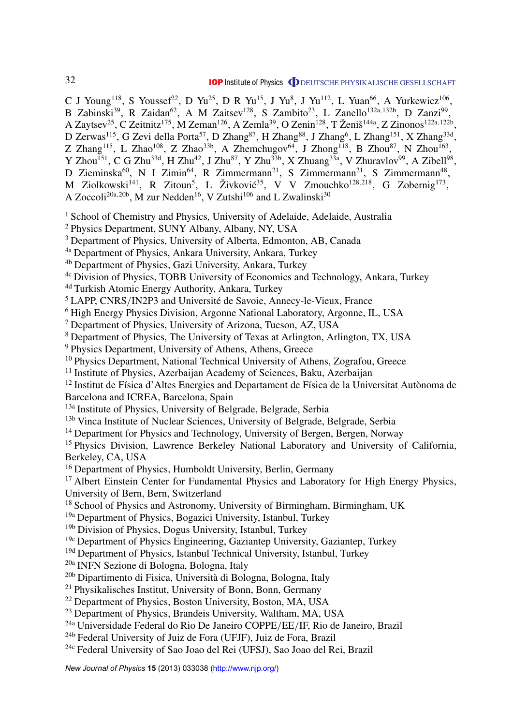C J Young<sup>118</sup>, S Youssef<sup>22</sup>, D Yu<sup>25</sup>, D R Yu<sup>15</sup>, J Yu<sup>8</sup>, J Yu<sup>112</sup>, L Yuan<sup>66</sup>, A Yurkewicz<sup>106</sup>, B Zabinski<sup>39</sup>, R Zaidan<sup>62</sup>, A M Zaitsev<sup>128</sup>, S Zambito<sup>23</sup>, L Zanello<sup>132a,132b</sup>, D Zanzi<sup>99</sup>, A Zaytsev<sup>25</sup>, C Zeitnitz<sup>175</sup>, M Zeman<sup>126</sup>, A Zemla<sup>39</sup>, O Zenin<sup>128</sup>, T Ženiš<sup>144a</sup>, Z Zinonos<sup>122a,122b</sup>, D Zerwas<sup>115</sup>, G Zevi della Porta<sup>57</sup>, D Zhang<sup>87</sup>, H Zhang<sup>88</sup>, J Zhang<sup>6</sup>, L Zhang<sup>151</sup>, X Zhang<sup>33d</sup>, Z Zhang<sup>115</sup>, L Zhao<sup>108</sup>, Z Zhao<sup>33b</sup>, A Zhemchugov<sup>64</sup>, J Zhong<sup>118</sup>, B Zhou<sup>87</sup>, N Zhou<sup>163</sup>, Y Zhou<sup>151</sup>, C G Zhu<sup>33d</sup>, H Zhu<sup>42</sup>, J Zhu<sup>87</sup>, Y Zhu<sup>33b</sup>, X Zhuang<sup>33a</sup>, V Zhuravlov<sup>99</sup>, A Zibell<sup>98</sup>, D Zieminska<sup>60</sup>, N I Zimin<sup>64</sup>, R Zimmermann<sup>21</sup>, S Zimmermann<sup>21</sup>, S Zimmermann<sup>48</sup>, M Ziolkowski<sup>141</sup>, R Zitoun<sup>5</sup>, L Živković<sup>35</sup>, V V Zmouchko<sup>128,218</sup>, G Zobernig<sup>173</sup>, A Zoccoli<sup>20a, 20b</sup>, M zur Nedden<sup>16</sup>, V Zutshi<sup>106</sup> and L Zwalinski<sup>30</sup>

<sup>1</sup> School of Chemistry and Physics, University of Adelaide, Adelaide, Australia

<sup>2</sup> Physics Department, SUNY Albany, Albany, NY, USA

<sup>3</sup> Department of Physics, University of Alberta, Edmonton, AB, Canada

4a Department of Physics, Ankara University, Ankara, Turkey

4b Department of Physics, Gazi University, Ankara, Turkey

4c Division of Physics, TOBB University of Economics and Technology, Ankara, Turkey

4d Turkish Atomic Energy Authority, Ankara, Turkey

<sup>5</sup> LAPP, CNRS/IN2P3 and Université de Savoie, Annecy-le-Vieux, France

<sup>6</sup> High Energy Physics Division, Argonne National Laboratory, Argonne, IL, USA

<sup>7</sup> Department of Physics, University of Arizona, Tucson, AZ, USA

<sup>8</sup> Department of Physics, The University of Texas at Arlington, Arlington, TX, USA

<sup>9</sup> Physics Department, University of Athens, Athens, Greece

<sup>10</sup> Physics Department, National Technical University of Athens, Zografou, Greece

<sup>11</sup> Institute of Physics, Azerbaijan Academy of Sciences, Baku, Azerbaijan

 $12$  Institut de Física d'Altes Energies and Departament de Física de la Universitat Autònoma de Barcelona and ICREA, Barcelona, Spain

13a Institute of Physics, University of Belgrade, Belgrade, Serbia

<sup>13b</sup> Vinca Institute of Nuclear Sciences, University of Belgrade, Belgrade, Serbia

<sup>14</sup> Department for Physics and Technology, University of Bergen, Bergen, Norway

<sup>15</sup> Physics Division, Lawrence Berkeley National Laboratory and University of California, Berkeley, CA, USA

<sup>16</sup> Department of Physics, Humboldt University, Berlin, Germany

<sup>17</sup> Albert Einstein Center for Fundamental Physics and Laboratory for High Energy Physics, University of Bern, Bern, Switzerland

<sup>18</sup> School of Physics and Astronomy, University of Birmingham, Birmingham, UK

19a Department of Physics, Bogazici University, Istanbul, Turkey

<sup>19b</sup> Division of Physics, Dogus University, Istanbul, Turkey

 $19c$  Department of Physics Engineering, Gaziantep University, Gaziantep, Turkey

<sup>19d</sup> Department of Physics, Istanbul Technical University, Istanbul, Turkey

20a INFN Sezione di Bologna, Bologna, Italy

20b Dipartimento di Fisica, Universita di Bologna, Bologna, Italy `

<sup>21</sup> Physikalisches Institut, University of Bonn, Bonn, Germany

<sup>22</sup> Department of Physics, Boston University, Boston, MA, USA

<sup>23</sup> Department of Physics, Brandeis University, Waltham, MA, USA

24a Universidade Federal do Rio De Janeiro COPPE/EE/IF, Rio de Janeiro, Brazil

24b Federal University of Juiz de Fora (UFJF), Juiz de Fora, Brazil

24c Federal University of Sao Joao del Rei (UFSJ), Sao Joao del Rei, Brazil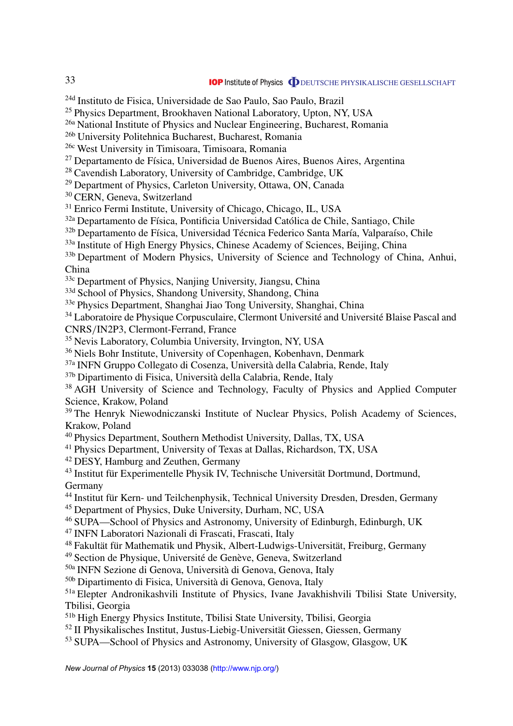24d Instituto de Fisica, Universidade de Sao Paulo, Sao Paulo, Brazil

<sup>25</sup> Physics Department, Brookhaven National Laboratory, Upton, NY, USA

26a National Institute of Physics and Nuclear Engineering, Bucharest, Romania

26b University Politehnica Bucharest, Bucharest, Romania

26c West University in Timisoara, Timisoara, Romania

 $27$  Departamento de Física, Universidad de Buenos Aires, Buenos Aires, Argentina

<sup>28</sup> Cavendish Laboratory, University of Cambridge, Cambridge, UK

<sup>29</sup> Department of Physics, Carleton University, Ottawa, ON, Canada

<sup>30</sup> CERN, Geneva, Switzerland

<sup>31</sup> Enrico Fermi Institute, University of Chicago, Chicago, IL, USA

<sup>32a</sup> Departamento de Física, Pontificia Universidad Católica de Chile, Santiago, Chile

<sup>32b</sup> Departamento de Física, Universidad Técnica Federico Santa María, Valparaíso, Chile

<sup>33a</sup> Institute of High Energy Physics, Chinese Academy of Sciences, Beijing, China

<sup>33b</sup> Department of Modern Physics, University of Science and Technology of China, Anhui, China

33c Department of Physics, Nanjing University, Jiangsu, China

<sup>33d</sup> School of Physics, Shandong University, Shandong, China

33e Physics Department, Shanghai Jiao Tong University, Shanghai, China

<sup>34</sup> Laboratoire de Physique Corpusculaire, Clermont Université and Université Blaise Pascal and CNRS/IN2P3, Clermont-Ferrand, France

<sup>35</sup> Nevis Laboratory, Columbia University, Irvington, NY, USA

<sup>36</sup> Niels Bohr Institute, University of Copenhagen, Kobenhavn, Denmark

37a INFN Gruppo Collegato di Cosenza, Universita della Calabria, Rende, Italy `

37b Dipartimento di Fisica, Università della Calabria, Rende, Italy

<sup>38</sup> AGH University of Science and Technology, Faculty of Physics and Applied Computer Science, Krakow, Poland

<sup>39</sup> The Henryk Niewodniczanski Institute of Nuclear Physics, Polish Academy of Sciences, Krakow, Poland

<sup>40</sup> Physics Department, Southern Methodist University, Dallas, TX, USA

<sup>41</sup> Physics Department, University of Texas at Dallas, Richardson, TX, USA

<sup>42</sup> DESY, Hamburg and Zeuthen, Germany

 $43$  Institut für Experimentelle Physik IV, Technische Universität Dortmund, Dortmund, Germany

<sup>44</sup> Institut für Kern- und Teilchenphysik, Technical University Dresden, Dresden, Germany

<sup>45</sup> Department of Physics, Duke University, Durham, NC, USA

<sup>46</sup> SUPA—School of Physics and Astronomy, University of Edinburgh, Edinburgh, UK

<sup>47</sup> INFN Laboratori Nazionali di Frascati, Frascati, Italy

 $48$  Fakultät für Mathematik und Physik, Albert-Ludwigs-Universität, Freiburg, Germany

<sup>49</sup> Section de Physique, Université de Genève, Geneva, Switzerland

50a INFN Sezione di Genova, Universita di Genova, Genova, Italy `

50b Dipartimento di Fisica, Universita di Genova, Genova, Italy `

51a Elepter Andronikashvili Institute of Physics, Ivane Javakhishvili Tbilisi State University, Tbilisi, Georgia

51b High Energy Physics Institute, Tbilisi State University, Tbilisi, Georgia

<sup>52</sup> II Physikalisches Institut, Justus-Liebig-Universität Giessen, Giessen, Germany

<sup>53</sup> SUPA—School of Physics and Astronomy, University of Glasgow, Glasgow, UK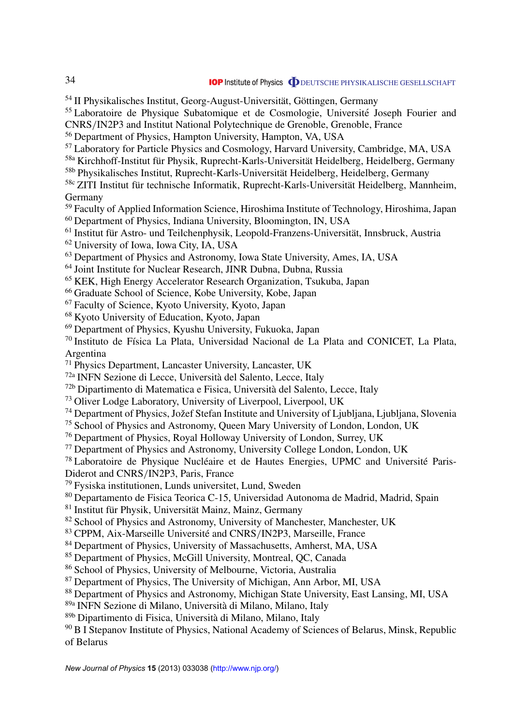$<sup>54</sup>$  II Physikalisches Institut, Georg-August-Universität, Göttingen, Germany</sup>

<sup>55</sup> Laboratoire de Physique Subatomique et de Cosmologie, Université Joseph Fourier and CNRS/IN2P3 and Institut National Polytechnique de Grenoble, Grenoble, France

<sup>56</sup> Department of Physics, Hampton University, Hampton, VA, USA

<sup>57</sup> Laboratory for Particle Physics and Cosmology, Harvard University, Cambridge, MA, USA

58a Kirchhoff-Institut für Physik, Ruprecht-Karls-Universität Heidelberg, Heidelberg, Germany

<sup>58b</sup> Physikalisches Institut, Ruprecht-Karls-Universität Heidelberg, Heidelberg, Germany

<sup>58c</sup> ZITI Institut für technische Informatik, Ruprecht-Karls-Universität Heidelberg, Mannheim, Germany

<sup>59</sup> Faculty of Applied Information Science, Hiroshima Institute of Technology, Hiroshima, Japan <sup>60</sup> Department of Physics, Indiana University, Bloomington, IN, USA

 $<sup>61</sup>$  Institut für Astro- und Teilchenphysik, Leopold-Franzens-Universität, Innsbruck, Austria</sup>

<sup>62</sup> University of Iowa, Iowa City, IA, USA

<sup>63</sup> Department of Physics and Astronomy, Iowa State University, Ames, IA, USA

<sup>64</sup> Joint Institute for Nuclear Research, JINR Dubna, Dubna, Russia

<sup>65</sup> KEK, High Energy Accelerator Research Organization, Tsukuba, Japan

<sup>66</sup> Graduate School of Science, Kobe University, Kobe, Japan

<sup>67</sup> Faculty of Science, Kyoto University, Kyoto, Japan

<sup>68</sup> Kyoto University of Education, Kyoto, Japan

<sup>69</sup> Department of Physics, Kyushu University, Fukuoka, Japan

 $70$  Instituto de Física La Plata, Universidad Nacional de La Plata and CONICET, La Plata, Argentina

<sup>71</sup> Physics Department, Lancaster University, Lancaster, UK

72a INFN Sezione di Lecce, Universita del Salento, Lecce, Italy `

72b Dipartimento di Matematica e Fisica, Universita del Salento, Lecce, Italy `

<sup>73</sup> Oliver Lodge Laboratory, University of Liverpool, Liverpool, UK

<sup>74</sup> Department of Physics, Jožef Stefan Institute and University of Ljubliana, Ljubliana, Slovenia

<sup>75</sup> School of Physics and Astronomy, Queen Mary University of London, London, UK

<sup>76</sup> Department of Physics, Royal Holloway University of London, Surrey, UK

<sup>77</sup> Department of Physics and Astronomy, University College London, London, UK

 $78$  Laboratoire de Physique Nucléaire et de Hautes Energies, UPMC and Université Paris-Diderot and CNRS/IN2P3, Paris, France

<sup>79</sup> Fysiska institutionen, Lunds universitet, Lund, Sweden

<sup>80</sup> Departamento de Fisica Teorica C-15, Universidad Autonoma de Madrid, Madrid, Spain

 $81$  Institut für Physik, Universität Mainz, Mainz, Germany

<sup>82</sup> School of Physics and Astronomy, University of Manchester, Manchester, UK

83 CPPM, Aix-Marseille Université and CNRS/IN2P3, Marseille, France

<sup>84</sup> Department of Physics, University of Massachusetts, Amherst, MA, USA

<sup>85</sup> Department of Physics, McGill University, Montreal, QC, Canada

<sup>86</sup> School of Physics, University of Melbourne, Victoria, Australia

<sup>87</sup> Department of Physics, The University of Michigan, Ann Arbor, MI, USA

88 Department of Physics and Astronomy, Michigan State University, East Lansing, MI, USA

89a INFN Sezione di Milano, Universita di Milano, Milano, Italy `

89b Dipartimento di Fisica, Universita di Milano, Milano, Italy `

<sup>90</sup> B I Stepanov Institute of Physics, National Academy of Sciences of Belarus, Minsk, Republic of Belarus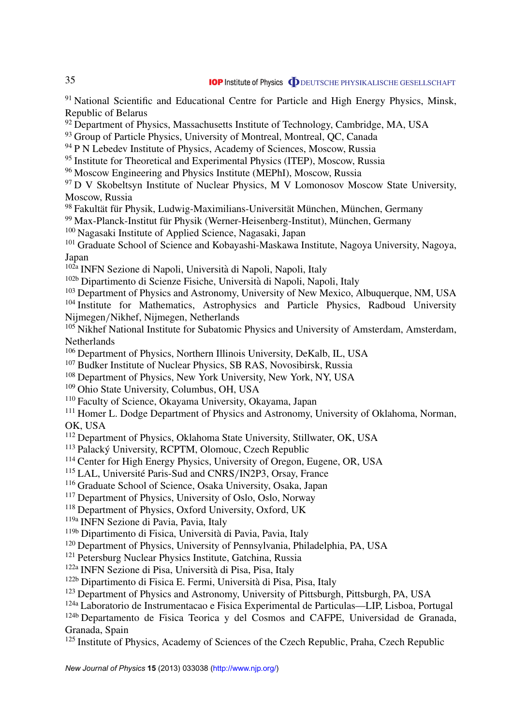<sup>91</sup> National Scientific and Educational Centre for Particle and High Energy Physics, Minsk, Republic of Belarus

 $92$  Department of Physics, Massachusetts Institute of Technology, Cambridge, MA, USA

<sup>93</sup> Group of Particle Physics, University of Montreal, Montreal, QC, Canada

<sup>94</sup> P N Lebedev Institute of Physics, Academy of Sciences, Moscow, Russia

<sup>95</sup> Institute for Theoretical and Experimental Physics (ITEP), Moscow, Russia

<sup>96</sup> Moscow Engineering and Physics Institute (MEPhI), Moscow, Russia

<sup>97</sup> D V Skobeltsyn Institute of Nuclear Physics, M V Lomonosov Moscow State University, Moscow, Russia

98 Fakultät für Physik, Ludwig-Maximilians-Universität München, München, Germany

 $99$  Max-Planck-Institut für Physik (Werner-Heisenberg-Institut), München, Germany

<sup>100</sup> Nagasaki Institute of Applied Science, Nagasaki, Japan

<sup>101</sup> Graduate School of Science and Kobayashi-Maskawa Institute, Nagoya University, Nagova, Japan

<sup>102a</sup> INFN Sezione di Napoli, Università di Napoli, Napoli, Italy

102b Dipartimento di Scienze Fisiche, Universita di Napoli, Napoli, Italy `

<sup>103</sup> Department of Physics and Astronomy, University of New Mexico, Albuquerque, NM, USA <sup>104</sup> Institute for Mathematics, Astrophysics and Particle Physics, Radboud University Nijmegen/Nikhef, Nijmegen, Netherlands

<sup>105</sup> Nikhef National Institute for Subatomic Physics and University of Amsterdam, Amsterdam, Netherlands

<sup>106</sup> Department of Physics, Northern Illinois University, DeKalb, IL, USA

<sup>107</sup> Budker Institute of Nuclear Physics, SB RAS, Novosibirsk, Russia

<sup>108</sup> Department of Physics, New York University, New York, NY, USA

<sup>109</sup> Ohio State University, Columbus, OH, USA

<sup>110</sup> Faculty of Science, Okayama University, Okayama, Japan

<sup>111</sup> Homer L. Dodge Department of Physics and Astronomy, University of Oklahoma, Norman, OK, USA

<sup>112</sup> Department of Physics, Oklahoma State University, Stillwater, OK, USA

<sup>113</sup> Palacký University, RCPTM, Olomouc, Czech Republic

<sup>114</sup> Center for High Energy Physics, University of Oregon, Eugene, OR, USA

<sup>115</sup> LAL, Université Paris-Sud and CNRS/IN2P3, Orsay, France

<sup>116</sup> Graduate School of Science, Osaka University, Osaka, Japan

<sup>117</sup> Department of Physics, University of Oslo, Oslo, Norway

<sup>118</sup> Department of Physics, Oxford University, Oxford, UK

119a INFN Sezione di Pavia, Pavia, Italy

119b Dipartimento di Fisica, Universita di Pavia, Pavia, Italy `

<sup>120</sup> Department of Physics, University of Pennsylvania, Philadelphia, PA, USA

<sup>121</sup> Petersburg Nuclear Physics Institute, Gatchina, Russia

122a INFN Sezione di Pisa, Universita di Pisa, Pisa, Italy `

122b Dipartimento di Fisica E. Fermi, Universita di Pisa, Pisa, Italy `

<sup>123</sup> Department of Physics and Astronomy, University of Pittsburgh, Pittsburgh, PA, USA

124a Laboratorio de Instrumentacao e Fisica Experimental de Particulas—LIP, Lisboa, Portugal

124b Departamento de Fisica Teorica y del Cosmos and CAFPE, Universidad de Granada, Granada, Spain

<sup>125</sup> Institute of Physics, Academy of Sciences of the Czech Republic, Praha, Czech Republic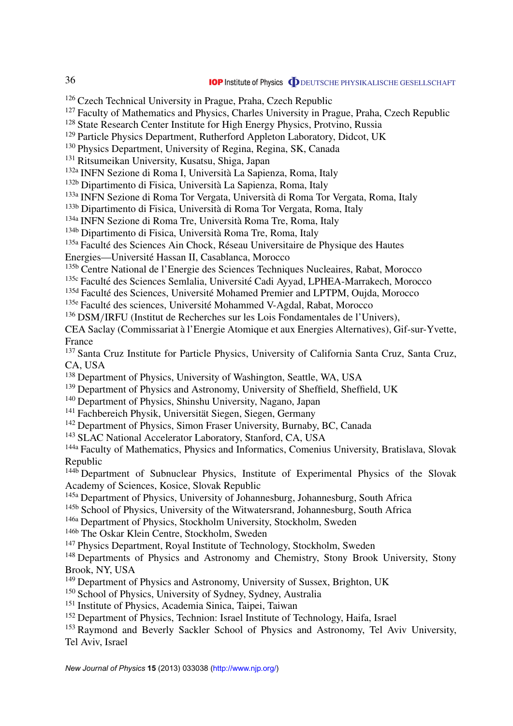<sup>126</sup> Czech Technical University in Prague, Praha, Czech Republic  $127$  Faculty of Mathematics and Physics, Charles University in Prague, Praha, Czech Republic <sup>128</sup> State Research Center Institute for High Energy Physics, Protvino, Russia <sup>129</sup> Particle Physics Department, Rutherford Appleton Laboratory, Didcot, UK <sup>130</sup> Physics Department, University of Regina, Regina, SK, Canada <sup>131</sup> Ritsumeikan University, Kusatsu, Shiga, Japan 132a INFN Sezione di Roma I, Universita La Sapienza, Roma, Italy ` 132b Dipartimento di Fisica, Universita La Sapienza, Roma, Italy ` 133a INFN Sezione di Roma Tor Vergata, Universita di Roma Tor Vergata, Roma, Italy ` <sup>133b</sup> Dipartimento di Fisica, Università di Roma Tor Vergata, Roma, Italy 134a INFN Sezione di Roma Tre, Universita Roma Tre, Roma, Italy ` 134b Dipartimento di Fisica, Universita Roma Tre, Roma, Italy ` <sup>135a</sup> Faculté des Sciences Ain Chock, Réseau Universitaire de Physique des Hautes Energies—Universite Hassan II, Casablanca, Morocco ´ 135b Centre National de l'Energie des Sciences Techniques Nucleaires, Rabat, Morocco <sup>135c</sup> Faculté des Sciences Semlalia, Université Cadi Ayyad, LPHEA-Marrakech, Morocco <sup>135d</sup> Faculté des Sciences, Université Mohamed Premier and LPTPM, Oujda, Morocco <sup>135e</sup> Faculté des sciences, Université Mohammed V-Agdal, Rabat, Morocco <sup>136</sup> DSM/IRFU (Institut de Recherches sur les Lois Fondamentales de l'Univers), CEA Saclay (Commissariat a l'Energie Atomique et aux Energies Alternatives), Gif-sur-Yvette, ` France <sup>137</sup> Santa Cruz Institute for Particle Physics, University of California Santa Cruz, Santa Cruz, CA, USA <sup>138</sup> Department of Physics, University of Washington, Seattle, WA, USA <sup>139</sup> Department of Physics and Astronomy, University of Sheffield, Sheffield, UK <sup>140</sup> Department of Physics, Shinshu University, Nagano, Japan <sup>141</sup> Fachbereich Physik, Universität Siegen, Siegen, Germany <sup>142</sup> Department of Physics, Simon Fraser University, Burnaby, BC, Canada <sup>143</sup> SLAC National Accelerator Laboratory, Stanford, CA, USA 144a Faculty of Mathematics, Physics and Informatics, Comenius University, Bratislava, Slovak Republic <sup>144b</sup> Department of Subnuclear Physics, Institute of Experimental Physics of the Slovak Academy of Sciences, Kosice, Slovak Republic 145a Department of Physics, University of Johannesburg, Johannesburg, South Africa 145b School of Physics, University of the Witwatersrand, Johannesburg, South Africa 146a Department of Physics, Stockholm University, Stockholm, Sweden 146b The Oskar Klein Centre, Stockholm, Sweden <sup>147</sup> Physics Department, Royal Institute of Technology, Stockholm, Sweden <sup>148</sup> Departments of Physics and Astronomy and Chemistry, Stony Brook University, Stony Brook, NY, USA <sup>149</sup> Department of Physics and Astronomy, University of Sussex, Brighton, UK <sup>150</sup> School of Physics, University of Sydney, Sydney, Australia <sup>151</sup> Institute of Physics, Academia Sinica, Taipei, Taiwan <sup>152</sup> Department of Physics, Technion: Israel Institute of Technology, Haifa, Israel <sup>153</sup> Raymond and Beverly Sackler School of Physics and Astronomy, Tel Aviv University, Tel Aviv, Israel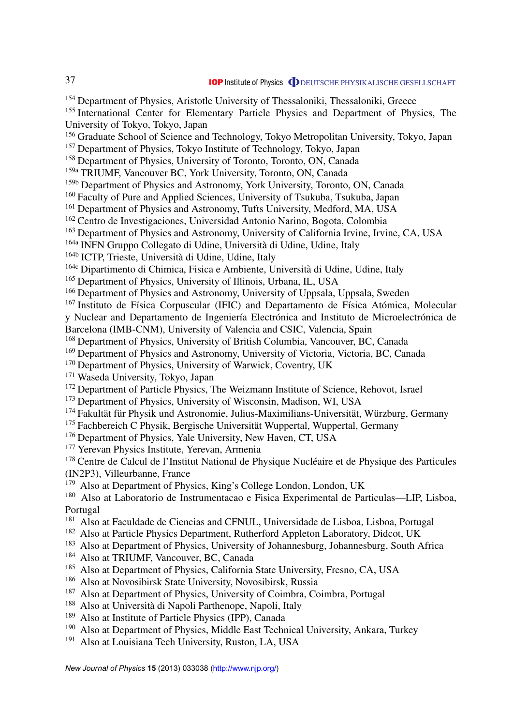<sup>154</sup> Department of Physics, Aristotle University of Thessaloniki, Thessaloniki, Greece <sup>155</sup> International Center for Elementary Particle Physics and Department of Physics, The University of Tokyo, Tokyo, Japan <sup>156</sup> Graduate School of Science and Technology, Tokyo Metropolitan University, Tokyo, Japan <sup>157</sup> Department of Physics, Tokyo Institute of Technology, Tokyo, Japan <sup>158</sup> Department of Physics, University of Toronto, Toronto, ON, Canada 159a TRIUMF, Vancouver BC, York University, Toronto, ON, Canada <sup>159b</sup> Department of Physics and Astronomy, York University, Toronto, ON, Canada <sup>160</sup> Faculty of Pure and Applied Sciences, University of Tsukuba, Tsukuba, Japan <sup>161</sup> Department of Physics and Astronomy, Tufts University, Medford, MA, USA <sup>162</sup> Centro de Investigaciones, Universidad Antonio Narino, Bogota, Colombia <sup>163</sup> Department of Physics and Astronomy, University of California Irvine, Irvine, CA, USA 164a INFN Gruppo Collegato di Udine, Universita di Udine, Udine, Italy ` 164b ICTP, Trieste, Università di Udine, Udine, Italy 164c Dipartimento di Chimica, Fisica e Ambiente, Universita di Udine, Udine, Italy ` <sup>165</sup> Department of Physics, University of Illinois, Urbana, IL, USA <sup>166</sup> Department of Physics and Astronomy, University of Uppsala, Uppsala, Sweden  $167$  Instituto de Física Corpuscular (IFIC) and Departamento de Física Atómica, Molecular y Nuclear and Departamento de Ingeniería Electrónica and Instituto de Microelectrónica de Barcelona (IMB-CNM), University of Valencia and CSIC, Valencia, Spain <sup>168</sup> Department of Physics, University of British Columbia, Vancouver, BC, Canada <sup>169</sup> Department of Physics and Astronomy, University of Victoria, Victoria, BC, Canada <sup>170</sup> Department of Physics, University of Warwick, Coventry, UK <sup>171</sup> Waseda University, Tokyo, Japan <sup>172</sup> Department of Particle Physics, The Weizmann Institute of Science, Rehovot, Israel <sup>173</sup> Department of Physics, University of Wisconsin, Madison, WI, USA  $174$  Fakultät für Physik und Astronomie, Julius-Maximilians-Universität, Würzburg, Germany  $175$  Fachbereich C Physik, Bergische Universität Wuppertal, Wuppertal, Germany <sup>176</sup> Department of Physics, Yale University, New Haven, CT, USA <sup>177</sup> Yerevan Physics Institute, Yerevan, Armenia <sup>178</sup> Centre de Calcul de l'Institut National de Physique Nucléaire et de Physique des Particules (IN2P3), Villeurbanne, France <sup>179</sup> Also at Department of Physics, King's College London, London, UK <sup>180</sup> Also at Laboratorio de Instrumentacao e Fisica Experimental de Particulas—LIP, Lisboa, Portugal <sup>181</sup> Also at Faculdade de Ciencias and CFNUL, Universidade de Lisboa, Lisboa, Portugal <sup>182</sup> Also at Particle Physics Department, Rutherford Appleton Laboratory, Didcot, UK <sup>183</sup> Also at Department of Physics, University of Johannesburg, Johannesburg, South Africa <sup>184</sup> Also at TRIUMF, Vancouver, BC, Canada <sup>185</sup> Also at Department of Physics, California State University, Fresno, CA, USA <sup>186</sup> Also at Novosibirsk State University, Novosibirsk, Russia <sup>187</sup> Also at Department of Physics, University of Coimbra, Coimbra, Portugal <sup>188</sup> Also at Università di Napoli Parthenope, Napoli, Italy <sup>189</sup> Also at Institute of Particle Physics (IPP), Canada

- <sup>190</sup> Also at Department of Physics, Middle East Technical University, Ankara, Turkey
- <sup>191</sup> Also at Louisiana Tech University, Ruston, LA, USA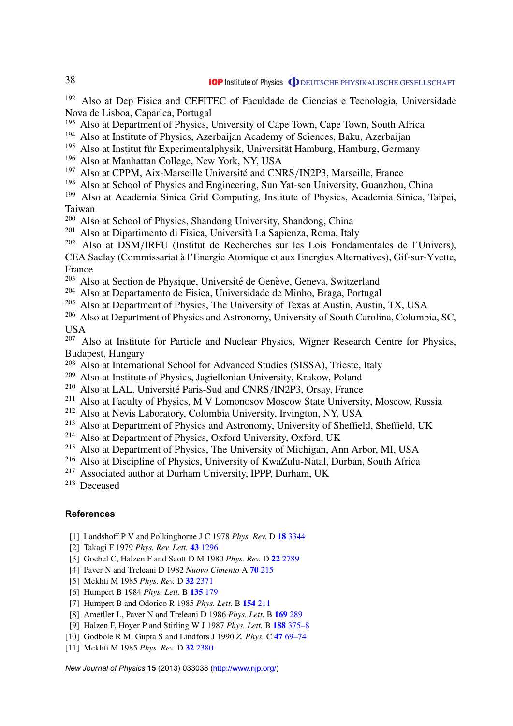<span id="page-38-0"></span><sup>192</sup> Also at Dep Fisica and CEFITEC of Faculdade de Ciencias e Tecnologia, Universidade Nova de Lisboa, Caparica, Portugal

- <sup>193</sup> Also at Department of Physics, University of Cape Town, Cape Town, South Africa
- <sup>194</sup> Also at Institute of Physics, Azerbaijan Academy of Sciences, Baku, Azerbaijan
- $195$  Also at Institut für Experimentalphysik, Universität Hamburg, Hamburg, Germany
- <sup>196</sup> Also at Manhattan College, New York, NY, USA
- $197$  Also at CPPM, Aix-Marseille Université and CNRS/IN2P3, Marseille, France
- <sup>198</sup> Also at School of Physics and Engineering, Sun Yat-sen University, Guanzhou, China
- <sup>199</sup> Also at Academia Sinica Grid Computing, Institute of Physics, Academia Sinica, Taipei, Taiwan
- <sup>200</sup> Also at School of Physics, Shandong University, Shandong, China
- <sup>201</sup> Also at Dipartimento di Fisica, Universita La Sapienza, Roma, Italy `
- $202$  Also at DSM/IRFU (Institut de Recherches sur les Lois Fondamentales de l'Univers),

CEA Saclay (Commissariat a l'Energie Atomique et aux Energies Alternatives), Gif-sur-Yvette, ` France

- <sup>203</sup> Also at Section de Physique, Université de Genève, Geneva, Switzerland
- <sup>204</sup> Also at Departamento de Fisica, Universidade de Minho, Braga, Portugal
- <sup>205</sup> Also at Department of Physics, The University of Texas at Austin, Austin, TX, USA
- <sup>206</sup> Also at Department of Physics and Astronomy, University of South Carolina, Columbia, SC, USA

<sup>207</sup> Also at Institute for Particle and Nuclear Physics, Wigner Research Centre for Physics, Budapest, Hungary

- <sup>208</sup> Also at International School for Advanced Studies (SISSA), Trieste, Italy
- <sup>209</sup> Also at Institute of Physics, Jagiellonian University, Krakow, Poland
- <sup>210</sup> Also at LAL, Université Paris-Sud and CNRS/IN2P3, Orsay, France
- <sup>211</sup> Also at Faculty of Physics, M V Lomonosov Moscow State University, Moscow, Russia
- <sup>212</sup> Also at Nevis Laboratory, Columbia University, Irvington, NY, USA
- <sup>213</sup> Also at Department of Physics and Astronomy, University of Sheffield, Sheffield, UK
- <sup>214</sup> Also at Department of Physics, Oxford University, Oxford, UK
- <sup>215</sup> Also at Department of Physics, The University of Michigan, Ann Arbor, MI, USA
- <sup>216</sup> Also at Discipline of Physics, University of KwaZulu-Natal, Durban, South Africa
- <sup>217</sup> Associated author at Durham University, IPPP, Durham, UK
- <sup>218</sup> Deceased

#### **References**

- [1] Landshoff P V and Polkinghorne J C 1978 *Phys. Rev.* D **18** [3344](http://dx.doi.org/10.1103/PhysRevD.18.3344)
- [2] Takagi F 1979 *Phys. Rev. Lett.* **43** [1296](http://dx.doi.org/10.1103/PhysRevLett.43.1296)
- [3] Goebel C, Halzen F and Scott D M 1980 *Phys. Rev.* D **22** [2789](http://dx.doi.org/10.1103/PhysRevD.22.2789)
- [4] Paver N and Treleani D 1982 *Nuovo Cimento* A **70** [215](http://dx.doi.org/10.1007/BF02814035)
- [5] Mekhfi M 1985 *Phys. Rev.* D **32** [2371](http://dx.doi.org/10.1103/PhysRevD.32.2371)
- [6] Humpert B 1984 *Phys. Lett.* B **[135](http://dx.doi.org/10.1016/0370-2693(84)90479-9)** 179
- [7] Humpert B and Odorico R 1985 *Phys. Lett.* B **[154](http://dx.doi.org/10.1016/0370-2693(85)90587-8)** 211
- [8] Ametller L, Paver N and Treleani D 1986 *Phys. Lett.* B **169** [289](http://dx.doi.org/10.1016/0370-2693(86)90668-4)
- [9] Halzen F, Hoyer P and Stirling W J 1987 *Phys. Lett.* B **188** [375–8](http://dx.doi.org/10.1016/0370-2693(87)91400-6)
- [10] Godbole R M, Gupta S and Lindfors J 1990 *Z. Phys.* C **47** [69–74](http://dx.doi.org/10.1007/BF01551914)
- [11] Mekhfi M 1985 *Phys. Rev.* D **32** [2380](http://dx.doi.org/10.1103/PhysRevD.32.2380)